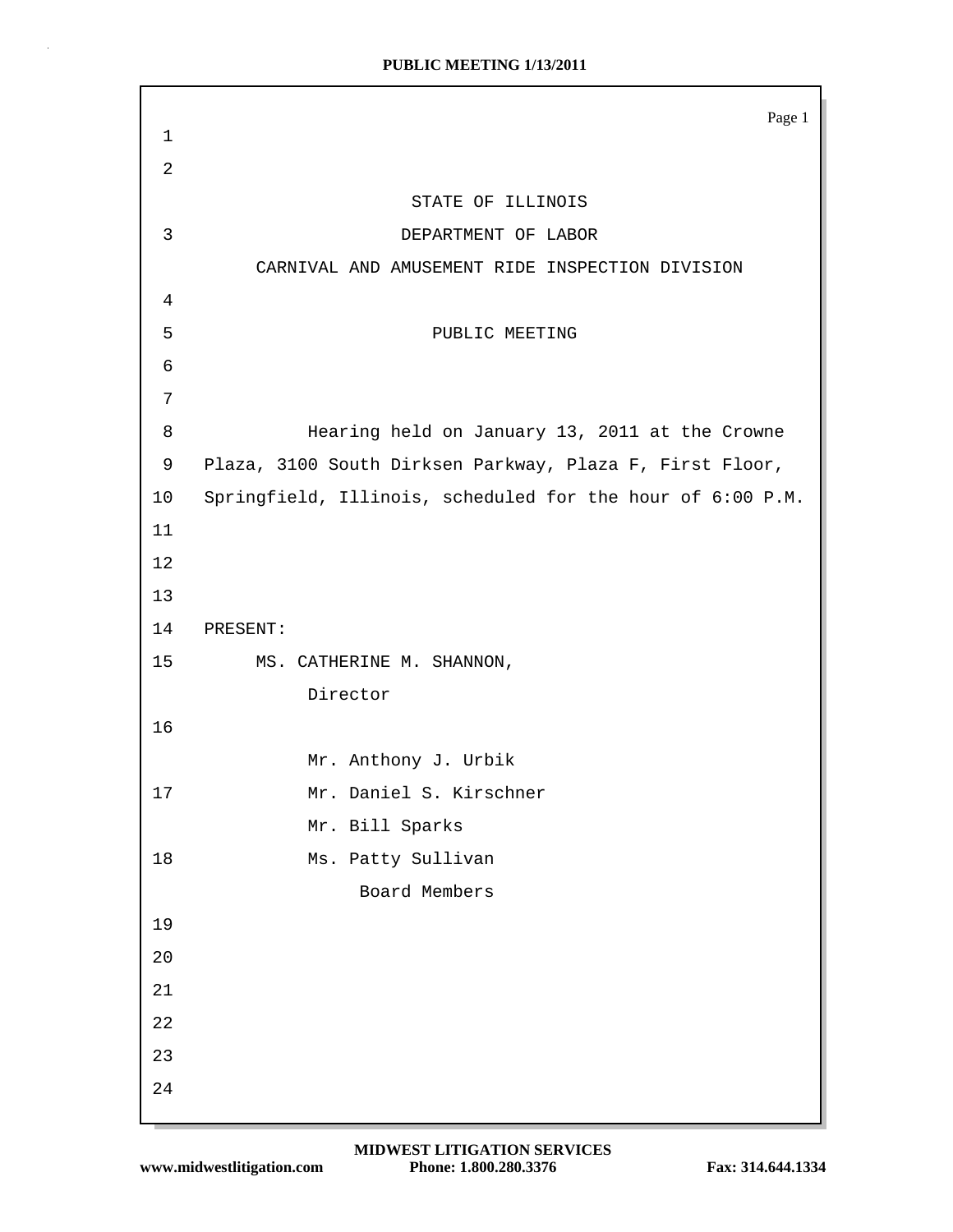|                | Page 1                                                     |
|----------------|------------------------------------------------------------|
| $\mathbf 1$    |                                                            |
| $\overline{2}$ |                                                            |
|                | STATE OF ILLINOIS                                          |
| $\mathbf{3}$   | DEPARTMENT OF LABOR                                        |
|                | CARNIVAL AND AMUSEMENT RIDE INSPECTION DIVISION            |
| 4              |                                                            |
| 5              | PUBLIC MEETING                                             |
| 6              |                                                            |
| 7              |                                                            |
| 8              | Hearing held on January 13, 2011 at the Crowne             |
| 9              | Plaza, 3100 South Dirksen Parkway, Plaza F, First Floor,   |
| 10             | Springfield, Illinois, scheduled for the hour of 6:00 P.M. |
| 11             |                                                            |
| 12             |                                                            |
| 13             |                                                            |
| 14             | PRESENT:                                                   |
| 15             | MS. CATHERINE M. SHANNON,                                  |
|                | Director                                                   |
| 16             |                                                            |
|                | Mr. Anthony J. Urbik                                       |
| 17             | Mr. Daniel S. Kirschner                                    |
|                | Mr. Bill Sparks                                            |
| 18             | Ms. Patty Sullivan                                         |
|                | Board Members                                              |
| 19             |                                                            |
| 20             |                                                            |
| 21             |                                                            |
| 22             |                                                            |
| 23             |                                                            |
| 24             |                                                            |
|                |                                                            |

 $\bar{z}$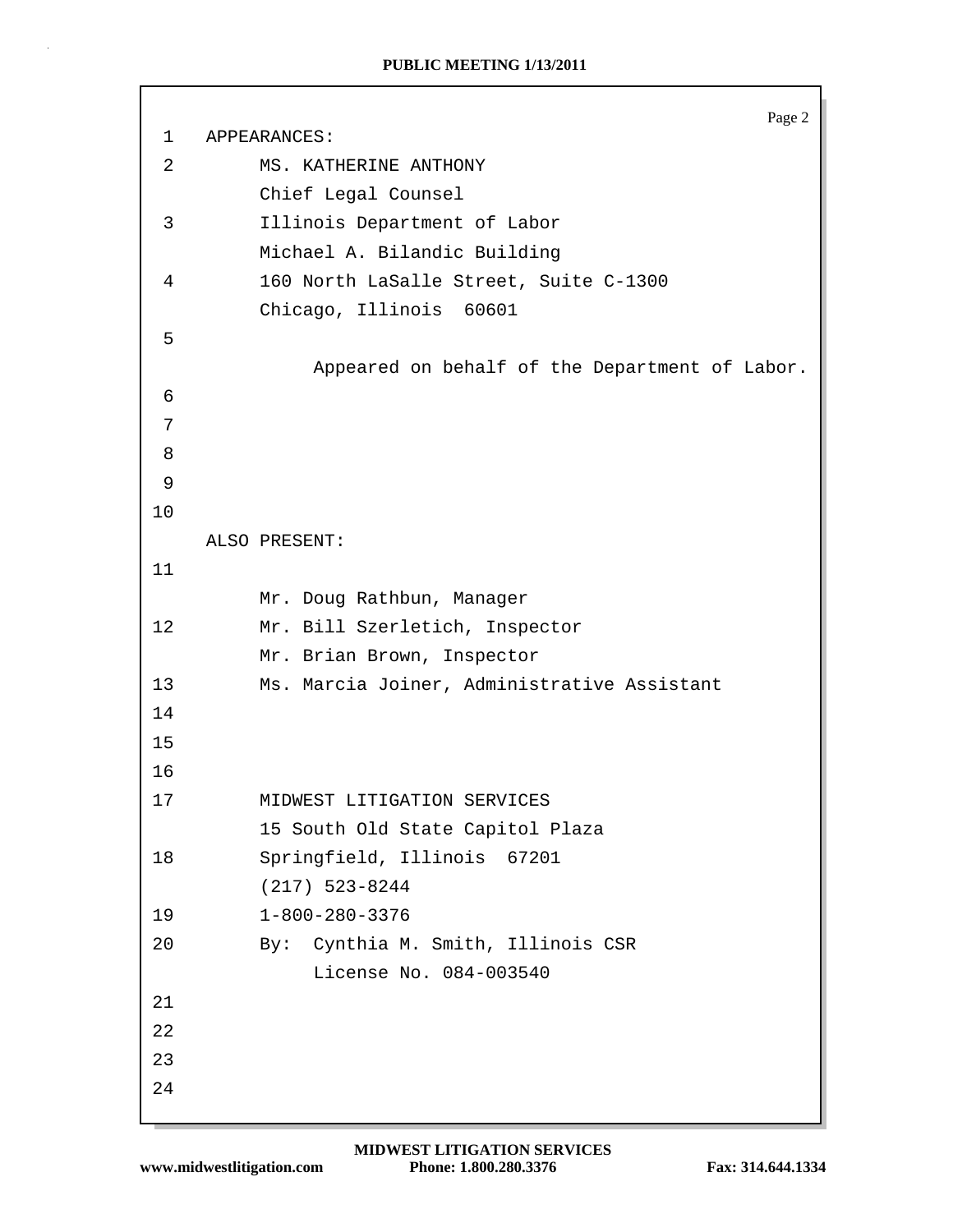```
Page 2
 1 APPEARANCES:
 2 MS. KATHERINE ANTHONY
          Chief Legal Counsel
 3 Illinois Department of Labor
          Michael A. Bilandic Building
 4 160 North LaSalle Street, Suite C-1300
          Chicago, Illinois 60601
 5
               Appeared on behalf of the Department of Labor.
 6
 7
 8
 9
10
    ALSO PRESENT:
11
          Mr. Doug Rathbun, Manager
12 Mr. Bill Szerletich, Inspector
          Mr. Brian Brown, Inspector
13 Ms. Marcia Joiner, Administrative Assistant
14
15
16
17 MIDWEST LITIGATION SERVICES
          15 South Old State Capitol Plaza
18 Springfield, Illinois 67201
          (217) 523-8244
19 1-800-280-3376
20 By: Cynthia M. Smith, Illinois CSR
               License No. 084-003540
21
22
23
24
```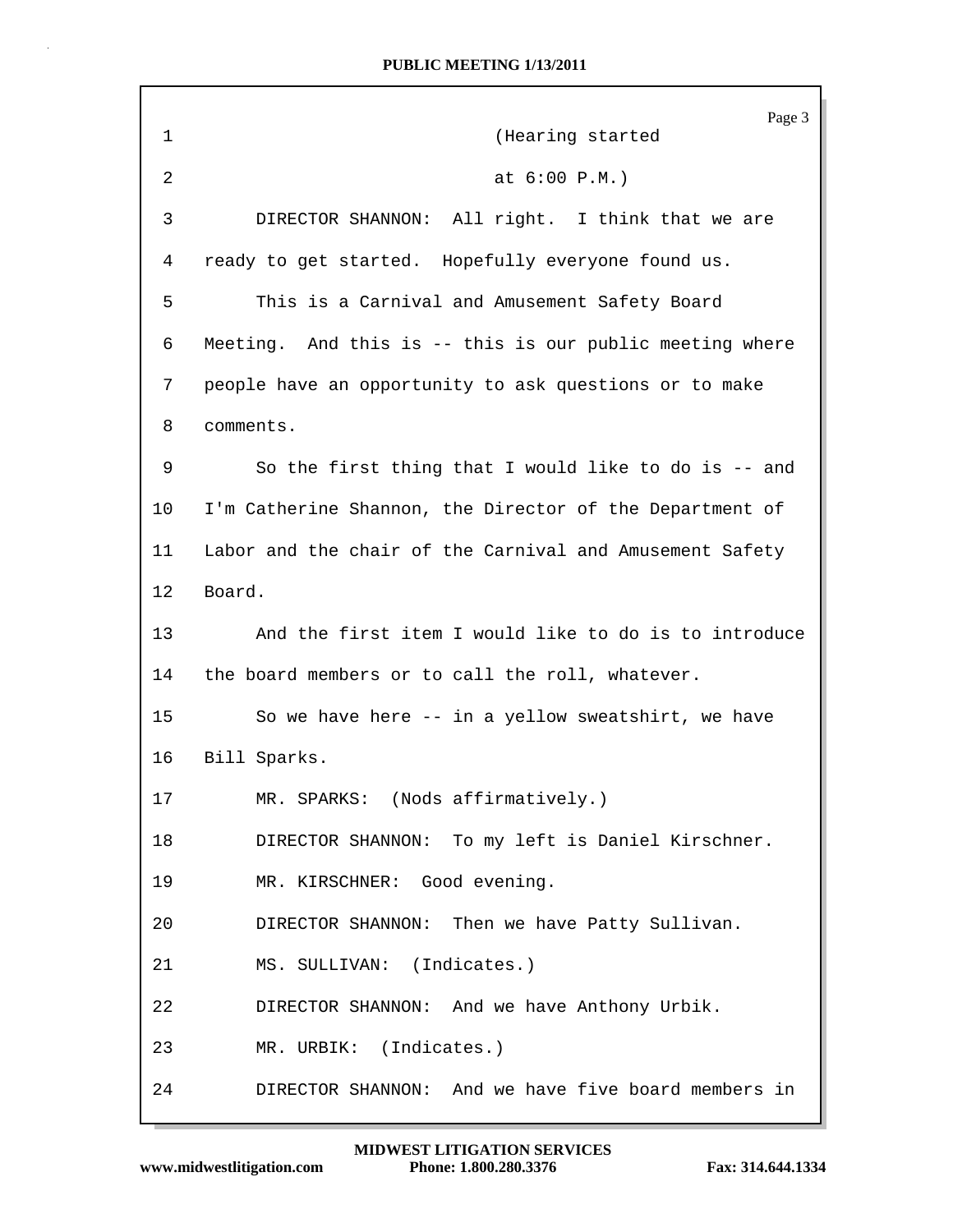| 1       | Page 3<br>(Hearing started                               |
|---------|----------------------------------------------------------|
| 2       | at $6:00 P.M.$ )                                         |
| 3       | DIRECTOR SHANNON: All right. I think that we are         |
| 4       | ready to get started. Hopefully everyone found us.       |
| 5       | This is a Carnival and Amusement Safety Board            |
| 6       | Meeting. And this is -- this is our public meeting where |
| 7       | people have an opportunity to ask questions or to make   |
| 8       | comments.                                                |
| 9       | So the first thing that I would like to do is -- and     |
| $10 \,$ | I'm Catherine Shannon, the Director of the Department of |
| 11      | Labor and the chair of the Carnival and Amusement Safety |
| 12      | Board.                                                   |
| 13      | And the first item I would like to do is to introduce    |
| 14      | the board members or to call the roll, whatever.         |
| 15      | So we have here -- in a yellow sweatshirt, we have       |
| 16      | Bill Sparks.                                             |
| 17      | MR. SPARKS: (Nods affirmatively.)                        |
| 18      | DIRECTOR SHANNON: To my left is Daniel Kirschner.        |
| 19      | MR. KIRSCHNER: Good evening.                             |
| 20      | DIRECTOR SHANNON: Then we have Patty Sullivan.           |
| 21      | MS. SULLIVAN: (Indicates.)                               |
| 22      | DIRECTOR SHANNON: And we have Anthony Urbik.             |
| 23      | MR. URBIK: (Indicates.)                                  |
| 24      | DIRECTOR SHANNON: And we have five board members in      |

Г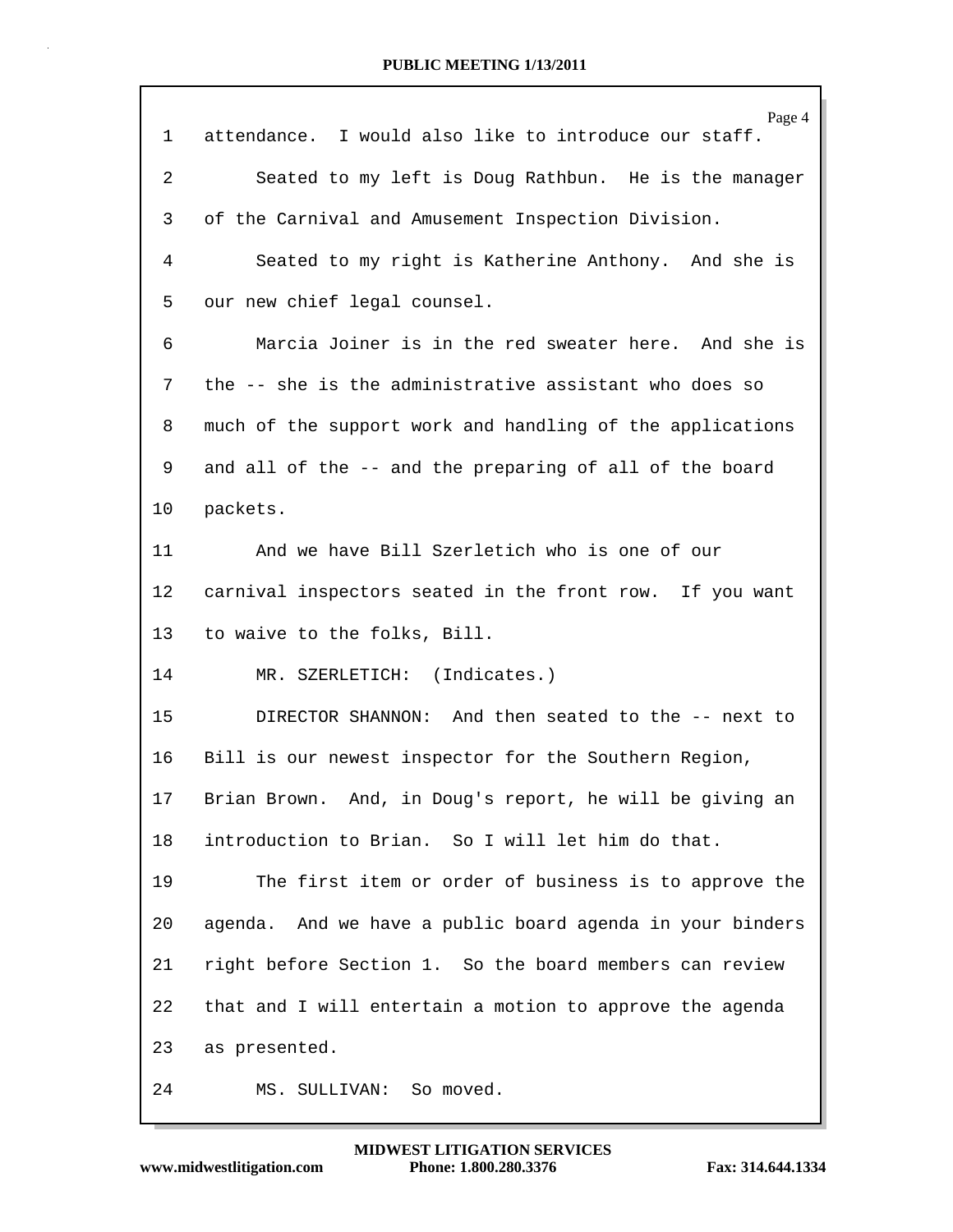| 1  | Page 4<br>attendance. I would also like to introduce our staff. |
|----|-----------------------------------------------------------------|
|    |                                                                 |
| 2  | Seated to my left is Doug Rathbun. He is the manager            |
| 3  | of the Carnival and Amusement Inspection Division.              |
| 4  | Seated to my right is Katherine Anthony. And she is             |
| 5  | our new chief legal counsel.                                    |
| 6  | Marcia Joiner is in the red sweater here. And she is            |
| 7  | the -- she is the administrative assistant who does so          |
| 8  | much of the support work and handling of the applications       |
| 9  | and all of the -- and the preparing of all of the board         |
| 10 | packets.                                                        |
| 11 | And we have Bill Szerletich who is one of our                   |
| 12 | carnival inspectors seated in the front row. If you want        |
| 13 | to waive to the folks, Bill.                                    |
| 14 | MR. SZERLETICH: (Indicates.)                                    |
| 15 | DIRECTOR SHANNON: And then seated to the -- next to             |
| 16 | Bill is our newest inspector for the Southern Region,           |
| 17 | Brian Brown. And, in Doug's report, he will be giving an        |
| 18 | introduction to Brian. So I will let him do that.               |
| 19 | The first item or order of business is to approve the           |
| 20 | agenda. And we have a public board agenda in your binders       |
| 21 | right before Section 1. So the board members can review         |
| 22 | that and I will entertain a motion to approve the agenda        |
| 23 | as presented.                                                   |
| 24 | MS. SULLIVAN: So moved.                                         |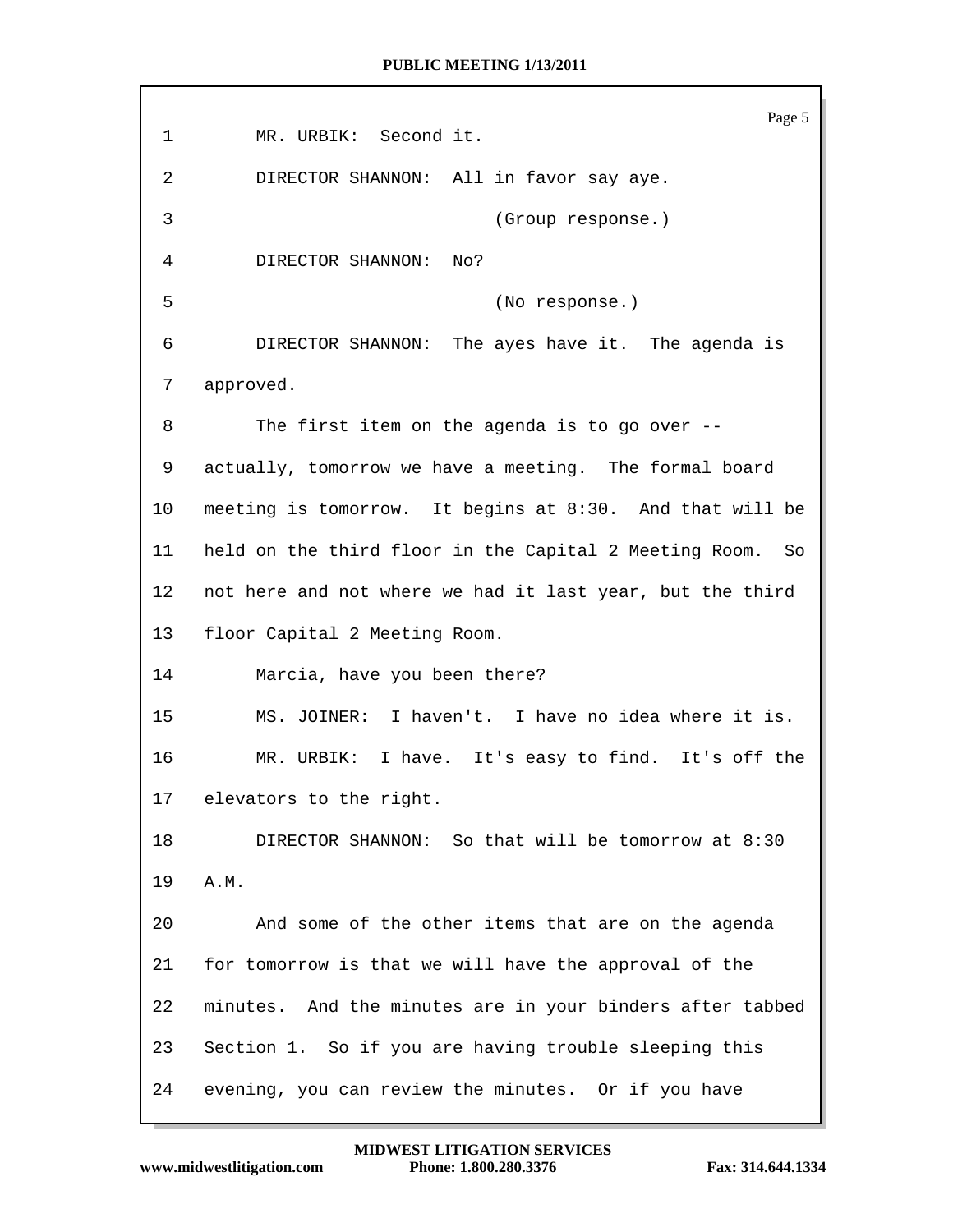Page 5 1 MR. URBIK: Second it. 2 DIRECTOR SHANNON: All in favor say aye. 3 (Group response.) 4 DIRECTOR SHANNON: No? 5 (No response.) 6 DIRECTOR SHANNON: The ayes have it. The agenda is 7 approved. 8 The first item on the agenda is to go over -- 9 actually, tomorrow we have a meeting. The formal board 10 meeting is tomorrow. It begins at 8:30. And that will be 11 held on the third floor in the Capital 2 Meeting Room. So 12 not here and not where we had it last year, but the third 13 floor Capital 2 Meeting Room. 14 Marcia, have you been there? 15 MS. JOINER: I haven't. I have no idea where it is. 16 MR. URBIK: I have. It's easy to find. It's off the 17 elevators to the right. 18 DIRECTOR SHANNON: So that will be tomorrow at 8:30 19 A.M. 20 And some of the other items that are on the agenda 21 for tomorrow is that we will have the approval of the 22 minutes. And the minutes are in your binders after tabbed 23 Section 1. So if you are having trouble sleeping this 24 evening, you can review the minutes. Or if you have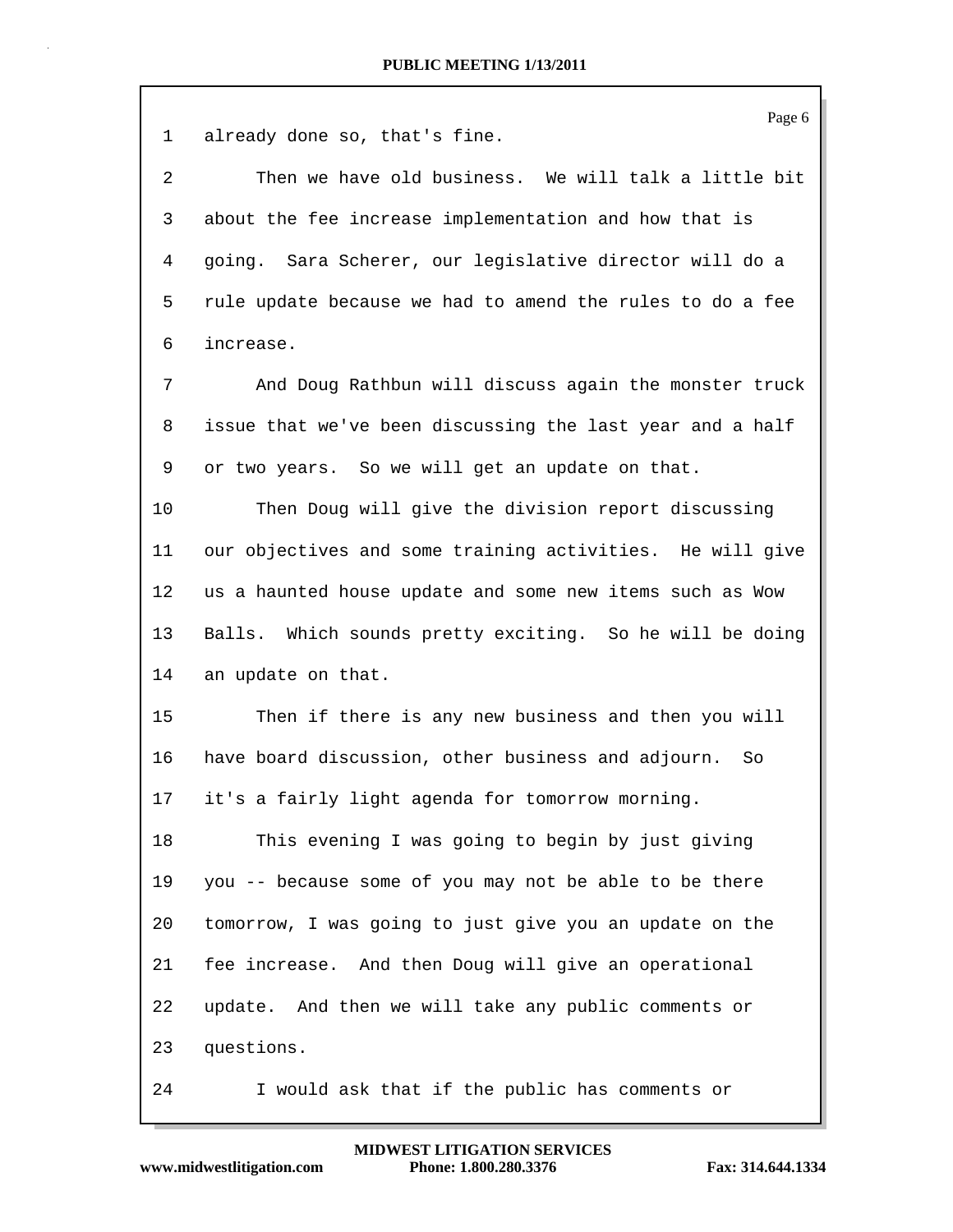Page 6 1 already done so, that's fine. 2 Then we have old business. We will talk a little bit 3 about the fee increase implementation and how that is 4 going. Sara Scherer, our legislative director will do a 5 rule update because we had to amend the rules to do a fee 6 increase. 7 And Doug Rathbun will discuss again the monster truck 8 issue that we've been discussing the last year and a half 9 or two years. So we will get an update on that. 10 Then Doug will give the division report discussing 11 our objectives and some training activities. He will give 12 us a haunted house update and some new items such as Wow 13 Balls. Which sounds pretty exciting. So he will be doing 14 an update on that. 15 Then if there is any new business and then you will 16 have board discussion, other business and adjourn. So 17 it's a fairly light agenda for tomorrow morning. 18 This evening I was going to begin by just giving 19 you -- because some of you may not be able to be there 20 tomorrow, I was going to just give you an update on the 21 fee increase. And then Doug will give an operational 22 update. And then we will take any public comments or 23 questions. 24 I would ask that if the public has comments or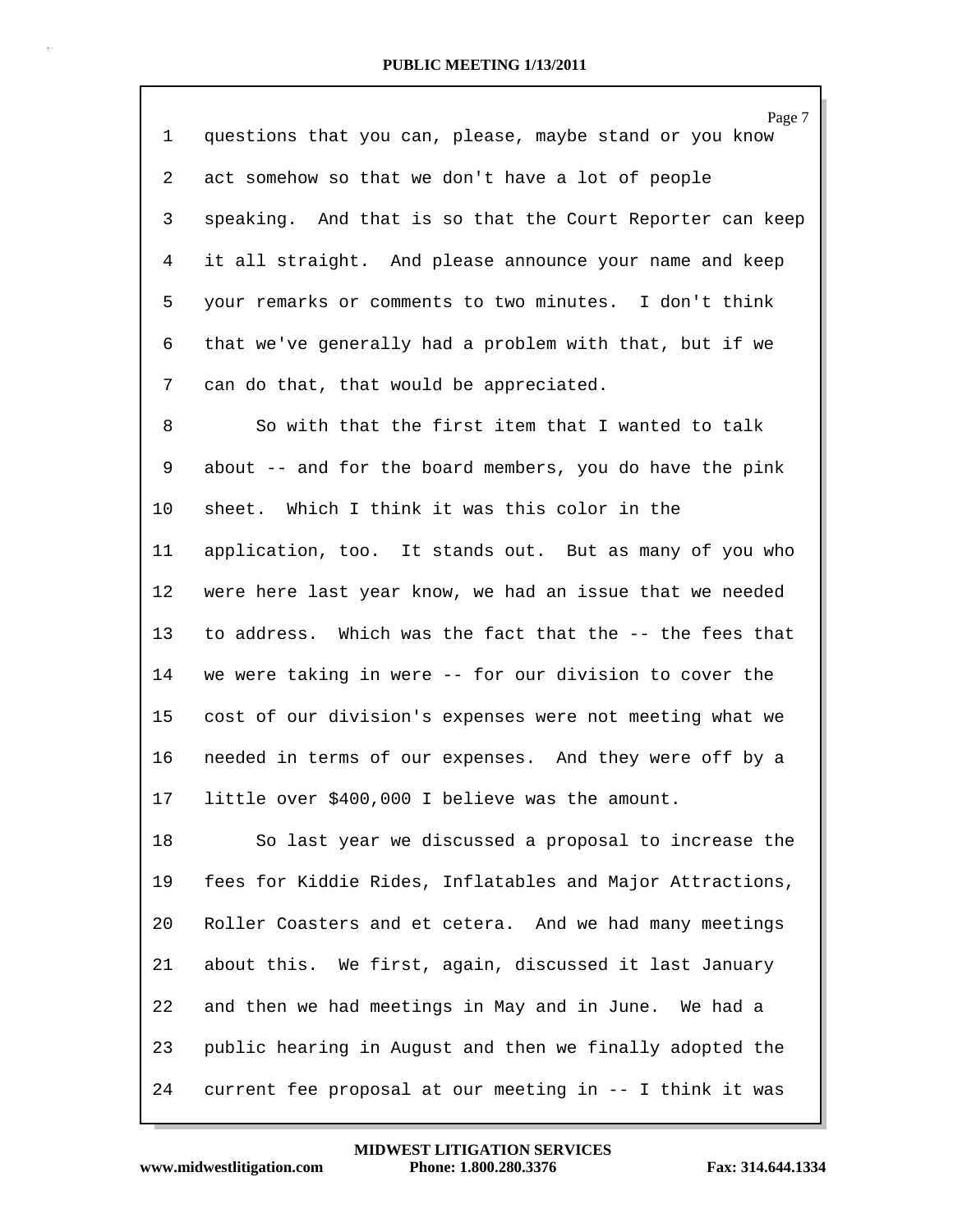| 1  | Page 7<br>questions that you can, please, maybe stand or you know |
|----|-------------------------------------------------------------------|
| 2  | act somehow so that we don't have a lot of people                 |
| 3  | speaking. And that is so that the Court Reporter can keep         |
| 4  | it all straight. And please announce your name and keep           |
| 5  | your remarks or comments to two minutes. I don't think            |
| 6  | that we've generally had a problem with that, but if we           |
| 7  | can do that, that would be appreciated.                           |
| 8  | So with that the first item that I wanted to talk                 |
| 9  | about -- and for the board members, you do have the pink          |
| 10 | sheet. Which I think it was this color in the                     |
| 11 | application, too. It stands out. But as many of you who           |
| 12 | were here last year know, we had an issue that we needed          |
| 13 | to address. Which was the fact that the -- the fees that          |
| 14 | we were taking in were -- for our division to cover the           |
| 15 | cost of our division's expenses were not meeting what we          |
| 16 | needed in terms of our expenses. And they were off by a           |
| 17 | little over \$400,000 I believe was the amount.                   |
| 18 | So last year we discussed a proposal to increase the              |
| 19 | fees for Kiddie Rides, Inflatables and Major Attractions,         |
| 20 | Roller Coasters and et cetera. And we had many meetings           |
| 21 | about this. We first, again, discussed it last January            |
| 22 | and then we had meetings in May and in June. We had a             |
| 23 | public hearing in August and then we finally adopted the          |
| 24 | current fee proposal at our meeting in -- I think it was          |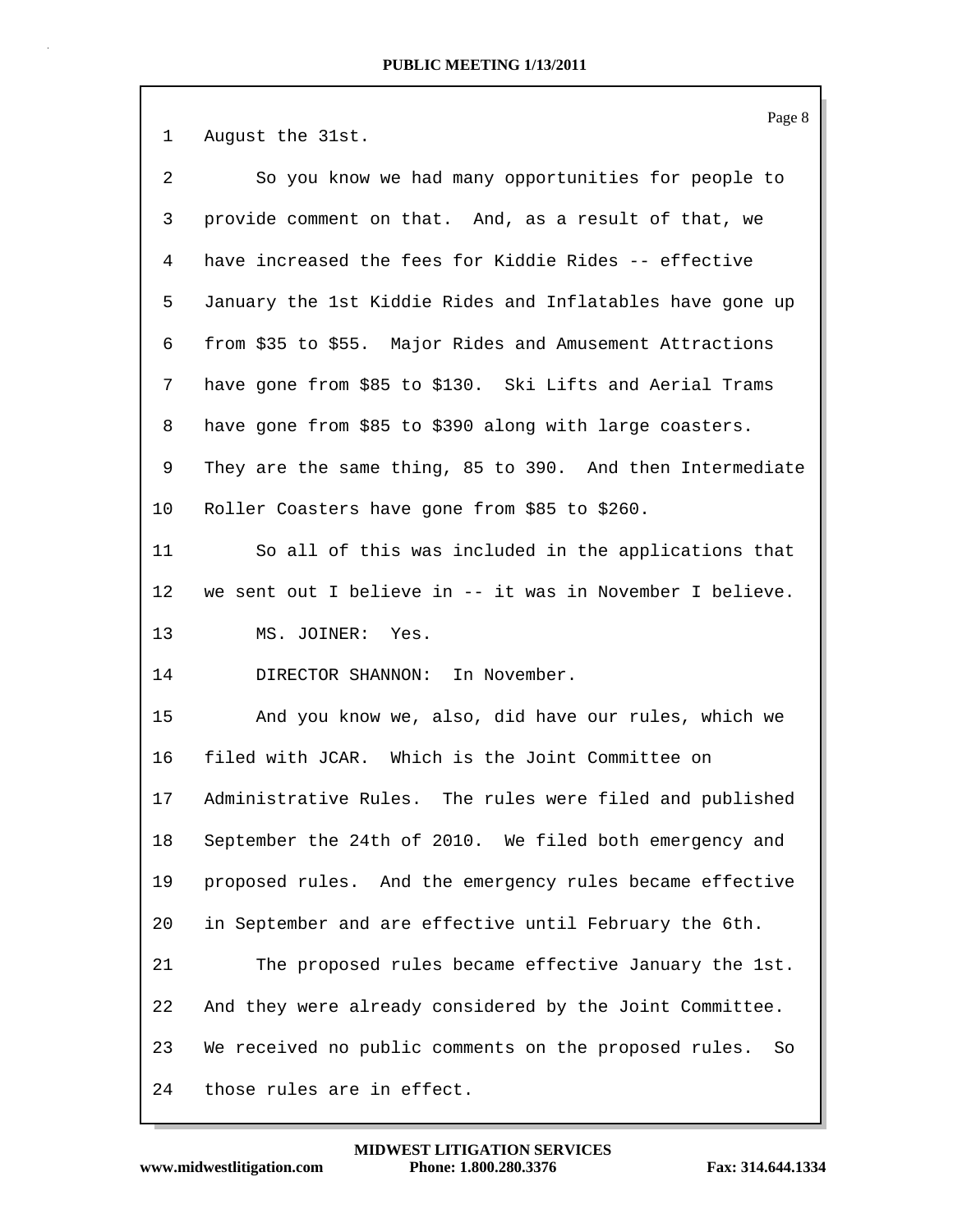1 August the 31st. 2 So you know we had many opportunities for people to 3 provide comment on that. And, as a result of that, we 4 have increased the fees for Kiddie Rides -- effective 5 January the 1st Kiddie Rides and Inflatables have gone up 6 from \$35 to \$55. Major Rides and Amusement Attractions 7 have gone from \$85 to \$130. Ski Lifts and Aerial Trams 8 have gone from \$85 to \$390 along with large coasters. 9 They are the same thing, 85 to 390. And then Intermediate 10 Roller Coasters have gone from \$85 to \$260. 11 So all of this was included in the applications that 12 we sent out I believe in -- it was in November I believe. 13 MS. JOINER: Yes. 14 DIRECTOR SHANNON: In November. 15 And you know we, also, did have our rules, which we 16 filed with JCAR. Which is the Joint Committee on 17 Administrative Rules. The rules were filed and published 18 September the 24th of 2010. We filed both emergency and 19 proposed rules. And the emergency rules became effective 20 in September and are effective until February the 6th. 21 The proposed rules became effective January the 1st. 22 And they were already considered by the Joint Committee. 23 We received no public comments on the proposed rules. So 24 those rules are in effect.

Page 8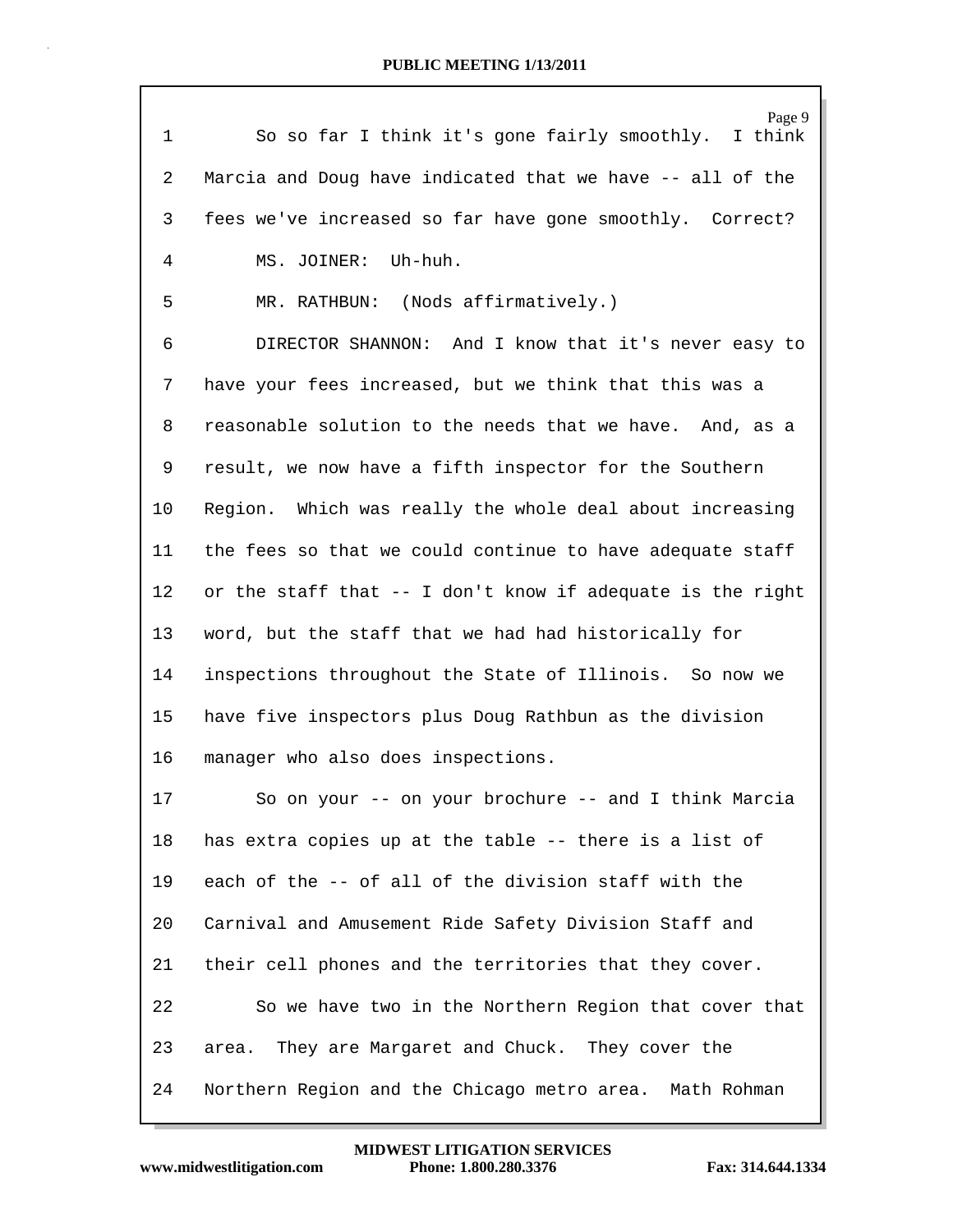| $\mathbf{1}$   | Page 9<br>So so far I think it's gone fairly smoothly.<br>I think |
|----------------|-------------------------------------------------------------------|
| $\overline{2}$ | Marcia and Doug have indicated that we have -- all of the         |
| 3              | fees we've increased so far have gone smoothly. Correct?          |
| 4              | MS. JOINER: Uh-huh.                                               |
| 5              | MR. RATHBUN: (Nods affirmatively.)                                |
| 6              | DIRECTOR SHANNON: And I know that it's never easy to              |
| 7              | have your fees increased, but we think that this was a            |
| 8              | reasonable solution to the needs that we have. And, as a          |
| 9              | result, we now have a fifth inspector for the Southern            |
| 10             | Region. Which was really the whole deal about increasing          |
| 11             | the fees so that we could continue to have adequate staff         |
| 12             | or the staff that -- I don't know if adequate is the right        |
| 13             | word, but the staff that we had had historically for              |
| 14             | inspections throughout the State of Illinois. So now we           |
| 15             | have five inspectors plus Doug Rathbun as the division            |
| 16             | manager who also does inspections.                                |
| 17             | So on your -- on your brochure -- and I think Marcia              |
| 18             | has extra copies up at the table -- there is a list of            |
| 19             | each of the -- of all of the division staff with the              |
| 20             | Carnival and Amusement Ride Safety Division Staff and             |
| 21             | their cell phones and the territories that they cover.            |
| 22             | So we have two in the Northern Region that cover that             |
| 23             | area. They are Margaret and Chuck. They cover the                 |
| 24             | Northern Region and the Chicago metro area. Math Rohman           |

www.midwestlitigation.com Phone: 1.800.280.3376 Fax: 314.644.1334 **MIDWEST LITIGATION SERVICES**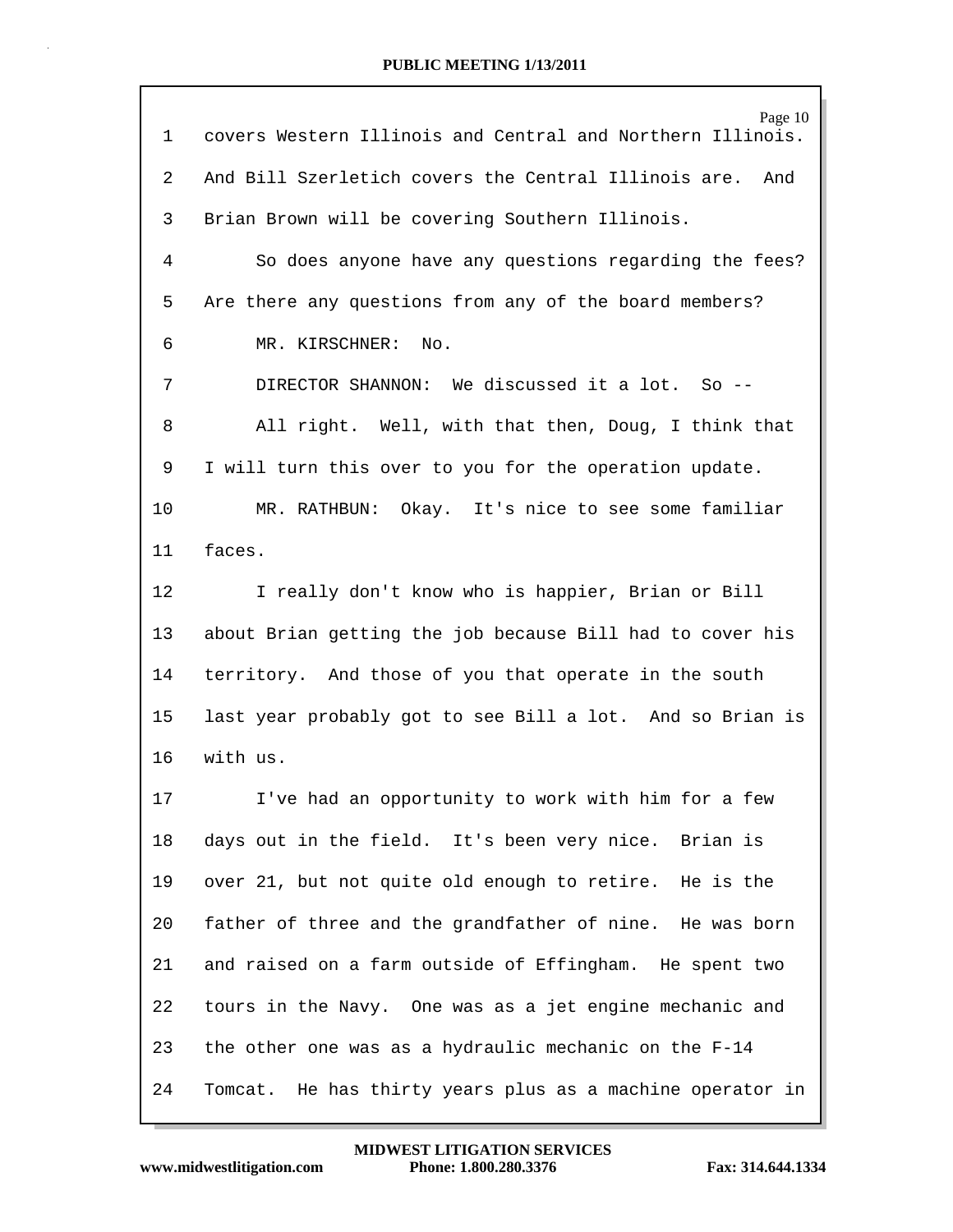| 1  | Page 10<br>covers Western Illinois and Central and Northern Illinois. |
|----|-----------------------------------------------------------------------|
| 2  | And Bill Szerletich covers the Central Illinois are.<br>And           |
| 3  | Brian Brown will be covering Southern Illinois.                       |
| 4  | So does anyone have any questions regarding the fees?                 |
| 5  | Are there any questions from any of the board members?                |
| 6  | MR. KIRSCHNER:<br>No.                                                 |
| 7  | DIRECTOR SHANNON: We discussed it a lot. So --                        |
| 8  | All right. Well, with that then, Doug, I think that                   |
| 9  | I will turn this over to you for the operation update.                |
| 10 | MR. RATHBUN: Okay. It's nice to see some familiar                     |
| 11 | faces.                                                                |
| 12 | I really don't know who is happier, Brian or Bill                     |
| 13 | about Brian getting the job because Bill had to cover his             |
| 14 | territory. And those of you that operate in the south                 |
| 15 | last year probably got to see Bill a lot. And so Brian is             |
| 16 | with us.                                                              |
| 17 | I've had an opportunity to work with him for a few                    |
| 18 | days out in the field. It's been very nice. Brian is                  |
| 19 | over 21, but not quite old enough to retire. He is the                |
| 20 | father of three and the grandfather of nine. He was born              |
| 21 | and raised on a farm outside of Effingham. He spent two               |
| 22 | tours in the Navy. One was as a jet engine mechanic and               |
| 23 | the other one was as a hydraulic mechanic on the F-14                 |
| 24 | Tomcat. He has thirty years plus as a machine operator in             |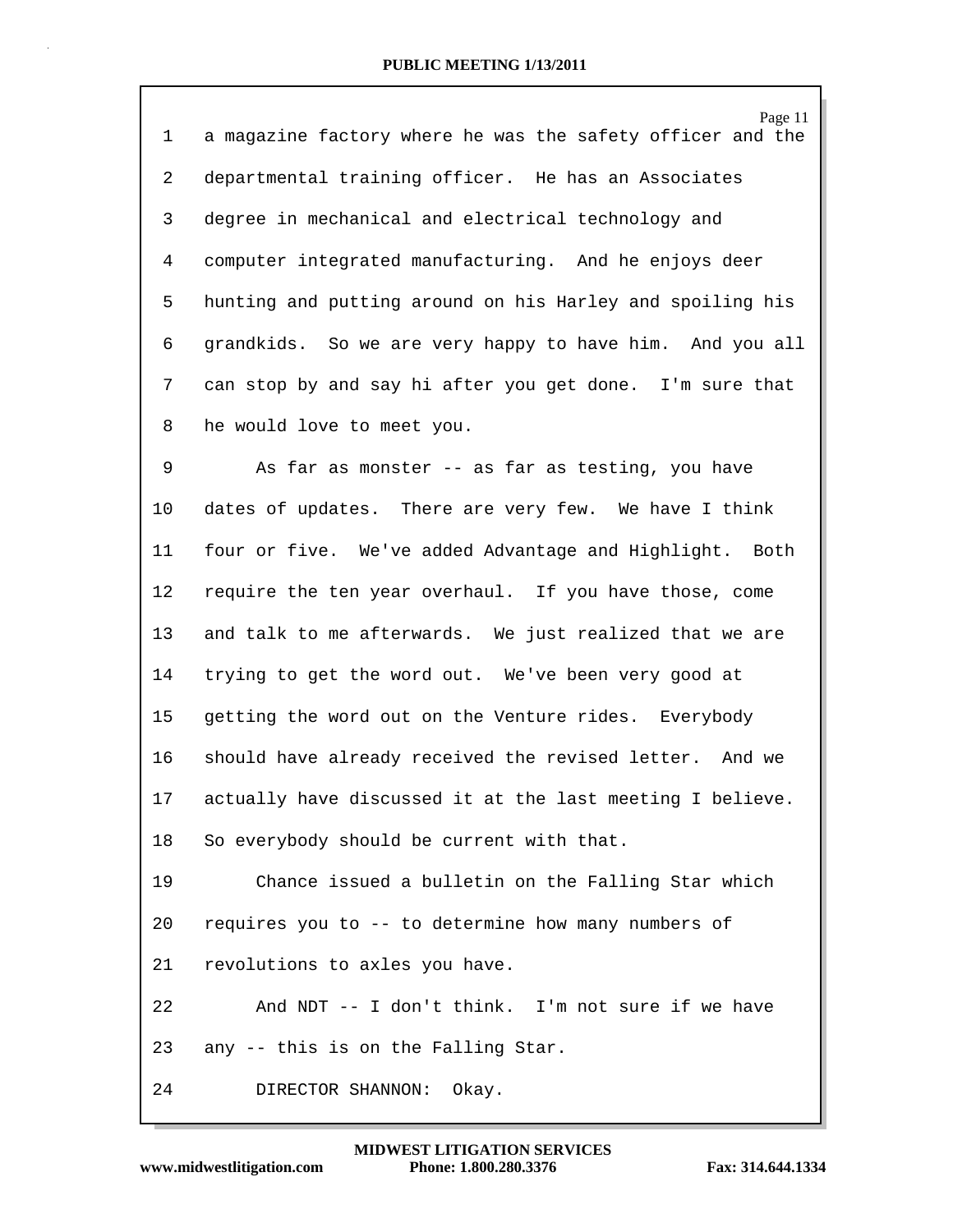Page 11 1 a magazine factory where he was the safety officer and the 2 departmental training officer. He has an Associates 3 degree in mechanical and electrical technology and 4 computer integrated manufacturing. And he enjoys deer 5 hunting and putting around on his Harley and spoiling his 6 grandkids. So we are very happy to have him. And you all 7 can stop by and say hi after you get done. I'm sure that 8 he would love to meet you.

9 As far as monster -- as far as testing, you have 10 dates of updates. There are very few. We have I think 11 four or five. We've added Advantage and Highlight. Both 12 require the ten year overhaul. If you have those, come 13 and talk to me afterwards. We just realized that we are 14 trying to get the word out. We've been very good at 15 getting the word out on the Venture rides. Everybody 16 should have already received the revised letter. And we 17 actually have discussed it at the last meeting I believe. 18 So everybody should be current with that. 19 Chance issued a bulletin on the Falling Star which

20 requires you to -- to determine how many numbers of

21 revolutions to axles you have.

22 And NDT -- I don't think. I'm not sure if we have 23 any -- this is on the Falling Star.

24 DIRECTOR SHANNON: Okay.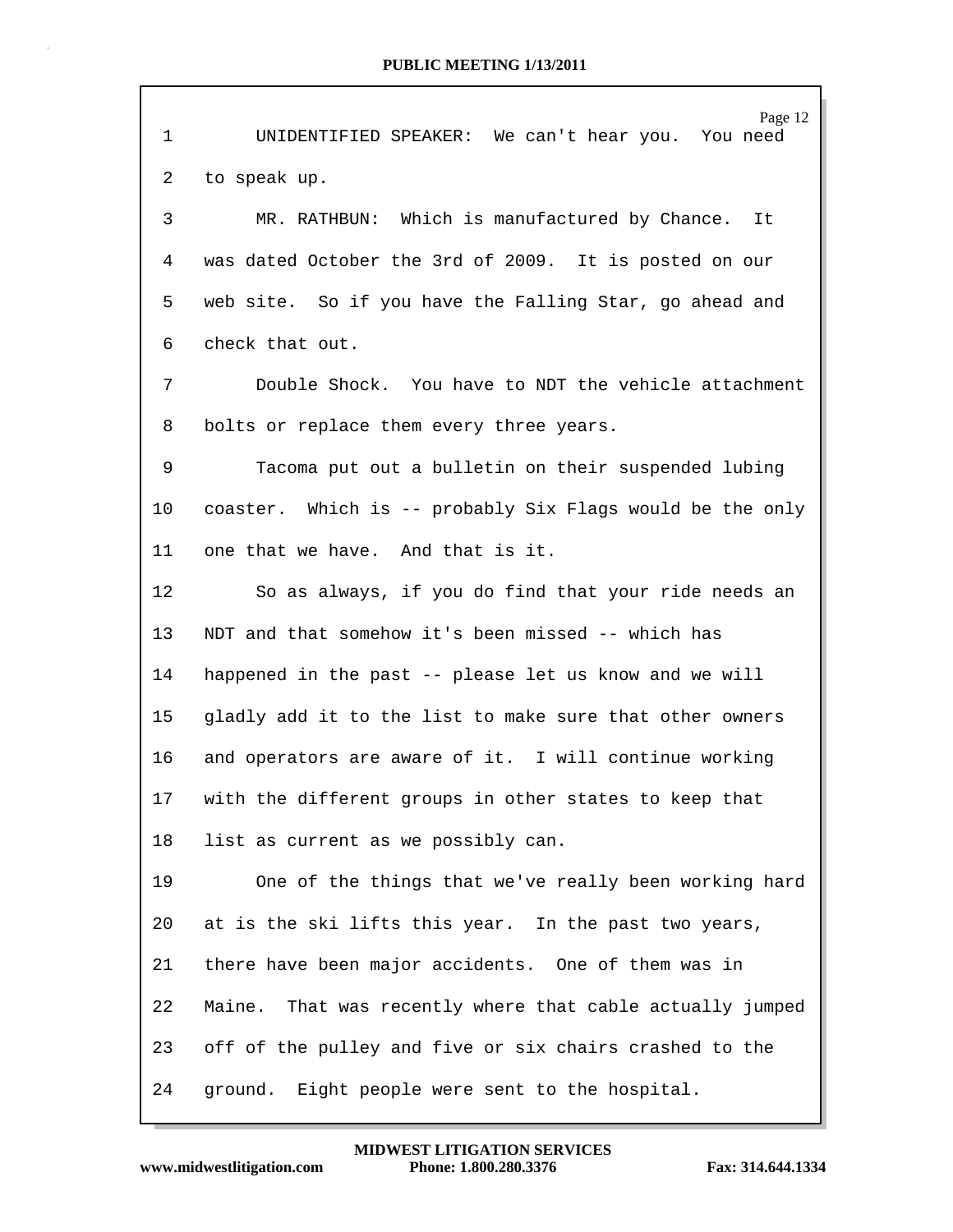|    | Page 12                                                      |
|----|--------------------------------------------------------------|
| 1  | UNIDENTIFIED SPEAKER: We can't hear you. You need            |
| 2  | to speak up.                                                 |
| 3  | MR. RATHBUN: Which is manufactured by Chance. It             |
| 4  | was dated October the 3rd of 2009. It is posted on our       |
| 5  | web site. So if you have the Falling Star, go ahead and      |
| 6  | check that out.                                              |
| 7  | Double Shock. You have to NDT the vehicle attachment         |
| 8  | bolts or replace them every three years.                     |
| 9  | Tacoma put out a bulletin on their suspended lubing          |
| 10 | coaster. Which is -- probably Six Flags would be the only    |
| 11 | one that we have. And that is it.                            |
| 12 | So as always, if you do find that your ride needs an         |
| 13 | NDT and that somehow it's been missed -- which has           |
| 14 | happened in the past -- please let us know and we will       |
| 15 | gladly add it to the list to make sure that other owners     |
| 16 | and operators are aware of it. I will continue working       |
| 17 | with the different groups in other states to keep that       |
| 18 | list as current as we possibly can.                          |
| 19 | One of the things that we've really been working hard        |
| 20 | at is the ski lifts this year. In the past two years,        |
| 21 | there have been major accidents. One of them was in          |
| 22 | That was recently where that cable actually jumped<br>Maine. |
| 23 | off of the pulley and five or six chairs crashed to the      |
| 24 | ground. Eight people were sent to the hospital.              |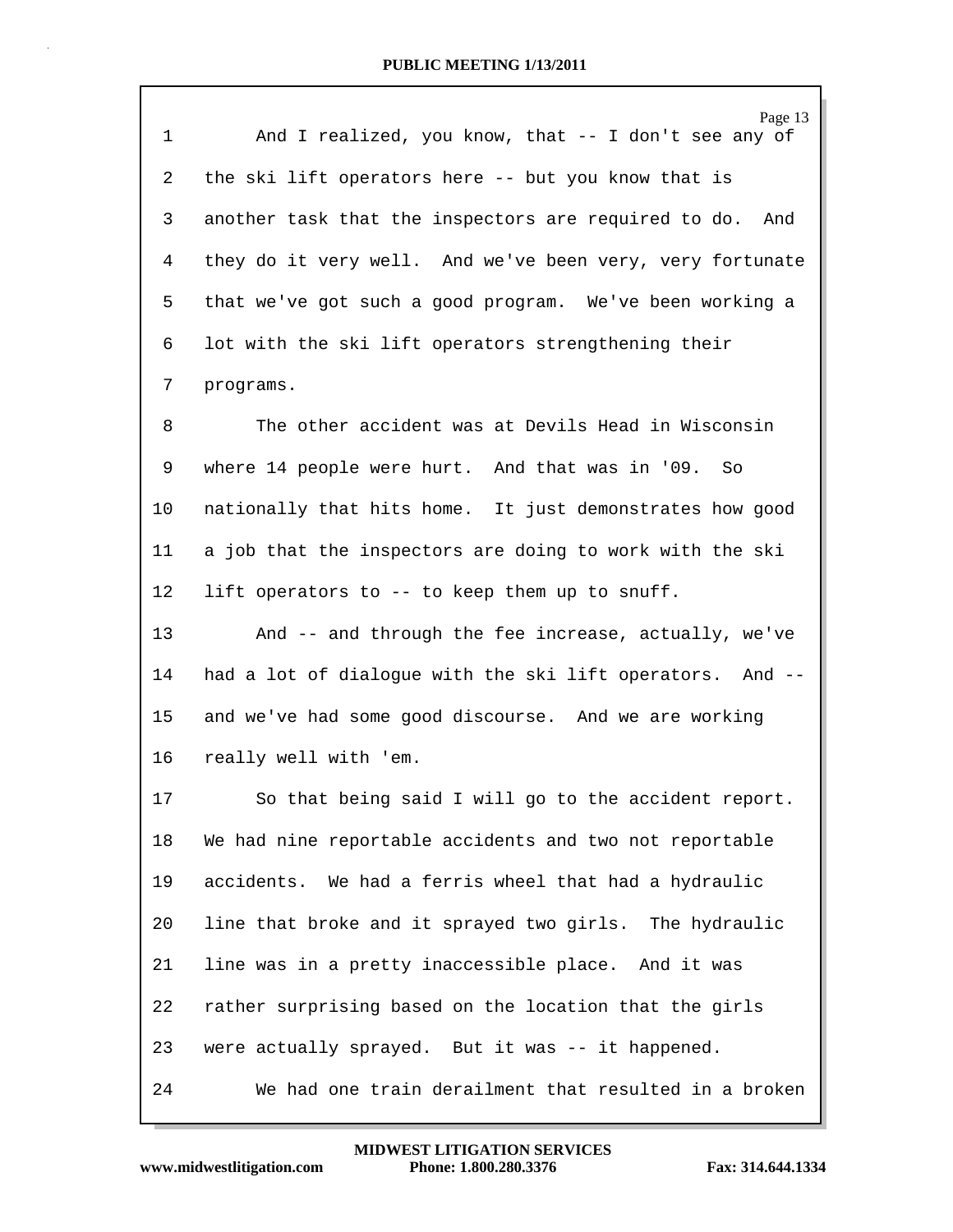| $\mathbf 1$    | Page 13<br>And I realized, you know, that -- I don't see any of |
|----------------|-----------------------------------------------------------------|
| 2              | the ski lift operators here -- but you know that is             |
| 3              | another task that the inspectors are required to do. And        |
| 4              | they do it very well. And we've been very, very fortunate       |
| 5              | that we've got such a good program. We've been working a        |
| 6              | lot with the ski lift operators strengthening their             |
| $7\phantom{.}$ | programs.                                                       |
| 8              | The other accident was at Devils Head in Wisconsin              |
| 9              | where 14 people were hurt. And that was in '09. So              |
| 10             | nationally that hits home. It just demonstrates how good        |
| 11             | a job that the inspectors are doing to work with the ski        |
| 12             | lift operators to -- to keep them up to snuff.                  |
| 13             | And -- and through the fee increase, actually, we've            |
| 14             | had a lot of dialogue with the ski lift operators. And --       |
| 15             | and we've had some good discourse. And we are working           |
| 16             | really well with 'em.                                           |
| 17             | So that being said I will go to the accident report.            |
| 18             | We had nine reportable accidents and two not reportable         |
| 19             | accidents. We had a ferris wheel that had a hydraulic           |
| 20             | line that broke and it sprayed two girls. The hydraulic         |
| 21             | line was in a pretty inaccessible place. And it was             |
| 22             | rather surprising based on the location that the girls          |
| 23             | were actually sprayed. But it was -- it happened.               |
| 24             | We had one train derailment that resulted in a broken           |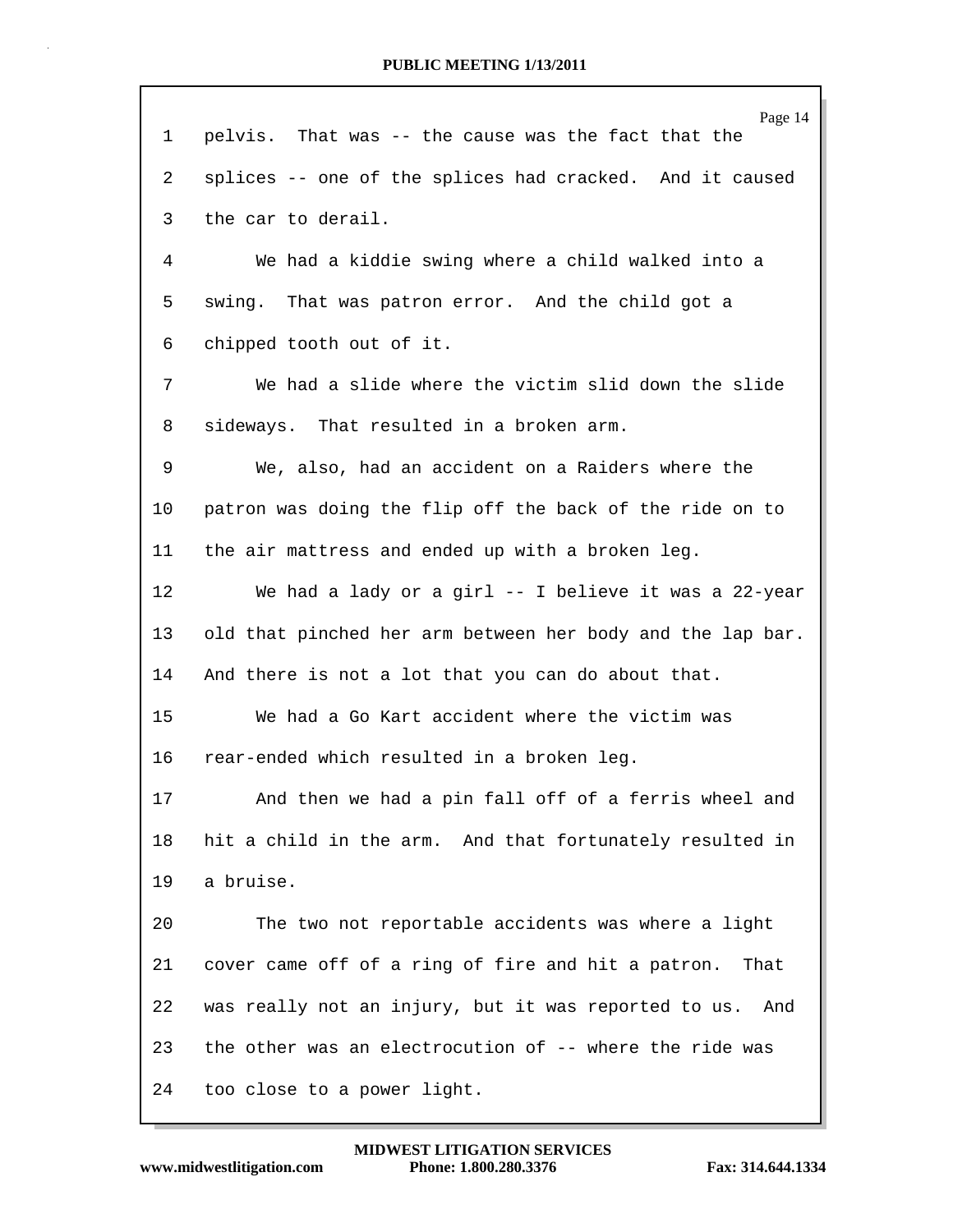|    | Page 14                                                     |
|----|-------------------------------------------------------------|
| 1  | pelvis. That was -- the cause was the fact that the         |
| 2  | splices -- one of the splices had cracked. And it caused    |
| 3  | the car to derail.                                          |
| 4  | We had a kiddie swing where a child walked into a           |
| 5  | swing. That was patron error. And the child got a           |
| 6  | chipped tooth out of it.                                    |
| 7  | We had a slide where the victim slid down the slide         |
| 8  | sideways. That resulted in a broken arm.                    |
| 9  | We, also, had an accident on a Raiders where the            |
| 10 | patron was doing the flip off the back of the ride on to    |
| 11 | the air mattress and ended up with a broken leg.            |
| 12 | We had a lady or a girl -- I believe it was a 22-year       |
| 13 | old that pinched her arm between her body and the lap bar.  |
| 14 | And there is not a lot that you can do about that.          |
| 15 | We had a Go Kart accident where the victim was              |
| 16 | rear-ended which resulted in a broken leg.                  |
| 17 | And then we had a pin fall off of a ferris wheel and        |
| 18 | hit a child in the arm. And that fortunately resulted in    |
| 19 | a bruise.                                                   |
| 20 | The two not reportable accidents was where a light          |
| 21 | cover came off of a ring of fire and hit a patron.<br>That  |
| 22 | was really not an injury, but it was reported to us.<br>And |
| 23 | the other was an electrocution of -- where the ride was     |
| 24 | too close to a power light.                                 |

Г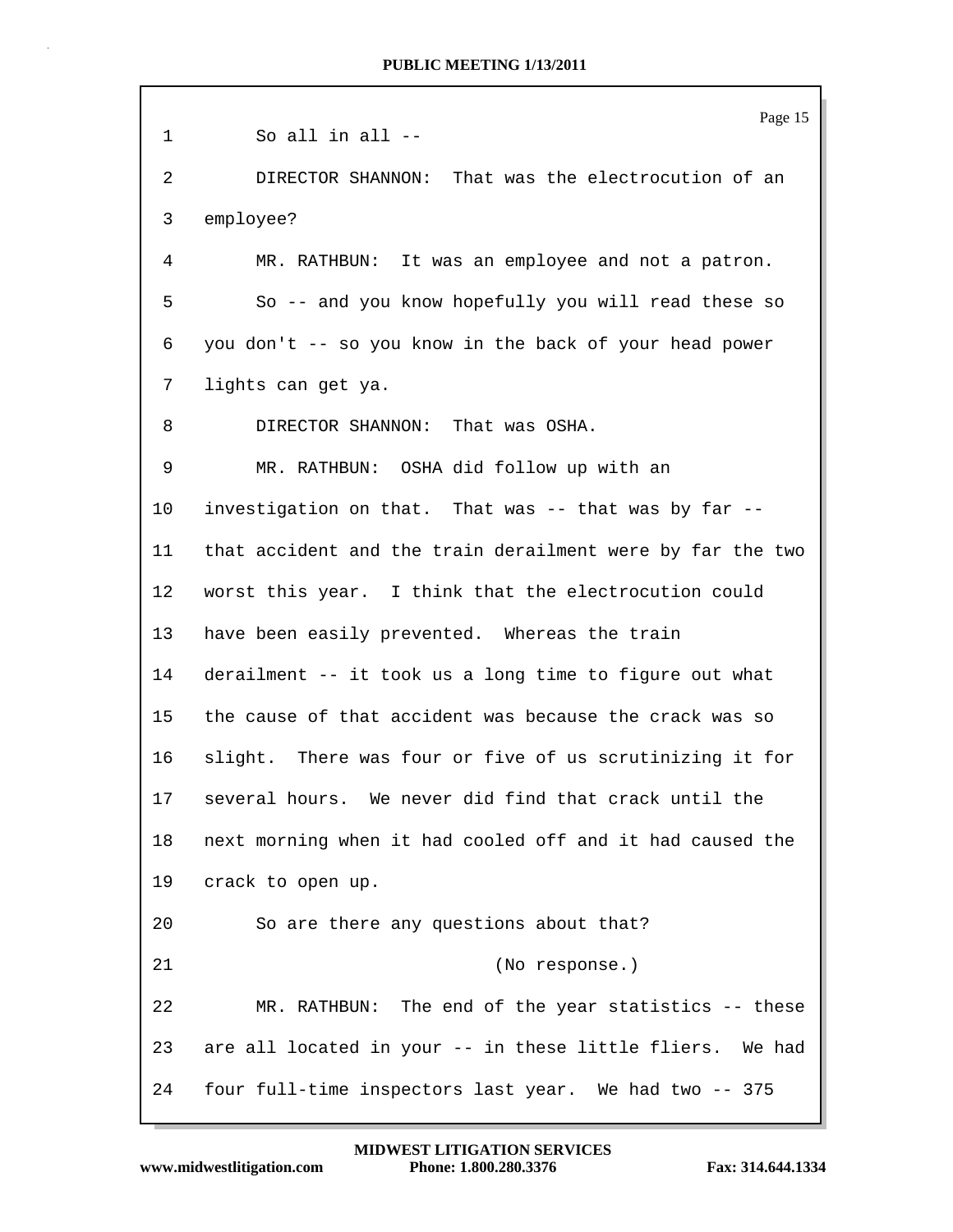Page 15 1 So all in all -- 2 DIRECTOR SHANNON: That was the electrocution of an 3 employee? 4 MR. RATHBUN: It was an employee and not a patron. 5 So -- and you know hopefully you will read these so 6 you don't -- so you know in the back of your head power 7 lights can get ya. 8 DIRECTOR SHANNON: That was OSHA. 9 MR. RATHBUN: OSHA did follow up with an 10 investigation on that. That was -- that was by far -- 11 that accident and the train derailment were by far the two 12 worst this year. I think that the electrocution could 13 have been easily prevented. Whereas the train 14 derailment -- it took us a long time to figure out what 15 the cause of that accident was because the crack was so 16 slight. There was four or five of us scrutinizing it for 17 several hours. We never did find that crack until the 18 next morning when it had cooled off and it had caused the 19 crack to open up. 20 So are there any questions about that? 21 (No response.) 22 MR. RATHBUN: The end of the year statistics -- these 23 are all located in your -- in these little fliers. We had 24 four full-time inspectors last year. We had two -- 375

**www.midwestlitigation.com Phone: 1.800.280.3376 Fax: 314.644.1334 MIDWEST LITIGATION SERVICES**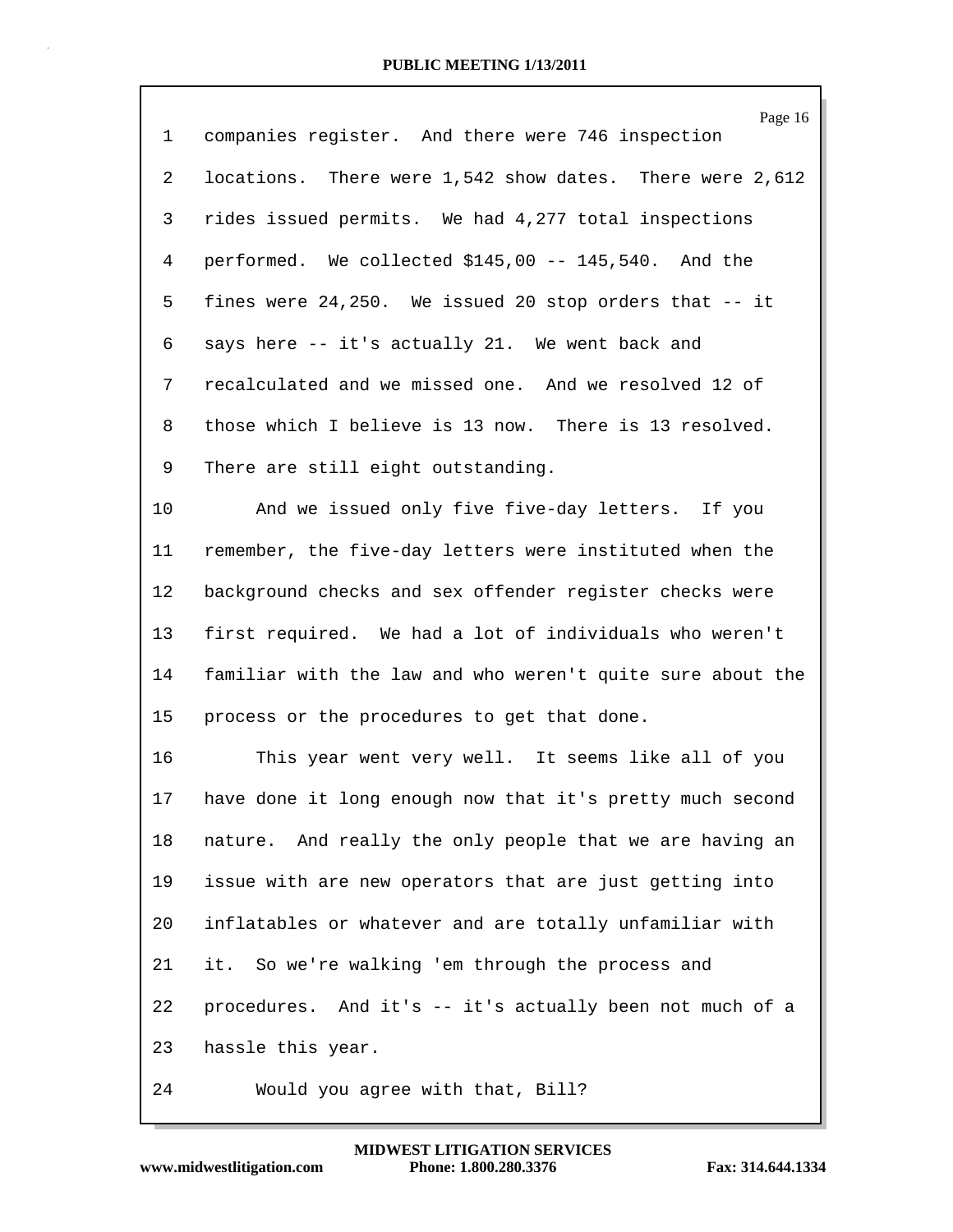| $\mathbf{1}$   | Page 16<br>companies register. And there were 746 inspection |
|----------------|--------------------------------------------------------------|
| $\overline{2}$ | locations. There were 1,542 show dates. There were 2,612     |
| 3              | rides issued permits. We had 4,277 total inspections         |
| 4              | performed. We collected \$145,00 -- 145,540. And the         |
| 5              | fines were 24,250. We issued 20 stop orders that -- it       |
| 6              | says here -- it's actually 21. We went back and              |
| 7              | recalculated and we missed one. And we resolved 12 of        |
| 8              | those which I believe is 13 now. There is 13 resolved.       |
| 9              | There are still eight outstanding.                           |
| 10             | And we issued only five five-day letters. If you             |
| 11             | remember, the five-day letters were instituted when the      |
| 12             | background checks and sex offender register checks were      |
| 13             | first required. We had a lot of individuals who weren't      |
| 14             | familiar with the law and who weren't quite sure about the   |
| 15             | process or the procedures to get that done.                  |
| 16             | This year went very well. It seems like all of you           |
| 17             | have done it long enough now that it's pretty much second    |
| 18             | nature. And really the only people that we are having an     |
| 19             | issue with are new operators that are just getting into      |
| 20             | inflatables or whatever and are totally unfamiliar with      |
| 21             | it. So we're walking 'em through the process and             |
| 22             | procedures. And it's -- it's actually been not much of a     |
| 23             | hassle this year.                                            |
| 24             | Would you agree with that, Bill?                             |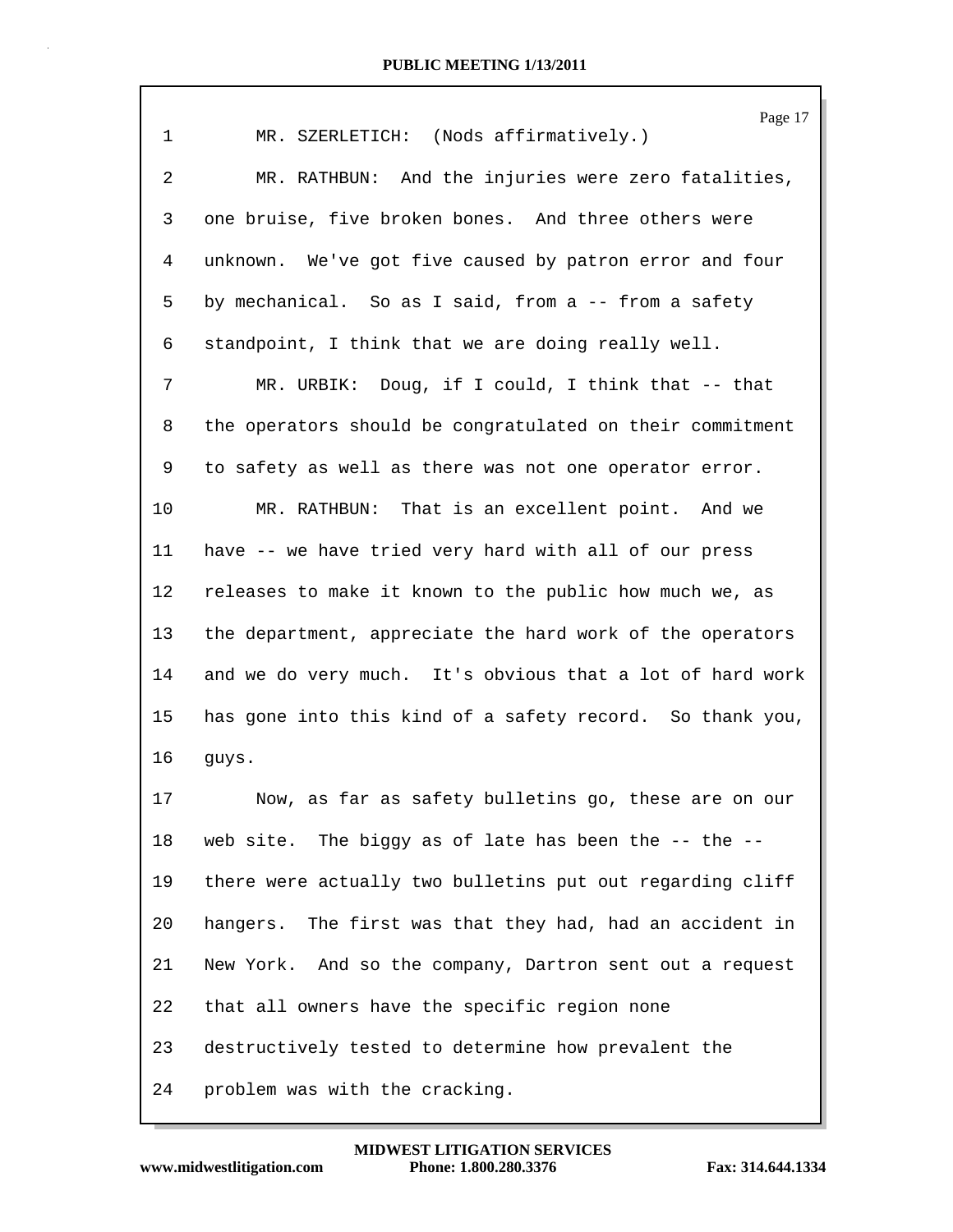|                | Page 17                                                   |
|----------------|-----------------------------------------------------------|
| $\mathbf 1$    | MR. SZERLETICH: (Nods affirmatively.)                     |
| $\overline{a}$ | MR. RATHBUN: And the injuries were zero fatalities,       |
| 3              | one bruise, five broken bones. And three others were      |
| 4              | unknown. We've got five caused by patron error and four   |
| 5              | by mechanical. So as I said, from a -- from a safety      |
| 6              | standpoint, I think that we are doing really well.        |
| 7              | MR. URBIK: Doug, if I could, I think that -- that         |
| 8              | the operators should be congratulated on their commitment |
| 9              | to safety as well as there was not one operator error.    |
| 10             | MR. RATHBUN: That is an excellent point. And we           |
| 11             | have -- we have tried very hard with all of our press     |
| 12             | releases to make it known to the public how much we, as   |
| 13             | the department, appreciate the hard work of the operators |
| 14             | and we do very much. It's obvious that a lot of hard work |
| 15             | has gone into this kind of a safety record. So thank you, |
| 16             | guys.                                                     |
| 17             | Now, as far as safety bulletins go, these are on our      |
| 18             | web site. The biggy as of late has been the -- the --     |
| 19             | there were actually two bulletins put out regarding cliff |
| 20             | hangers. The first was that they had, had an accident in  |
| 21             | New York. And so the company, Dartron sent out a request  |
| 22             | that all owners have the specific region none             |
| 23             | destructively tested to determine how prevalent the       |
| 24             | problem was with the cracking.                            |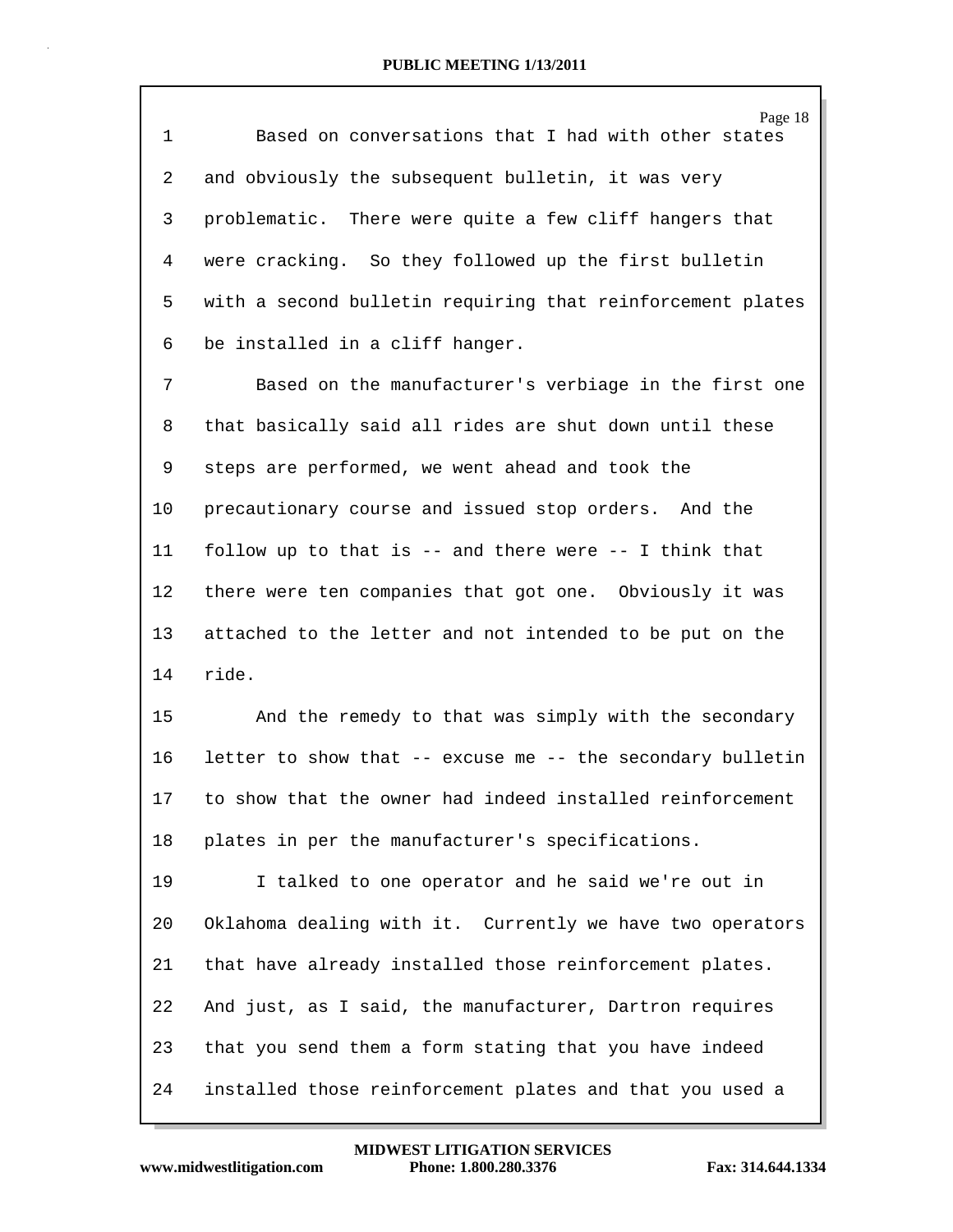| $\mathbf 1$    | Page 18<br>Based on conversations that I had with other states |
|----------------|----------------------------------------------------------------|
| $\overline{2}$ | and obviously the subsequent bulletin, it was very             |
| 3              | problematic. There were quite a few cliff hangers that         |
| 4              | were cracking. So they followed up the first bulletin          |
| 5              | with a second bulletin requiring that reinforcement plates     |
| 6              | be installed in a cliff hanger.                                |
| 7              | Based on the manufacturer's verbiage in the first one          |
| 8              | that basically said all rides are shut down until these        |
| 9              | steps are performed, we went ahead and took the                |
| 10             | precautionary course and issued stop orders. And the           |
| 11             | follow up to that is -- and there were -- I think that         |
| 12             | there were ten companies that got one. Obviously it was        |
| 13             | attached to the letter and not intended to be put on the       |
| 14             | ride.                                                          |
| 15             | And the remedy to that was simply with the secondary           |
| 16             | letter to show that -- excuse me -- the secondary bulletin     |
| 17             | to show that the owner had indeed installed reinforcement      |
| 18             | plates in per the manufacturer's specifications.               |
| 19             | I talked to one operator and he said we're out in              |
| 20             | Oklahoma dealing with it. Currently we have two operators      |
| 21             | that have already installed those reinforcement plates.        |
| 22             | And just, as I said, the manufacturer, Dartron requires        |
| 23             | that you send them a form stating that you have indeed         |
| 24             | installed those reinforcement plates and that you used a       |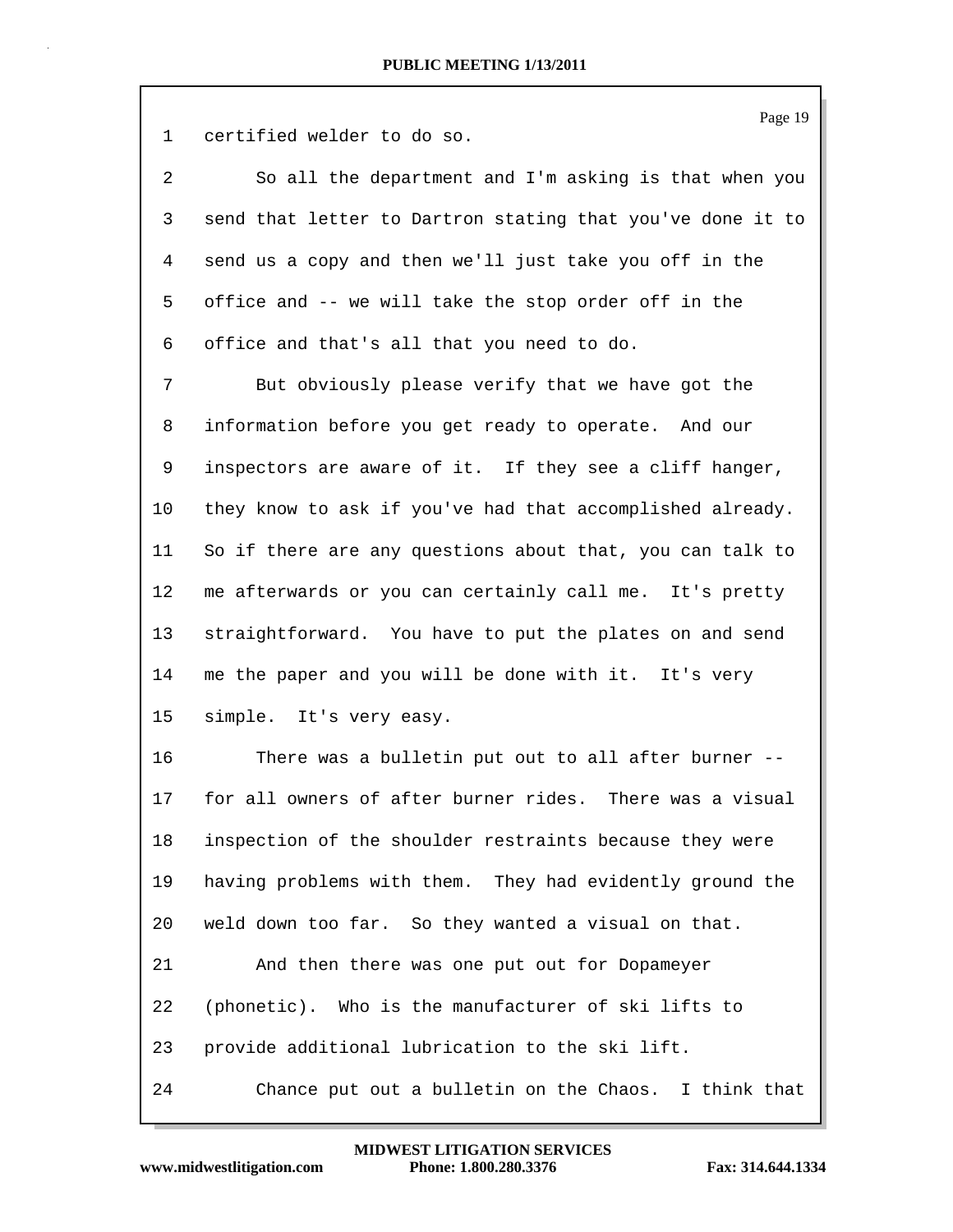1 certified welder to do so.

| 2 | So all the department and I'm asking is that when you      |
|---|------------------------------------------------------------|
|   | send that letter to Dartron stating that you've done it to |
| 4 | send us a copy and then we'll just take you off in the     |
|   | 5 office and -- we will take the stop order off in the     |
|   | 6 office and that's all that you need to do.               |

7 But obviously please verify that we have got the 8 information before you get ready to operate. And our 9 inspectors are aware of it. If they see a cliff hanger, 10 they know to ask if you've had that accomplished already. 11 So if there are any questions about that, you can talk to 12 me afterwards or you can certainly call me. It's pretty 13 straightforward. You have to put the plates on and send 14 me the paper and you will be done with it. It's very 15 simple. It's very easy.

16 There was a bulletin put out to all after burner -- 17 for all owners of after burner rides. There was a visual 18 inspection of the shoulder restraints because they were 19 having problems with them. They had evidently ground the 20 weld down too far. So they wanted a visual on that. 21 And then there was one put out for Dopameyer 22 (phonetic). Who is the manufacturer of ski lifts to 23 provide additional lubrication to the ski lift. 24 Chance put out a bulletin on the Chaos. I think that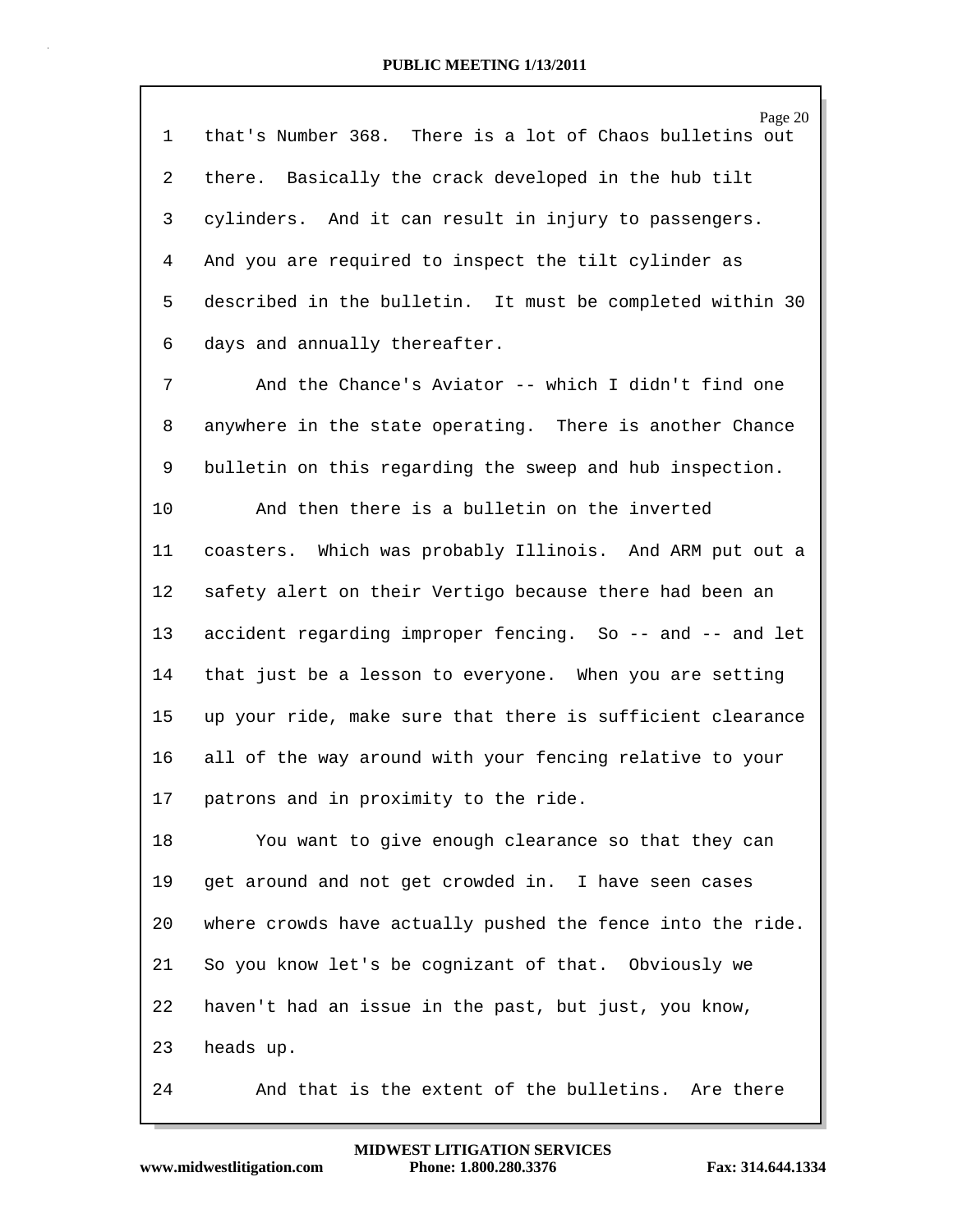| $\mathbf 1$    | Page 20<br>that's Number 368. There is a lot of Chaos bulletins out |  |  |  |  |  |  |
|----------------|---------------------------------------------------------------------|--|--|--|--|--|--|
| $\overline{2}$ | there. Basically the crack developed in the hub tilt                |  |  |  |  |  |  |
| 3              | cylinders. And it can result in injury to passengers.               |  |  |  |  |  |  |
|                |                                                                     |  |  |  |  |  |  |
| 4              | And you are required to inspect the tilt cylinder as                |  |  |  |  |  |  |
| 5              | described in the bulletin. It must be completed within 30           |  |  |  |  |  |  |
| 6              | days and annually thereafter.                                       |  |  |  |  |  |  |
| 7              | And the Chance's Aviator -- which I didn't find one                 |  |  |  |  |  |  |
| 8              | anywhere in the state operating. There is another Chance            |  |  |  |  |  |  |
| 9              | bulletin on this regarding the sweep and hub inspection.            |  |  |  |  |  |  |
| 10             | And then there is a bulletin on the inverted                        |  |  |  |  |  |  |
| 11             | coasters. Which was probably Illinois. And ARM put out a            |  |  |  |  |  |  |
| 12             | safety alert on their Vertigo because there had been an             |  |  |  |  |  |  |
| 13             | accident regarding improper fencing. So -- and -- and let           |  |  |  |  |  |  |
| 14             | that just be a lesson to everyone. When you are setting             |  |  |  |  |  |  |
| 15             | up your ride, make sure that there is sufficient clearance          |  |  |  |  |  |  |
| 16             | all of the way around with your fencing relative to your            |  |  |  |  |  |  |
| 17             | patrons and in proximity to the ride.                               |  |  |  |  |  |  |
| 18             | You want to give enough clearance so that they can                  |  |  |  |  |  |  |
| 19             | get around and not get crowded in. I have seen cases                |  |  |  |  |  |  |
| 20             | where crowds have actually pushed the fence into the ride.          |  |  |  |  |  |  |
| 21             | So you know let's be cognizant of that. Obviously we                |  |  |  |  |  |  |
| 22             | haven't had an issue in the past, but just, you know,               |  |  |  |  |  |  |
| 23             | heads up.                                                           |  |  |  |  |  |  |
| 24             | And that is the extent of the bulletins. Are there                  |  |  |  |  |  |  |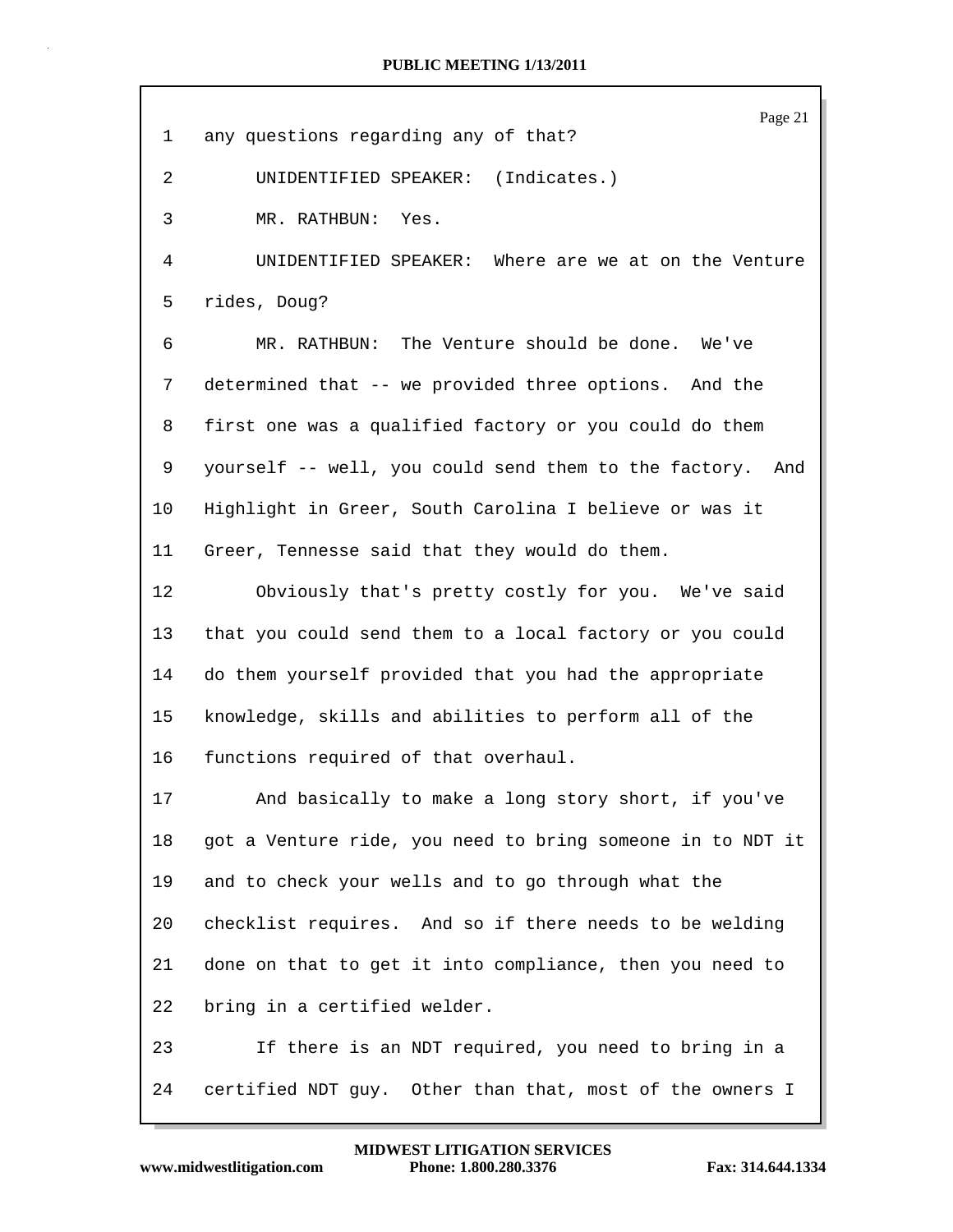| $\mathbf 1$ | Page 21<br>any questions regarding any of that?            |  |  |  |  |  |  |
|-------------|------------------------------------------------------------|--|--|--|--|--|--|
| 2           | UNIDENTIFIED SPEAKER: (Indicates.)                         |  |  |  |  |  |  |
|             |                                                            |  |  |  |  |  |  |
| 3           | MR. RATHBUN: Yes.                                          |  |  |  |  |  |  |
| 4           | Where are we at on the Venture<br>UNIDENTIFIED SPEAKER:    |  |  |  |  |  |  |
| 5           | rides, Doug?                                               |  |  |  |  |  |  |
| 6           | MR. RATHBUN: The Venture should be done. We've             |  |  |  |  |  |  |
| 7           | determined that -- we provided three options. And the      |  |  |  |  |  |  |
| 8           | first one was a qualified factory or you could do them     |  |  |  |  |  |  |
| 9           | yourself -- well, you could send them to the factory. And  |  |  |  |  |  |  |
| 10          | Highlight in Greer, South Carolina I believe or was it     |  |  |  |  |  |  |
| 11          | Greer, Tennesse said that they would do them.              |  |  |  |  |  |  |
| 12          | Obviously that's pretty costly for you. We've said         |  |  |  |  |  |  |
| 13          | that you could send them to a local factory or you could   |  |  |  |  |  |  |
| 14          | do them yourself provided that you had the appropriate     |  |  |  |  |  |  |
| 15          | knowledge, skills and abilities to perform all of the      |  |  |  |  |  |  |
| 16          | functions required of that overhaul.                       |  |  |  |  |  |  |
| 17          | And basically to make a long story short, if you've        |  |  |  |  |  |  |
| 18          | got a Venture ride, you need to bring someone in to NDT it |  |  |  |  |  |  |
| 19          | and to check your wells and to go through what the         |  |  |  |  |  |  |
| 20          | checklist requires. And so if there needs to be welding    |  |  |  |  |  |  |
| 21          | done on that to get it into compliance, then you need to   |  |  |  |  |  |  |
| 22          | bring in a certified welder.                               |  |  |  |  |  |  |
| 23          | If there is an NDT required, you need to bring in a        |  |  |  |  |  |  |
| 24          | certified NDT guy. Other than that, most of the owners I   |  |  |  |  |  |  |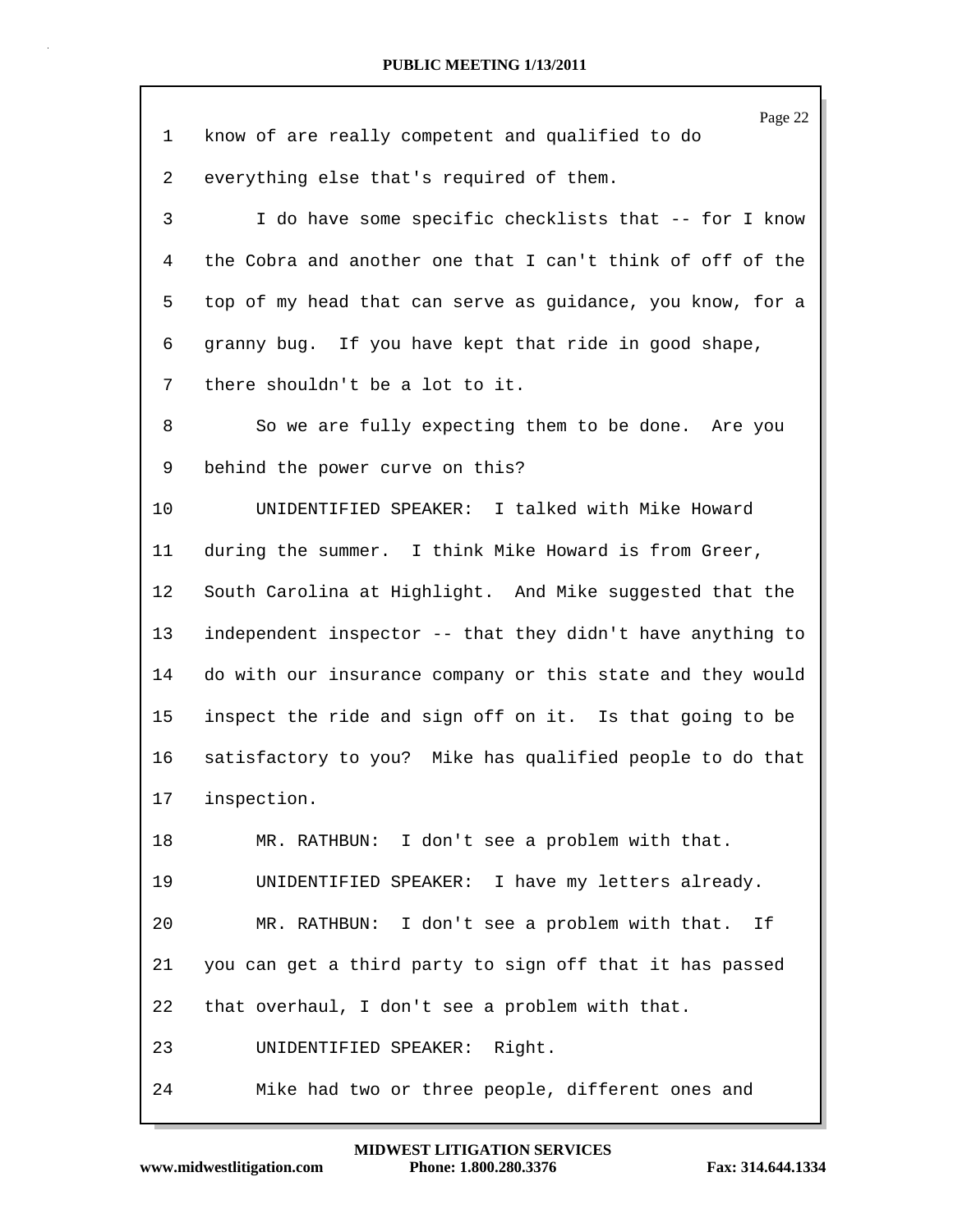|    | Page 22                                                    |
|----|------------------------------------------------------------|
| 1  | know of are really competent and qualified to do           |
| 2  | everything else that's required of them.                   |
| 3  | I do have some specific checklists that -- for I know      |
| 4  | the Cobra and another one that I can't think of off of the |
| 5  | top of my head that can serve as guidance, you know, for a |
| 6  | granny bug. If you have kept that ride in good shape,      |
| 7  | there shouldn't be a lot to it.                            |
| 8  | So we are fully expecting them to be done. Are you         |
| 9  | behind the power curve on this?                            |
| 10 | UNIDENTIFIED SPEAKER: I talked with Mike Howard            |
| 11 | during the summer. I think Mike Howard is from Greer,      |
| 12 | South Carolina at Highlight. And Mike suggested that the   |
| 13 | independent inspector -- that they didn't have anything to |
| 14 | do with our insurance company or this state and they would |
| 15 | inspect the ride and sign off on it. Is that going to be   |
| 16 | satisfactory to you? Mike has qualified people to do that  |
| 17 | inspection.                                                |
| 18 | MR. RATHBUN: I don't see a problem with that.              |
| 19 | UNIDENTIFIED SPEAKER: I have my letters already.           |
| 20 | MR. RATHBUN: I don't see a problem with that. If           |
| 21 | you can get a third party to sign off that it has passed   |
| 22 | that overhaul, I don't see a problem with that.            |
| 23 | UNIDENTIFIED SPEAKER: Right.                               |
| 24 | Mike had two or three people, different ones and           |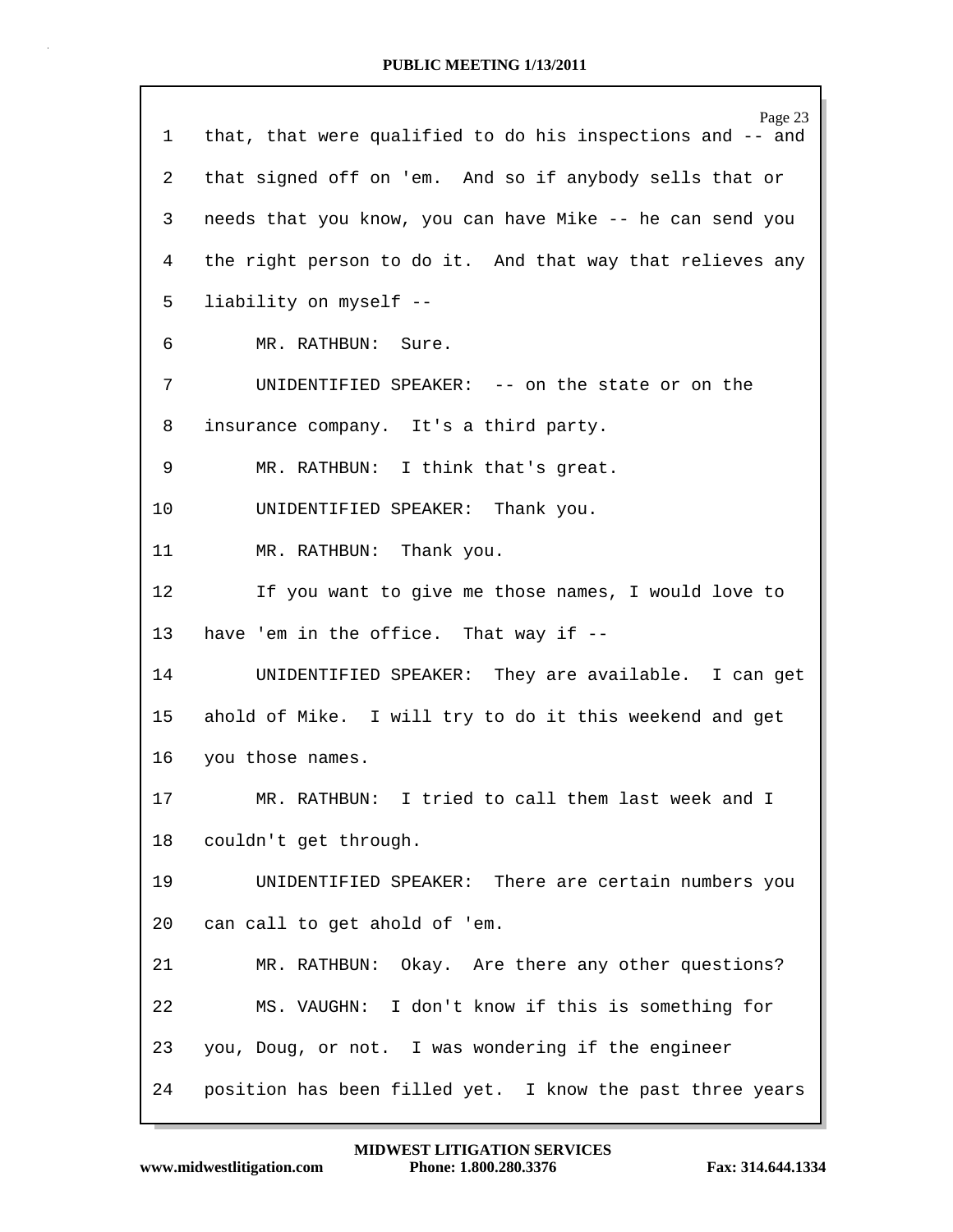| $\mathbf 1$     | Page 23<br>that, that were qualified to do his inspections and -- and |  |  |  |  |  |  |
|-----------------|-----------------------------------------------------------------------|--|--|--|--|--|--|
| 2               | that signed off on 'em. And so if anybody sells that or               |  |  |  |  |  |  |
| 3               | needs that you know, you can have Mike -- he can send you             |  |  |  |  |  |  |
| 4               | the right person to do it. And that way that relieves any             |  |  |  |  |  |  |
| 5               | liability on myself --                                                |  |  |  |  |  |  |
| 6               | MR. RATHBUN: Sure.                                                    |  |  |  |  |  |  |
| 7               | UNIDENTIFIED SPEAKER: -- on the state or on the                       |  |  |  |  |  |  |
| 8               | insurance company. It's a third party.                                |  |  |  |  |  |  |
| 9               | MR. RATHBUN: I think that's great.                                    |  |  |  |  |  |  |
| 10              | UNIDENTIFIED SPEAKER: Thank you.                                      |  |  |  |  |  |  |
| 11              | MR. RATHBUN: Thank you.                                               |  |  |  |  |  |  |
| 12              | If you want to give me those names, I would love to                   |  |  |  |  |  |  |
| 13              | have 'em in the office. That way if --                                |  |  |  |  |  |  |
| 14              | UNIDENTIFIED SPEAKER: They are available. I can get                   |  |  |  |  |  |  |
| 15 <sub>1</sub> | ahold of Mike. I will try to do it this weekend and get               |  |  |  |  |  |  |
| 16              | you those names.                                                      |  |  |  |  |  |  |
| 17              | MR. RATHBUN: I tried to call them last week and I                     |  |  |  |  |  |  |
| 18              | couldn't get through.                                                 |  |  |  |  |  |  |
| 19              | UNIDENTIFIED SPEAKER: There are certain numbers you                   |  |  |  |  |  |  |
| 20              | can call to get ahold of 'em.                                         |  |  |  |  |  |  |
| 21              | MR. RATHBUN: Okay. Are there any other questions?                     |  |  |  |  |  |  |
| 22              | MS. VAUGHN: I don't know if this is something for                     |  |  |  |  |  |  |
| 23              | you, Doug, or not. I was wondering if the engineer                    |  |  |  |  |  |  |
| 24              | position has been filled yet. I know the past three years             |  |  |  |  |  |  |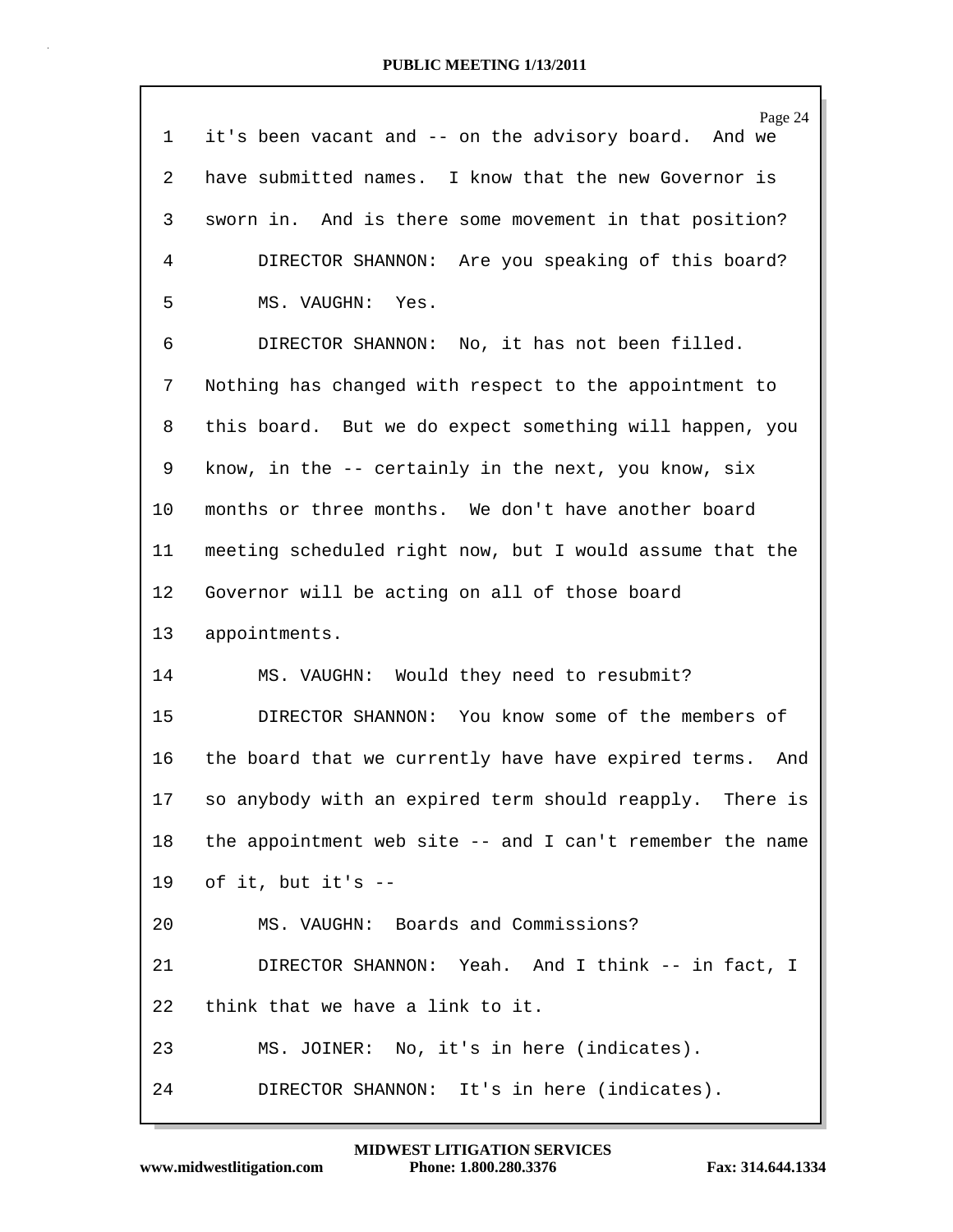| $\mathbf 1$ | Page 24<br>it's been vacant and -- on the advisory board. And we |  |  |  |  |  |
|-------------|------------------------------------------------------------------|--|--|--|--|--|
| 2           | have submitted names. I know that the new Governor is            |  |  |  |  |  |
| 3           | sworn in. And is there some movement in that position?           |  |  |  |  |  |
| 4           | DIRECTOR SHANNON: Are you speaking of this board?                |  |  |  |  |  |
| 5           | MS. VAUGHN: Yes.                                                 |  |  |  |  |  |
| 6           | DIRECTOR SHANNON: No, it has not been filled.                    |  |  |  |  |  |
| 7           | Nothing has changed with respect to the appointment to           |  |  |  |  |  |
| 8           | this board. But we do expect something will happen, you          |  |  |  |  |  |
| 9           | know, in the -- certainly in the next, you know, six             |  |  |  |  |  |
| 10          | months or three months. We don't have another board              |  |  |  |  |  |
| 11          | meeting scheduled right now, but I would assume that the         |  |  |  |  |  |
| 12          | Governor will be acting on all of those board                    |  |  |  |  |  |
| 13          | appointments.                                                    |  |  |  |  |  |
| 14          | MS. VAUGHN: Would they need to resubmit?                         |  |  |  |  |  |
| 15          | DIRECTOR SHANNON: You know some of the members of                |  |  |  |  |  |
| 16          | the board that we currently have have expired terms.<br>And      |  |  |  |  |  |
| 17          | so anybody with an expired term should reapply. There is         |  |  |  |  |  |
| 18          | the appointment web site -- and I can't remember the name        |  |  |  |  |  |
| 19          | of it, but it's --                                               |  |  |  |  |  |
| 20          | MS. VAUGHN: Boards and Commissions?                              |  |  |  |  |  |
| 21          | DIRECTOR SHANNON: Yeah. And I think -- in fact, I                |  |  |  |  |  |
| 22          | think that we have a link to it.                                 |  |  |  |  |  |
| 23          | MS. JOINER: No, it's in here (indicates).                        |  |  |  |  |  |
| 24          | DIRECTOR SHANNON: It's in here (indicates).                      |  |  |  |  |  |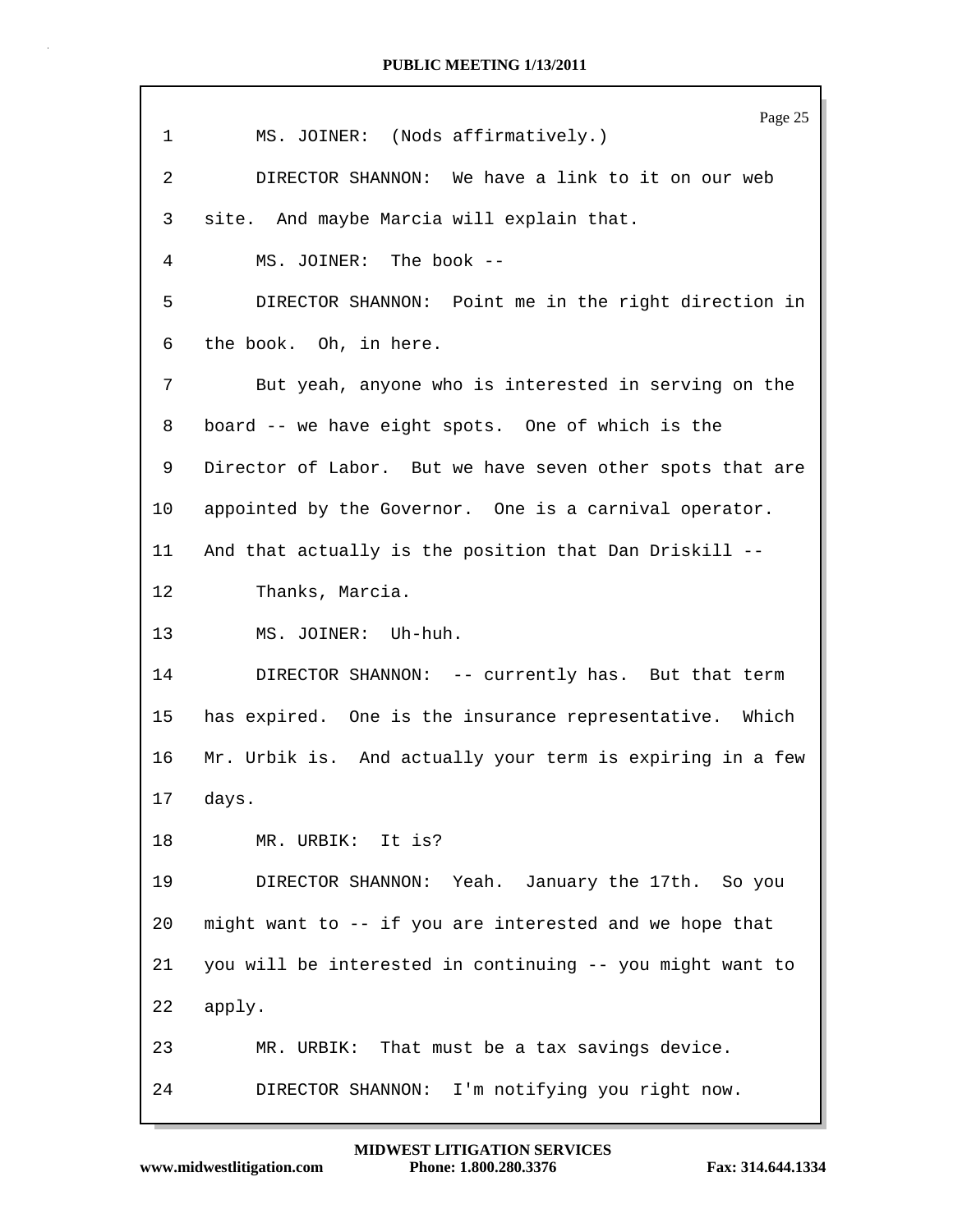|                 | Page 25                                                   |  |  |  |  |  |  |
|-----------------|-----------------------------------------------------------|--|--|--|--|--|--|
| $\mathbf{1}$    | MS. JOINER: (Nods affirmatively.)                         |  |  |  |  |  |  |
| $\overline{2}$  | DIRECTOR SHANNON: We have a link to it on our web         |  |  |  |  |  |  |
| 3               | site. And maybe Marcia will explain that.                 |  |  |  |  |  |  |
| 4               | MS. JOINER: The book --                                   |  |  |  |  |  |  |
| 5               | DIRECTOR SHANNON: Point me in the right direction in      |  |  |  |  |  |  |
| 6               | the book. Oh, in here.                                    |  |  |  |  |  |  |
| 7               | But yeah, anyone who is interested in serving on the      |  |  |  |  |  |  |
| 8               | board -- we have eight spots. One of which is the         |  |  |  |  |  |  |
| 9               | Director of Labor. But we have seven other spots that are |  |  |  |  |  |  |
| 10 <sup>°</sup> | appointed by the Governor. One is a carnival operator.    |  |  |  |  |  |  |
| 11              | And that actually is the position that Dan Driskill --    |  |  |  |  |  |  |
| 12              | Thanks, Marcia.                                           |  |  |  |  |  |  |
| 13              | MS. JOINER: Uh-huh.                                       |  |  |  |  |  |  |
| 14              | DIRECTOR SHANNON: -- currently has. But that term         |  |  |  |  |  |  |
| 15              | has expired. One is the insurance representative. Which   |  |  |  |  |  |  |
| 16              | Mr. Urbik is. And actually your term is expiring in a few |  |  |  |  |  |  |
|                 | 17 days.                                                  |  |  |  |  |  |  |
| 18              | MR. URBIK: It is?                                         |  |  |  |  |  |  |
| 19              | DIRECTOR SHANNON: Yeah. January the 17th. So you          |  |  |  |  |  |  |
| 20              | might want to -- if you are interested and we hope that   |  |  |  |  |  |  |
| 21              | you will be interested in continuing -- you might want to |  |  |  |  |  |  |
| 22              | apply.                                                    |  |  |  |  |  |  |
| 23              | MR. URBIK: That must be a tax savings device.             |  |  |  |  |  |  |
| 24              | I'm notifying you right now.<br>DIRECTOR SHANNON:         |  |  |  |  |  |  |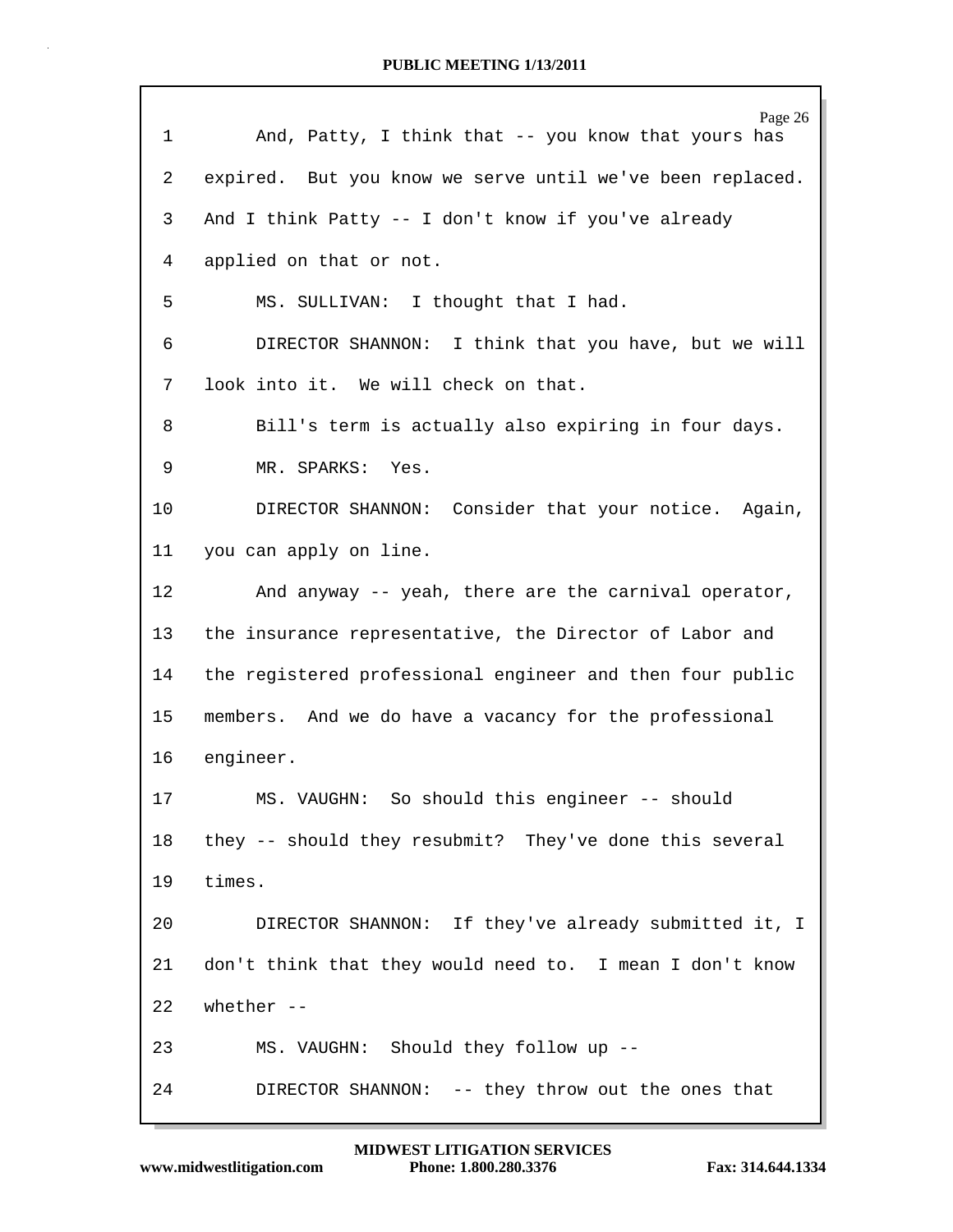| $\mathbf 1$ | Page 26<br>And, Patty, I think that -- you know that yours has |  |  |  |  |  |  |
|-------------|----------------------------------------------------------------|--|--|--|--|--|--|
| 2           | expired. But you know we serve until we've been replaced.      |  |  |  |  |  |  |
| 3           | And I think Patty -- I don't know if you've already            |  |  |  |  |  |  |
| 4           | applied on that or not.                                        |  |  |  |  |  |  |
| 5           | MS. SULLIVAN: I thought that I had.                            |  |  |  |  |  |  |
| 6           | DIRECTOR SHANNON: I think that you have, but we will           |  |  |  |  |  |  |
| 7           | look into it. We will check on that.                           |  |  |  |  |  |  |
| 8           | Bill's term is actually also expiring in four days.            |  |  |  |  |  |  |
| 9           | MR. SPARKS: Yes.                                               |  |  |  |  |  |  |
| $10 \,$     | DIRECTOR SHANNON: Consider that your notice. Again,            |  |  |  |  |  |  |
| 11          | you can apply on line.                                         |  |  |  |  |  |  |
| 12          | And anyway -- yeah, there are the carnival operator,           |  |  |  |  |  |  |
| 13          | the insurance representative, the Director of Labor and        |  |  |  |  |  |  |
| 14          | the registered professional engineer and then four public      |  |  |  |  |  |  |
| 15          | members. And we do have a vacancy for the professional         |  |  |  |  |  |  |
| 16          | engineer.                                                      |  |  |  |  |  |  |
| 17          | MS. VAUGHN: So should this engineer -- should                  |  |  |  |  |  |  |
| 18          | they -- should they resubmit? They've done this several        |  |  |  |  |  |  |
| 19          | times.                                                         |  |  |  |  |  |  |
| 20          | DIRECTOR SHANNON: If they've already submitted it, I           |  |  |  |  |  |  |
| 21          | don't think that they would need to. I mean I don't know       |  |  |  |  |  |  |
| 22          | whether $--$                                                   |  |  |  |  |  |  |
| 23          | MS. VAUGHN: Should they follow up --                           |  |  |  |  |  |  |
| 24          | DIRECTOR SHANNON: -- they throw out the ones that              |  |  |  |  |  |  |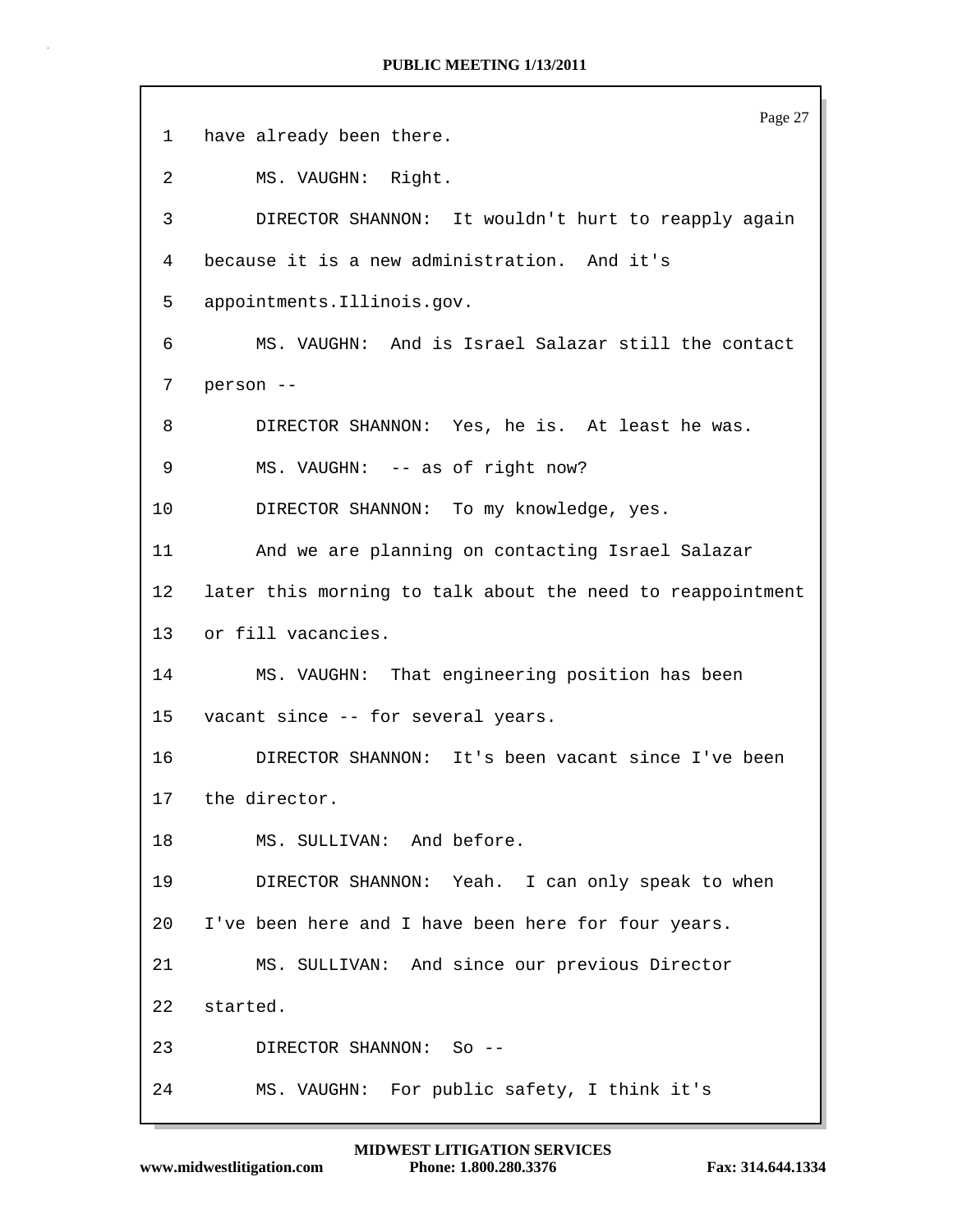|    | Page 27                                                    |  |  |  |  |  |  |
|----|------------------------------------------------------------|--|--|--|--|--|--|
| 1  | have already been there.                                   |  |  |  |  |  |  |
| 2  | MS. VAUGHN: Right.                                         |  |  |  |  |  |  |
| 3  | DIRECTOR SHANNON: It wouldn't hurt to reapply again        |  |  |  |  |  |  |
| 4  | because it is a new administration. And it's               |  |  |  |  |  |  |
| 5  | appointments.Illinois.gov.                                 |  |  |  |  |  |  |
| 6  | MS. VAUGHN: And is Israel Salazar still the contact        |  |  |  |  |  |  |
| 7  | person --                                                  |  |  |  |  |  |  |
| 8  | DIRECTOR SHANNON: Yes, he is. At least he was.             |  |  |  |  |  |  |
| 9  | MS. VAUGHN: -- as of right now?                            |  |  |  |  |  |  |
| 10 | DIRECTOR SHANNON: To my knowledge, yes.                    |  |  |  |  |  |  |
| 11 | And we are planning on contacting Israel Salazar           |  |  |  |  |  |  |
| 12 | later this morning to talk about the need to reappointment |  |  |  |  |  |  |
| 13 | or fill vacancies.                                         |  |  |  |  |  |  |
| 14 | MS. VAUGHN: That engineering position has been             |  |  |  |  |  |  |
| 15 | vacant since -- for several years.                         |  |  |  |  |  |  |
| 16 | DIRECTOR SHANNON: It's been vacant since I've been         |  |  |  |  |  |  |
| 17 | the director.                                              |  |  |  |  |  |  |
| 18 | MS. SULLIVAN: And before.                                  |  |  |  |  |  |  |
| 19 | DIRECTOR SHANNON: Yeah. I can only speak to when           |  |  |  |  |  |  |
| 20 | I've been here and I have been here for four years.        |  |  |  |  |  |  |
| 21 | MS. SULLIVAN: And since our previous Director              |  |  |  |  |  |  |
| 22 | started.                                                   |  |  |  |  |  |  |
| 23 | DIRECTOR SHANNON: So --                                    |  |  |  |  |  |  |
| 24 | MS. VAUGHN: For public safety, I think it's                |  |  |  |  |  |  |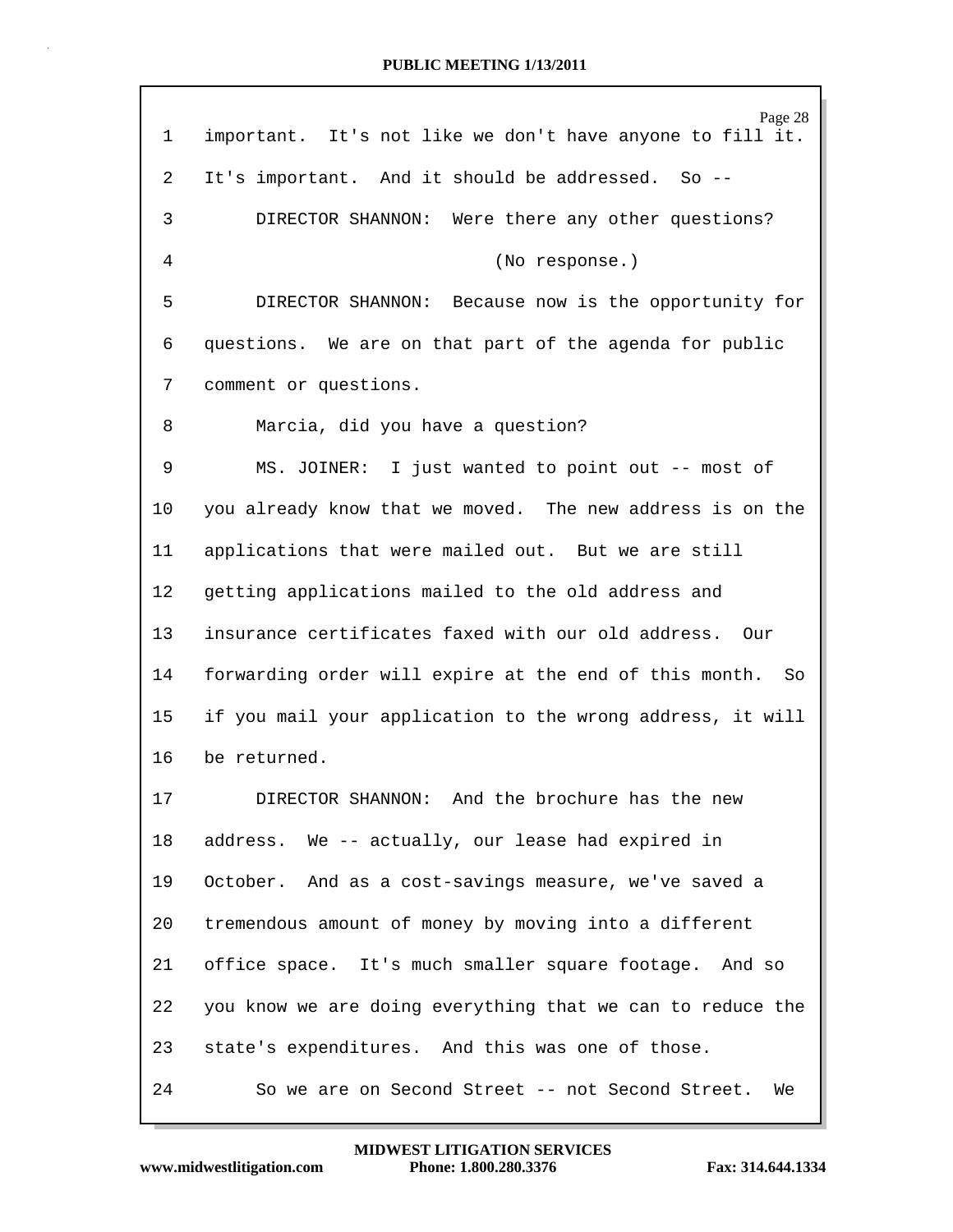Page 28 1 important. It's not like we don't have anyone to fill it. 2 It's important. And it should be addressed. So -- 3 DIRECTOR SHANNON: Were there any other questions? 4 (No response.) 5 DIRECTOR SHANNON: Because now is the opportunity for 6 questions. We are on that part of the agenda for public 7 comment or questions. 8 Marcia, did you have a question? 9 MS. JOINER: I just wanted to point out -- most of 10 you already know that we moved. The new address is on the 11 applications that were mailed out. But we are still 12 getting applications mailed to the old address and 13 insurance certificates faxed with our old address. Our 14 forwarding order will expire at the end of this month. So 15 if you mail your application to the wrong address, it will 16 be returned. 17 DIRECTOR SHANNON: And the brochure has the new 18 address. We -- actually, our lease had expired in 19 October. And as a cost-savings measure, we've saved a 20 tremendous amount of money by moving into a different 21 office space. It's much smaller square footage. And so 22 you know we are doing everything that we can to reduce the 23 state's expenditures. And this was one of those. 24 So we are on Second Street -- not Second Street. We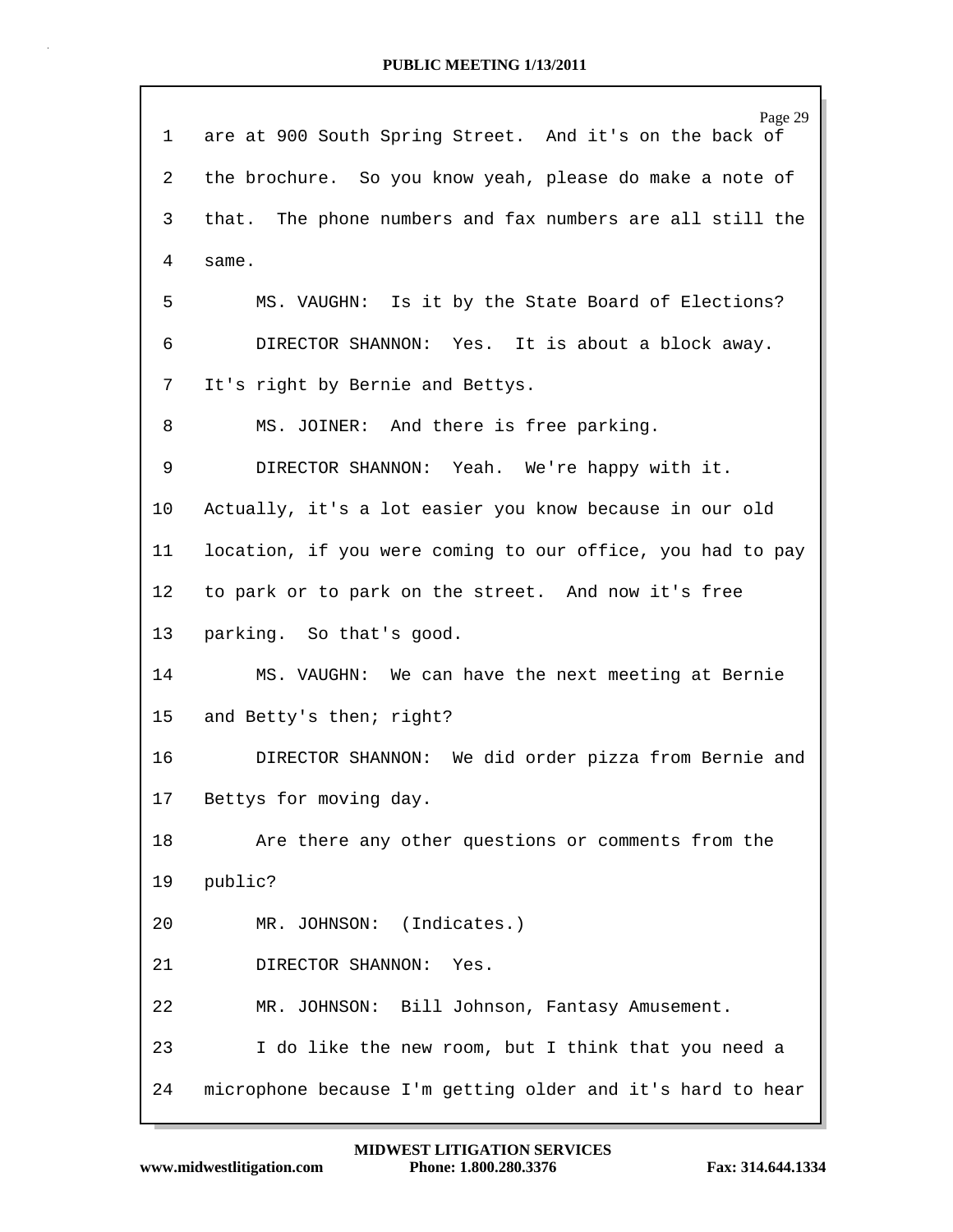| 1               | Page 29<br>are at 900 South Spring Street. And it's on the back of |  |  |  |  |  |  |  |
|-----------------|--------------------------------------------------------------------|--|--|--|--|--|--|--|
| 2               | the brochure. So you know yeah, please do make a note of           |  |  |  |  |  |  |  |
| 3               | that. The phone numbers and fax numbers are all still the          |  |  |  |  |  |  |  |
| 4               | same.                                                              |  |  |  |  |  |  |  |
| 5               | MS. VAUGHN: Is it by the State Board of Elections?                 |  |  |  |  |  |  |  |
| 6               | DIRECTOR SHANNON: Yes. It is about a block away.                   |  |  |  |  |  |  |  |
| 7               | It's right by Bernie and Bettys.                                   |  |  |  |  |  |  |  |
| 8               | MS. JOINER: And there is free parking.                             |  |  |  |  |  |  |  |
| 9               | DIRECTOR SHANNON: Yeah. We're happy with it.                       |  |  |  |  |  |  |  |
| 10              | Actually, it's a lot easier you know because in our old            |  |  |  |  |  |  |  |
| 11              | location, if you were coming to our office, you had to pay         |  |  |  |  |  |  |  |
| 12 <sub>1</sub> | to park or to park on the street. And now it's free                |  |  |  |  |  |  |  |
| 13              | parking. So that's good.                                           |  |  |  |  |  |  |  |
| 14              | MS. VAUGHN: We can have the next meeting at Bernie                 |  |  |  |  |  |  |  |
| 15              | and Betty's then; right?                                           |  |  |  |  |  |  |  |
| 16              | DIRECTOR SHANNON: We did order pizza from Bernie and               |  |  |  |  |  |  |  |
| 17              | Bettys for moving day.                                             |  |  |  |  |  |  |  |
| 18              | Are there any other questions or comments from the                 |  |  |  |  |  |  |  |
| 19              | public?                                                            |  |  |  |  |  |  |  |
| 20              | MR. JOHNSON: (Indicates.)                                          |  |  |  |  |  |  |  |
| 21              | DIRECTOR SHANNON:<br>Yes.                                          |  |  |  |  |  |  |  |
| 22              | MR. JOHNSON: Bill Johnson, Fantasy Amusement.                      |  |  |  |  |  |  |  |
| 23              | I do like the new room, but I think that you need a                |  |  |  |  |  |  |  |
| 24              | microphone because I'm getting older and it's hard to hear         |  |  |  |  |  |  |  |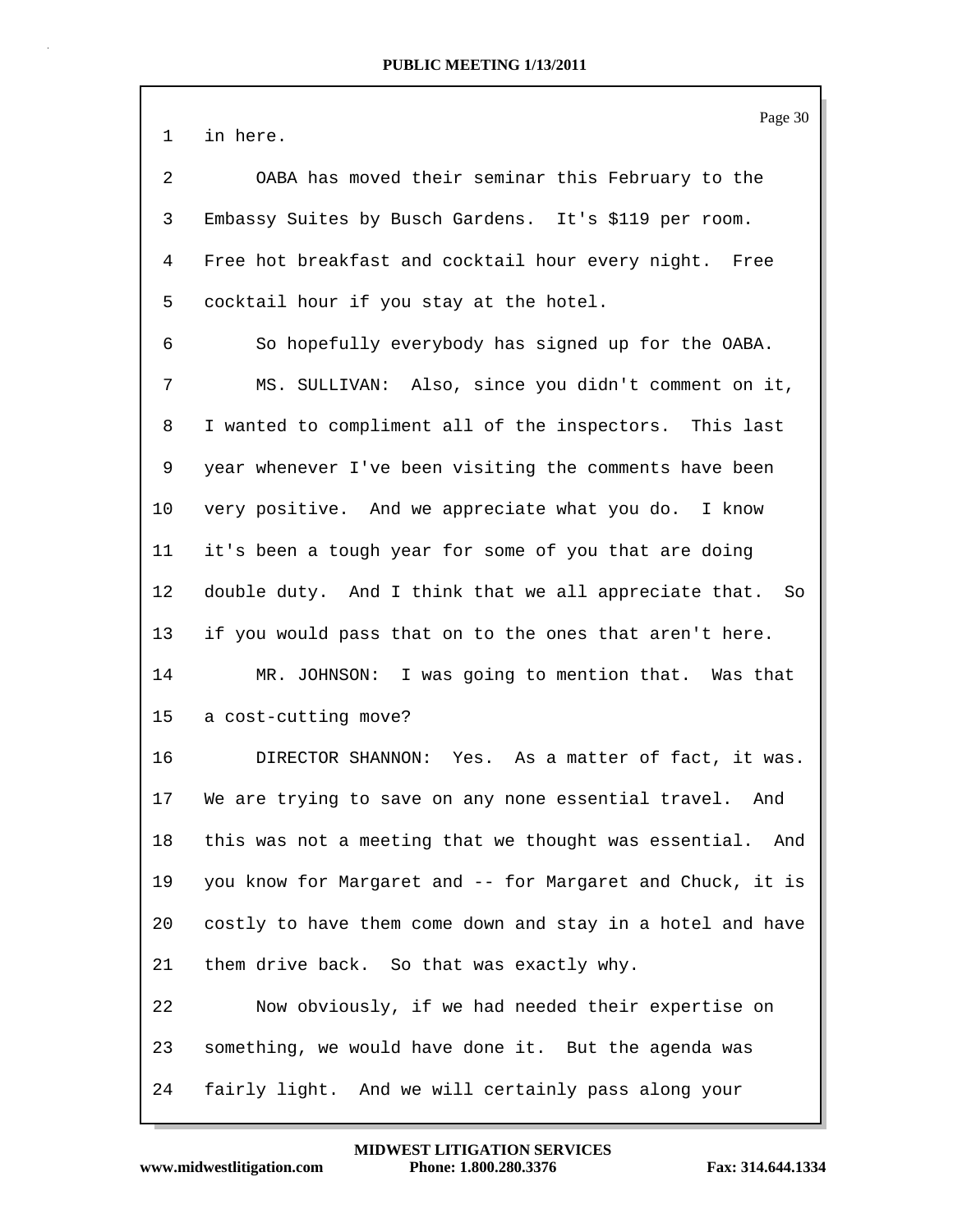1 in here.

2 OABA has moved their seminar this February to the 3 Embassy Suites by Busch Gardens. It's \$119 per room. 4 Free hot breakfast and cocktail hour every night. Free 5 cocktail hour if you stay at the hotel.

6 So hopefully everybody has signed up for the OABA. 7 MS. SULLIVAN: Also, since you didn't comment on it, 8 I wanted to compliment all of the inspectors. This last 9 year whenever I've been visiting the comments have been 10 very positive. And we appreciate what you do. I know 11 it's been a tough year for some of you that are doing 12 double duty. And I think that we all appreciate that. So 13 if you would pass that on to the ones that aren't here. 14 MR. JOHNSON: I was going to mention that. Was that

15 a cost-cutting move?

16 DIRECTOR SHANNON: Yes. As a matter of fact, it was. 17 We are trying to save on any none essential travel. And 18 this was not a meeting that we thought was essential. And 19 you know for Margaret and -- for Margaret and Chuck, it is 20 costly to have them come down and stay in a hotel and have 21 them drive back. So that was exactly why. 22 Now obviously, if we had needed their expertise on

23 something, we would have done it. But the agenda was 24 fairly light. And we will certainly pass along your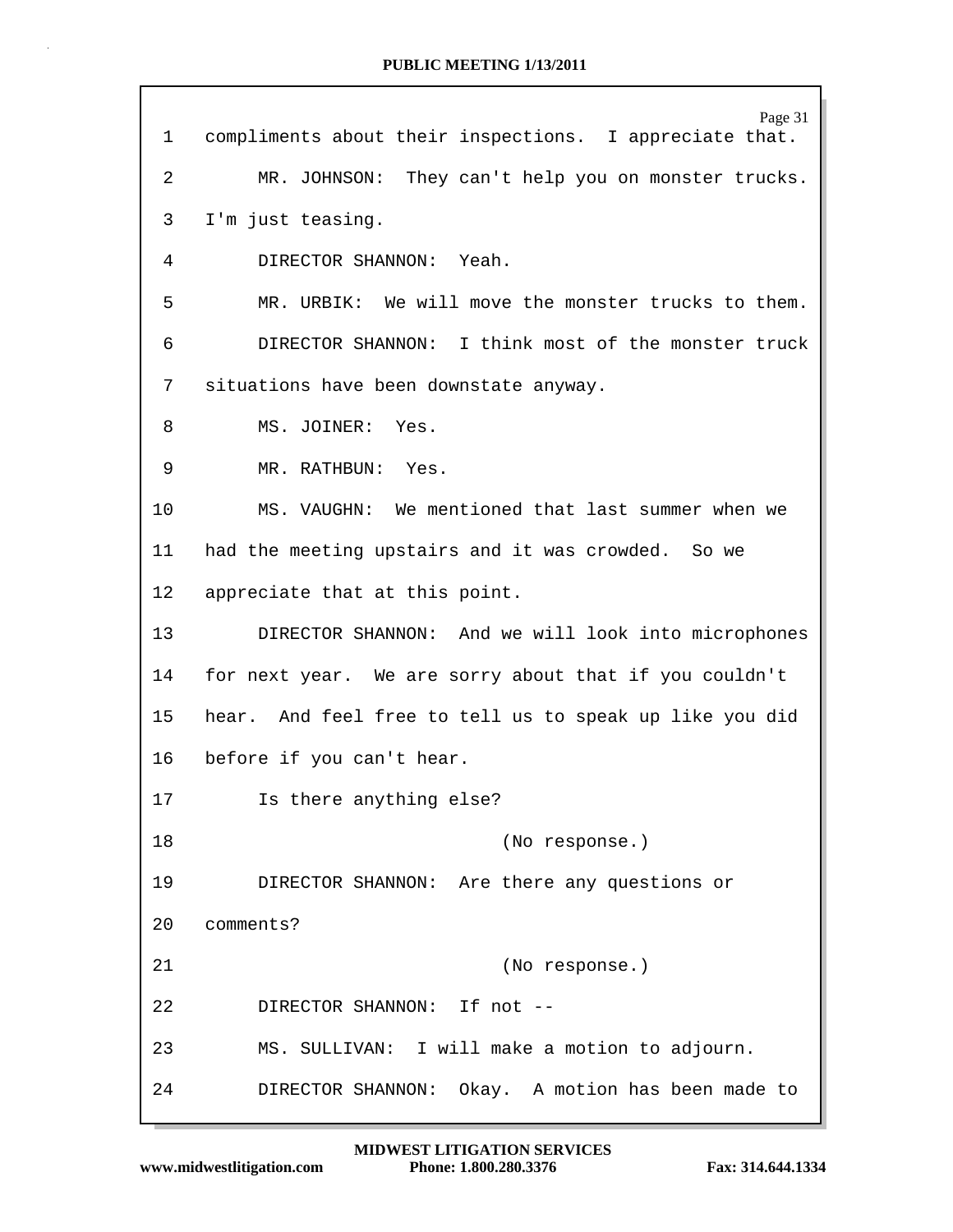Page 31 1 compliments about their inspections. I appreciate that. 2 MR. JOHNSON: They can't help you on monster trucks. 3 I'm just teasing. 4 DIRECTOR SHANNON: Yeah. 5 MR. URBIK: We will move the monster trucks to them. 6 DIRECTOR SHANNON: I think most of the monster truck 7 situations have been downstate anyway. 8 MS. JOINER: Yes. 9 MR. RATHBUN: Yes. 10 MS. VAUGHN: We mentioned that last summer when we 11 had the meeting upstairs and it was crowded. So we 12 appreciate that at this point. 13 DIRECTOR SHANNON: And we will look into microphones 14 for next year. We are sorry about that if you couldn't 15 hear. And feel free to tell us to speak up like you did 16 before if you can't hear. 17 Is there anything else? 18 (No response.) 19 DIRECTOR SHANNON: Are there any questions or 20 comments? 21 (No response.) 22 DIRECTOR SHANNON: If not -- 23 MS. SULLIVAN: I will make a motion to adjourn. 24 DIRECTOR SHANNON: Okay. A motion has been made to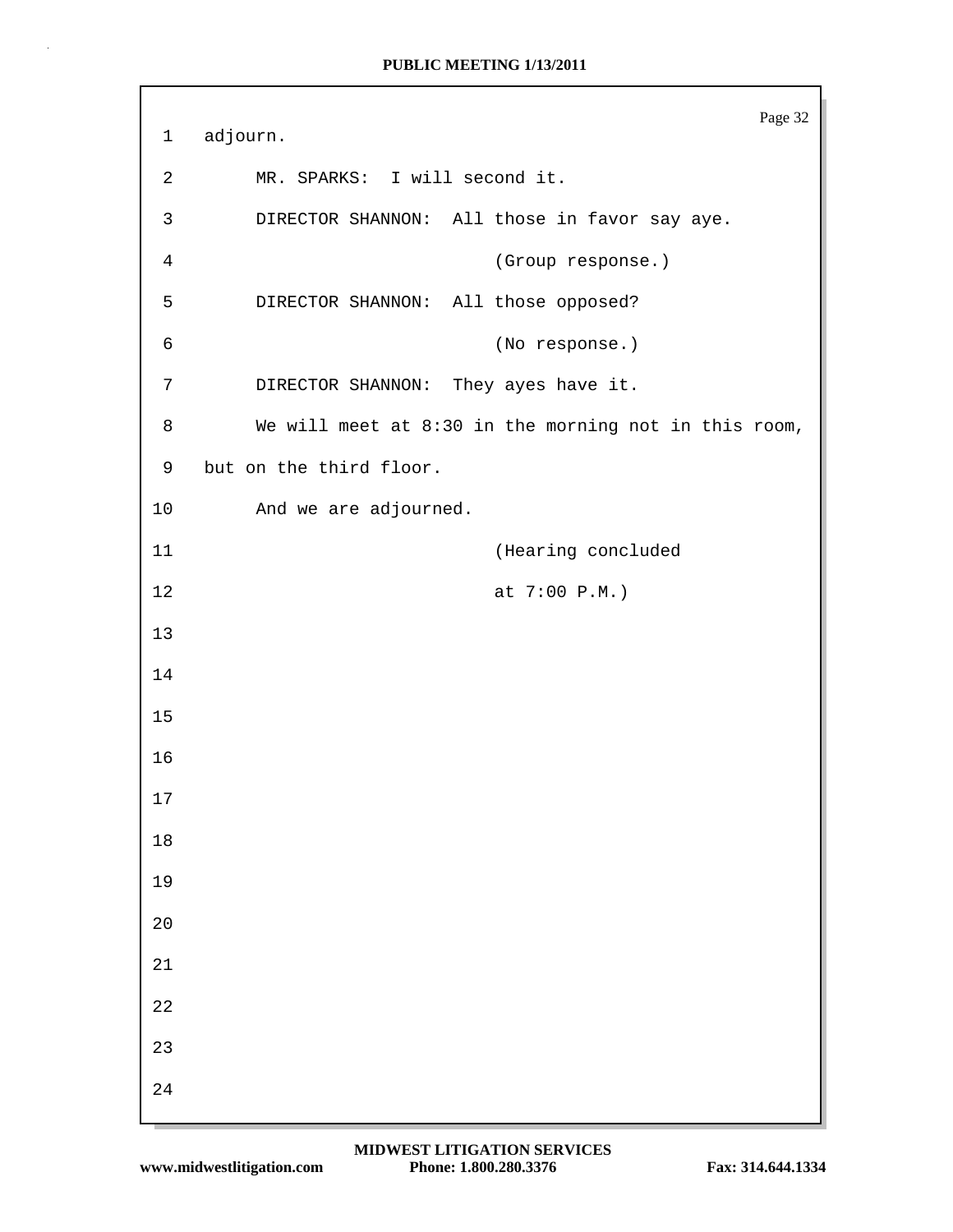```
Page 32
1 adjourn.
2 MR. SPARKS: I will second it.
3 DIRECTOR SHANNON: All those in favor say aye.
4 (Group response.)
5 DIRECTOR SHANNON: All those opposed?
6 (No response.)
7 DIRECTOR SHANNON: They ayes have it.
8 We will meet at 8:30 in the morning not in this room,
9 but on the third floor.
10 And we are adjourned.
11 (Hearing concluded
12 at 7:00 P.M.)
13
14
15
16
17
18
19
20
21
22
23
24
```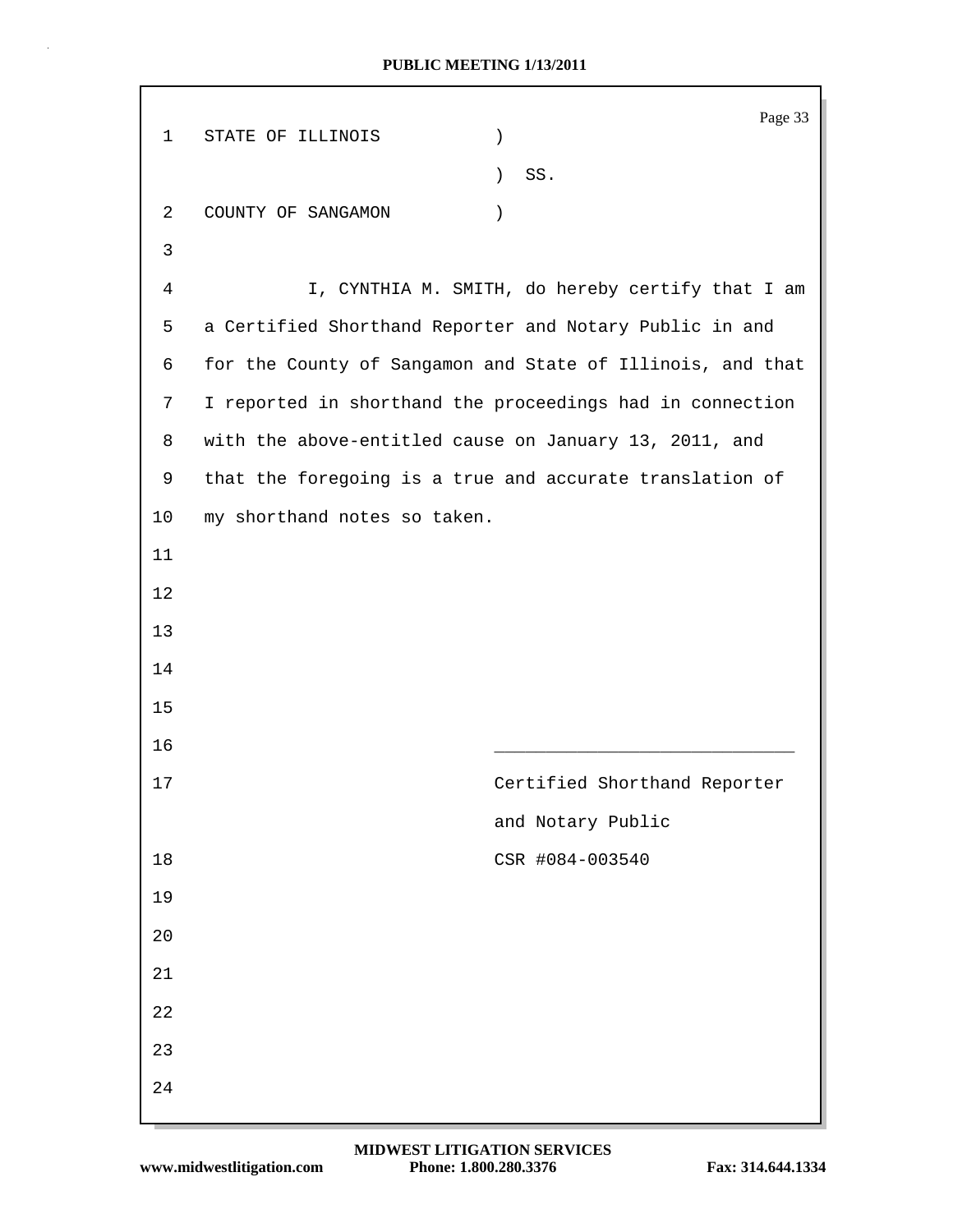| $\mathbf 1$ | STATE OF ILLINOIS                                        | $\mathcal{E}$    | Page 33                                                    |
|-------------|----------------------------------------------------------|------------------|------------------------------------------------------------|
|             |                                                          | $\left( \right)$ | SS.                                                        |
| 2           | COUNTY OF SANGAMON                                       | $\left( \right)$ |                                                            |
| 3           |                                                          |                  |                                                            |
| 4           |                                                          |                  | I, CYNTHIA M. SMITH, do hereby certify that I am           |
| 5           | a Certified Shorthand Reporter and Notary Public in and  |                  |                                                            |
| 6           |                                                          |                  | for the County of Sangamon and State of Illinois, and that |
| 7           |                                                          |                  | I reported in shorthand the proceedings had in connection  |
| 8           | with the above-entitled cause on January 13, 2011, and   |                  |                                                            |
| 9           | that the foregoing is a true and accurate translation of |                  |                                                            |
| 10          | my shorthand notes so taken.                             |                  |                                                            |
| 11          |                                                          |                  |                                                            |
| 12          |                                                          |                  |                                                            |
| 13          |                                                          |                  |                                                            |
| 14          |                                                          |                  |                                                            |
| 15          |                                                          |                  |                                                            |
| 16          |                                                          |                  |                                                            |
| 17          |                                                          |                  | Certified Shorthand Reporter                               |
|             |                                                          |                  | and Notary Public                                          |
| 18          |                                                          |                  | CSR #084-003540                                            |
| 19          |                                                          |                  |                                                            |
| 20          |                                                          |                  |                                                            |
| 21          |                                                          |                  |                                                            |
| 22          |                                                          |                  |                                                            |
| 23          |                                                          |                  |                                                            |
| 24          |                                                          |                  |                                                            |
|             |                                                          |                  |                                                            |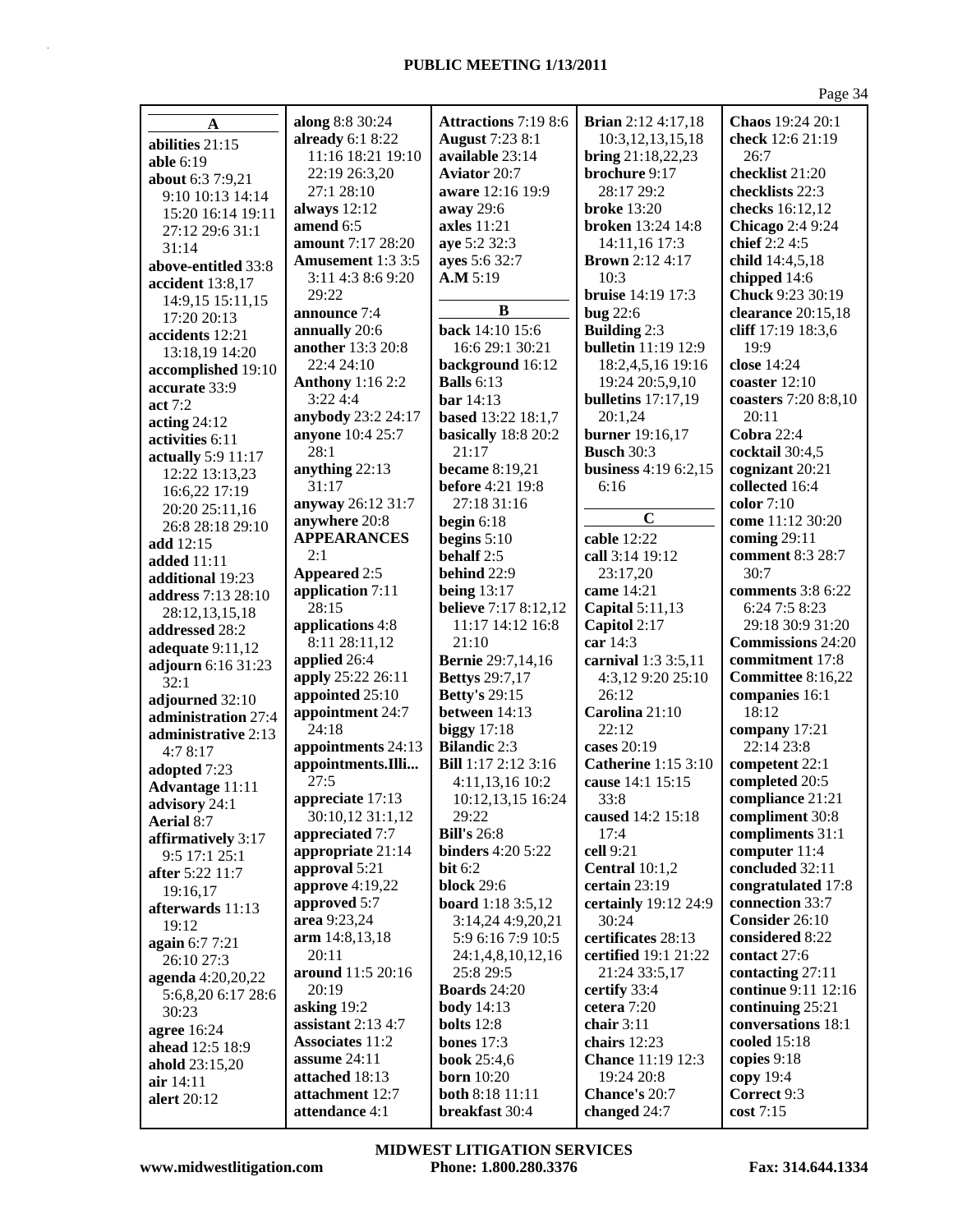|                                  |                               |                                                   |                                          | Page 34                                     |
|----------------------------------|-------------------------------|---------------------------------------------------|------------------------------------------|---------------------------------------------|
| A                                | along 8:8 30:24               | Attractions 7:19 8:6                              | <b>Brian</b> 2:12 4:17,18                | Chaos 19:24 20:1                            |
| abilities 21:15                  | already $6:18:22$             | <b>August</b> 7:23 8:1                            | 10:3,12,13,15,18                         | check 12:6 21:19                            |
| <b>able</b> 6:19                 | 11:16 18:21 19:10             | available 23:14                                   | bring 21:18,22,23                        | 26:7                                        |
|                                  | 22:19 26:3,20                 | <b>Aviator 20:7</b>                               | brochure 9:17                            | checklist 21:20                             |
| about 6:3 7:9,21                 | 27:1 28:10                    | aware 12:16 19:9                                  | 28:17 29:2                               | checklists 22:3                             |
| 9:10 10:13 14:14                 | always 12:12                  | away 29:6                                         | <b>broke</b> 13:20                       | checks 16:12,12                             |
| 15:20 16:14 19:11                | amend 6:5                     | axles $11:21$                                     | <b>broken</b> 13:24 14:8                 | <b>Chicago</b> 2:4 9:24                     |
| 27:12 29:6 31:1<br>31:14         | amount 7:17 28:20             | aye 5:2 32:3                                      | 14:11,16 17:3                            | chief 2:2 4:5                               |
| above-entitled 33:8              | <b>Amusement</b> 1:3 3:5      | ayes 5:6 32:7                                     | <b>Brown</b> 2:12 4:17                   | child 14:4,5,18                             |
| accident 13:8,17                 | 3:11 4:3 8:6 9:20             | A.M 5:19                                          | 10:3                                     | chipped 14:6                                |
| 14:9,15 15:11,15                 | 29:22                         |                                                   | bruise 14:19 17:3                        | Chuck 9:23 30:19                            |
| 17:20 20:13                      | announce 7:4                  | B                                                 | <b>bug</b> 22:6                          | clearance 20:15,18                          |
| accidents 12:21                  | annually 20:6                 | back 14:10 15:6                                   | <b>Building 2:3</b>                      | cliff 17:19 18:3,6                          |
| 13:18,19 14:20                   | <b>another</b> 13:3 20:8      | 16:6 29:1 30:21                                   | <b>bulletin</b> 11:19 12:9               | 19:9                                        |
| accomplished 19:10               | 22:4 24:10                    | background 16:12                                  | 18:2,4,5,16 19:16                        | close 14:24                                 |
| accurate 33:9                    | <b>Anthony</b> 1:16 2:2       | <b>Balls</b> 6:13                                 | 19:24 20:5,9,10                          | coaster $12:10$                             |
| act 7:2                          | 3:224:4                       | bar 14:13                                         | <b>bulletins</b> 17:17,19                | coasters 7:20 8:8,10                        |
| acting $24:12$                   | anybody 23:2 24:17            | based 13:22 18:1,7                                | 20:1,24                                  | 20:11                                       |
| activities 6:11                  | anyone 10:4 25:7              | basically 18:8 20:2                               | burner 19:16,17                          | Cobra $22:4$                                |
| actually 5:9 11:17               | 28:1                          | 21:17                                             | <b>Busch 30:3</b>                        | cocktail 30:4,5                             |
| 12:22 13:13,23                   | anything 22:13                | <b>became</b> 8:19,21                             | business 4:19 6:2,15                     | cognizant 20:21                             |
| 16:6,22 17:19                    | 31:17                         | <b>before</b> 4:21 19:8                           | 6:16                                     | collected 16:4                              |
| 20:20 25:11,16                   | anyway 26:12 31:7             | 27:18 31:16                                       |                                          | color $7:10$                                |
| 26:8 28:18 29:10                 | anywhere 20:8                 | begin $6:18$                                      | $\mathbf C$                              | come 11:12 30:20                            |
| add 12:15                        | <b>APPEARANCES</b>            | begins $5:10$                                     | cable 12:22                              | coming $29:11$                              |
| <b>added</b> 11:11               | 2:1                           | behalf 2:5                                        | call 3:14 19:12                          | comment 8:3 28:7                            |
| additional 19:23                 | Appeared 2:5                  | behind 22:9                                       | 23:17,20                                 | 30:7                                        |
| address 7:13 28:10               | application 7:11              | being $13:17$                                     | came 14:21                               | comments 3:8 6:22                           |
| 28:12,13,15,18                   | 28:15                         | <b>believe</b> 7:17 8:12,12                       | Capital 5:11,13                          | 6:24 7:5 8:23                               |
| addressed 28:2                   | applications 4:8              | 11:17 14:12 16:8<br>21:10                         | Capitol 2:17                             | 29:18 30:9 31:20                            |
| adequate $9:11,12$               | 8:11 28:11,12<br>applied 26:4 |                                                   | car 14:3                                 | <b>Commissions</b> 24:20<br>commitment 17:8 |
| adjourn 6:16 31:23               | apply 25:22 26:11             | <b>Bernie</b> 29:7,14,16<br><b>Bettys</b> 29:7,17 | carnival 1:3 3:5,11<br>4:3,12 9:20 25:10 | Committee 8:16,22                           |
| 32:1                             | appointed 25:10               | <b>Betty's 29:15</b>                              | 26:12                                    | companies 16:1                              |
| adjourned 32:10                  | appointment 24:7              | between 14:13                                     | Carolina 21:10                           | 18:12                                       |
| administration 27:4              | 24:18                         | biggy $17:18$                                     | 22:12                                    | company 17:21                               |
| administrative 2:13              | appointments 24:13            | <b>Bilandic 2:3</b>                               | cases 20:19                              | 22:14 23:8                                  |
| 4:78:17                          | appointments.Illi             | Bill 1:17 2:12 3:16                               | <b>Catherine</b> 1:15 3:10               | competent 22:1                              |
| adopted 7:23                     | 27:5                          | 4:11,13,16 10:2                                   | cause 14:1 15:15                         | completed 20:5                              |
| Advantage 11:11<br>advisory 24:1 | appreciate 17:13              | 10:12,13,15 16:24                                 | 33:8                                     | compliance 21:21                            |
| Aerial 8:7                       | 30:10,12 31:1,12              | 29:22                                             | caused 14:2 15:18                        | compliment 30:8                             |
| affirmatively 3:17               | appreciated 7:7               | <b>Bill's 26:8</b>                                | 17:4                                     | compliments 31:1                            |
| 9:5 17:1 25:1                    | appropriate 21:14             | <b>binders</b> 4:20 5:22                          | cell 9:21                                | computer 11:4                               |
| after 5:22 11:7                  | approval 5:21                 | bit $6:2$                                         | <b>Central</b> 10:1,2                    | concluded 32:11                             |
| 19:16,17                         | <b>approve</b> 4:19,22        | <b>block</b> 29:6                                 | certain 23:19                            | congratulated 17:8                          |
| afterwards 11:13                 | approved 5:7                  | <b>board</b> 1:18 3:5,12                          | certainly 19:12 24:9                     | connection 33:7                             |
| 19:12                            | area 9:23,24                  | 3:14,24 4:9,20,21                                 | 30:24                                    | Consider 26:10                              |
| again 6:7 7:21                   | arm 14:8,13,18                | 5:9 6:16 7:9 10:5                                 | certificates 28:13                       | considered 8:22                             |
| 26:10 27:3                       | 20:11                         | 24:1,4,8,10,12,16                                 | certified 19:1 21:22                     | contact 27:6                                |
| agenda 4:20,20,22                | around 11:5 20:16             | 25:8 29:5                                         | 21:24 33:5,17                            | contacting 27:11                            |
| 5:6,8,20 6:17 28:6               | 20:19                         | <b>Boards</b> 24:20                               | certify 33:4                             | continue 9:11 12:16                         |
| 30:23                            | asking 19:2                   | <b>body</b> 14:13                                 | cetera 7:20                              | continuing 25:21                            |
| agree 16:24                      | assistant $2:134:7$           | <b>bolts</b> $12:8$                               | chair $3:11$                             | conversations 18:1                          |
| ahead 12:5 18:9                  | <b>Associates 11:2</b>        | bones $17:3$                                      | chairs 12:23                             | cooled 15:18                                |
| ahold 23:15,20                   | assume 24:11                  | <b>book</b> 25:4,6                                | <b>Chance 11:19 12:3</b>                 | copies 9:18                                 |
| air 14:11                        | attached 18:13                | <b>born</b> 10:20                                 | 19:24 20:8                               | copy 19:4                                   |
| alert 20:12                      | attachment 12:7               | both 8:18 11:11                                   | Chance's 20:7                            | Correct 9:3                                 |
|                                  | attendance 4:1                | breakfast 30:4                                    | changed 24:7                             | cost 7:15                                   |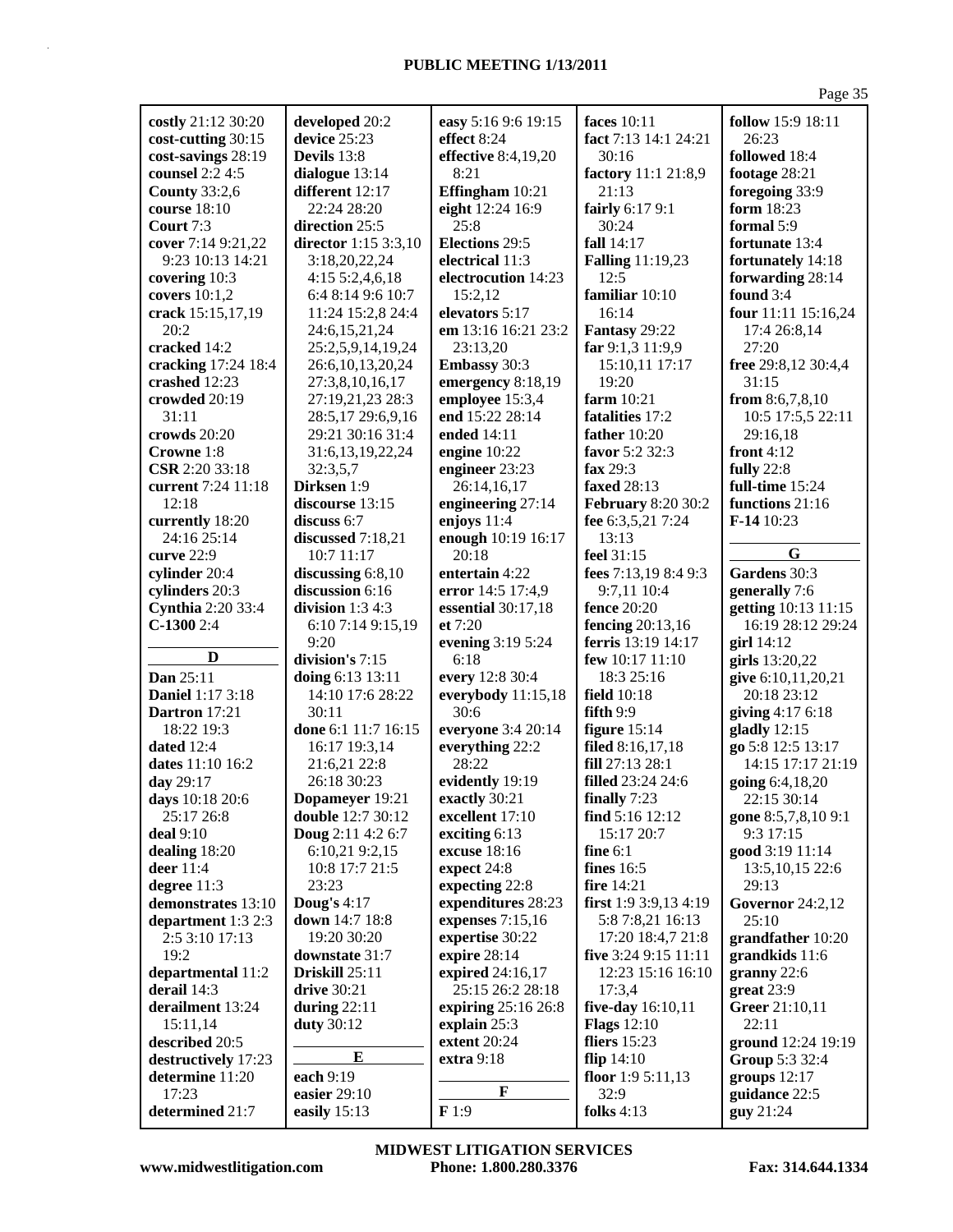|                                  |                               |                          |                                    | Page 35                             |
|----------------------------------|-------------------------------|--------------------------|------------------------------------|-------------------------------------|
| costly 21:12 30:20               | developed 20:2                | easy 5:16 9:6 19:15      | faces 10:11                        | follow 15:9 18:11                   |
| cost-cutting 30:15               | device 25:23                  | effect 8:24              | fact 7:13 14:1 24:21               | 26:23                               |
| cost-savings 28:19               | Devils 13:8                   | effective 8:4,19,20      | 30:16                              | followed 18:4                       |
| counsel 2:2 4:5                  | dialogue 13:14                | 8:21                     | factory 11:1 21:8,9                | footage 28:21                       |
| <b>County 33:2,6</b>             | different 12:17               | Effingham 10:21          | 21:13                              | foregoing 33:9                      |
| course 18:10                     | 22:24 28:20                   | eight 12:24 16:9         | fairly 6:17 9:1                    | form 18:23                          |
| Court 7:3                        | direction 25:5                | 25:8                     | 30:24                              | formal 5:9                          |
| cover 7:14 9:21,22               | director 1:15 3:3,10          | <b>Elections 29:5</b>    | fall 14:17                         | fortunate 13:4                      |
| 9:23 10:13 14:21                 | 3:18,20,22,24                 | electrical 11:3          | <b>Falling</b> 11:19,23            | fortunately 14:18                   |
| covering 10:3                    | 4:15 5:2,4,6,18               | electrocution 14:23      | 12:5                               | forwarding 28:14                    |
| covers $10:1,2$                  | 6:4 8:14 9:6 10:7             | 15:2,12                  | familiar 10:10                     | found 3:4                           |
| crack 15:15,17,19                | 11:24 15:2,8 24:4             | elevators 5:17           | 16:14                              | four 11:11 15:16,24                 |
| 20:2                             | 24:6,15,21,24                 | em 13:16 16:21 23:2      | Fantasy 29:22                      | 17:4 26:8,14                        |
| cracked 14:2                     | 25:2,5,9,14,19,24             | 23:13,20                 | far 9:1,3 11:9,9                   | 27:20                               |
| cracking 17:24 18:4              | 26:6, 10, 13, 20, 24          | <b>Embassy 30:3</b>      | 15:10,11 17:17                     | free 29:8,12 30:4,4                 |
| crashed 12:23                    | 27:3,8,10,16,17               | emergency 8:18,19        | 19:20                              | 31:15                               |
| crowded 20:19                    | 27:19,21,23 28:3              | employee 15:3,4          | farm 10:21                         | from $8:6,7,8,10$                   |
| 31:11                            | 28:5,17 29:6,9,16             | end 15:22 28:14          | fatalities 17:2                    | 10:5 17:5,5 22:11                   |
| crowds 20:20                     | 29:21 30:16 31:4              | ended 14:11              | father $10:20$                     | 29:16,18                            |
| Crowne 1:8                       | 31:6,13,19,22,24              | engine $10:22$           | favor 5:2 32:3                     | front $4:12$                        |
| CSR 2:20 33:18                   | 32:3,5,7                      | engineer 23:23           | fax 29:3                           | <b>fully</b> 22:8                   |
| current 7:24 11:18               | Dirksen 1:9                   | 26:14,16,17              | faxed 28:13                        | full-time 15:24                     |
| 12:18                            | discourse 13:15               | engineering 27:14        | <b>February 8:20 30:2</b>          | functions 21:16                     |
| currently 18:20                  | discuss $6:7$                 | enjoys 11:4              | fee 6:3,5,21 7:24                  | F-14 10:23                          |
| 24:16 25:14                      | discussed 7:18,21             | enough 10:19 16:17       | 13:13                              |                                     |
| curve 22:9                       | 10:7 11:17                    | 20:18                    | feel 31:15                         | G                                   |
| cylinder 20:4                    | discussing $6:8,10$           | entertain 4:22           | fees 7:13,19 8:4 9:3               | Gardens 30:3                        |
| cylinders 20:3                   | discussion 6:16               | error 14:5 17:4,9        | 9:7,11 10:4                        | generally 7:6                       |
| <b>Cynthia</b> 2:20 33:4         | division $1:34:3$             | essential 30:17,18       | fence 20:20                        | getting 10:13 11:15                 |
| $C-13002:4$                      | 6:10 7:14 9:15,19             | et $7:20$                | fencing 20:13,16                   | 16:19 28:12 29:24                   |
|                                  | 9:20                          | evening 3:19 5:24        | <b>ferris</b> 13:19 14:17          | girl 14:12                          |
| D                                | division's 7:15               | 6:18                     | few 10:17 11:10                    | girls 13:20,22                      |
| Dan 25:11                        | doing 6:13 13:11              | every 12:8 30:4          | 18:3 25:16                         | give 6:10,11,20,21                  |
| <b>Daniel 1:17 3:18</b>          | 14:10 17:6 28:22              | everybody 11:15,18       | field $10:18$                      | 20:18 23:12                         |
| Dartron 17:21                    | 30:11                         | 30:6                     | fifth 9:9                          | giving 4:17 6:18                    |
| 18:22 19:3                       | done 6:1 11:7 16:15           | everyone 3:4 20:14       | figure $15:14$<br>filed 8:16,17,18 | gladly $12:15$<br>go 5:8 12:5 13:17 |
| dated $12:4$<br>dates 11:10 16:2 | 16:17 19:3,14<br>21:6,21 22:8 | everything 22:2<br>28:22 | fill 27:13 28:1                    | 14:15 17:17 21:19                   |
| day 29:17                        | 26:18 30:23                   | evidently 19:19          | <b>filled</b> 23:24 24:6           | going 6:4,18,20                     |
| days 10:18 20:6                  | Dopameyer 19:21               | exactly 30:21            | finally 7:23                       | 22:15 30:14                         |
| 25:17 26:8                       | <b>double</b> 12:7 30:12      | excellent 17:10          | find $5:16$ 12:12                  | gone 8:5,7,8,10 9:1                 |
| deal 9:10                        | Doug 2:11 4:2 6:7             | exciting 6:13            | 15:17 20:7                         | 9:3 17:15                           |
| dealing 18:20                    | 6:10,21 9:2,15                | excuse 18:16             | fine $6:1$                         | good 3:19 11:14                     |
| deer $11:4$                      | 10:8 17:7 21:5                | expect 24:8              | fines $16:5$                       | 13:5, 10, 15 22:6                   |
| degree 11:3                      | 23:23                         | expecting 22:8           | fire 14:21                         | 29:13                               |
| demonstrates 13:10               | Doug's $4:17$                 | expenditures 28:23       | first 1:9 3:9,13 4:19              | <b>Governor</b> 24:2,12             |
| department 1:3 2:3               | down 14:7 18:8                | expenses $7:15,16$       | 5:8 7:8,21 16:13                   | 25:10                               |
| 2:5 3:10 17:13                   | 19:20 30:20                   | expertise 30:22          | 17:20 18:4,7 21:8                  | grandfather 10:20                   |
| 19:2                             | downstate 31:7                | expire 28:14             | five 3:24 9:15 11:11               | grandkids 11:6                      |
| departmental 11:2                | Driskill 25:11                | expired 24:16,17         | 12:23 15:16 16:10                  | granny 22:6                         |
| derail 14:3                      | drive 30:21                   | 25:15 26:2 28:18         | 17:3,4                             | $gr$ eat 23:9                       |
| derailment 13:24                 | during $22:11$                | expiring 25:16 26:8      | five-day 16:10,11                  | Greer 21:10,11                      |
| 15:11,14                         | duty 30:12                    | explain 25:3             | <b>Flags</b> 12:10                 | 22:11                               |
| described 20:5                   |                               | extent 20:24             | fliers $15:23$                     | ground 12:24 19:19                  |
| destructively 17:23              | $\bf{E}$                      | extra 9:18               | flip $14:10$                       | Group 5:3 32:4                      |
| determine 11:20                  | each 9:19                     |                          | floor 1:9 5:11,13                  | groups $12:17$                      |
| 17:23                            | easier 29:10                  | F                        | 32:9                               | guidance 22:5                       |
| determined 21:7                  | easily 15:13                  | F1:9                     | folks $4:13$                       | guy 21:24                           |

**www.midwestlitigation.com Phone: 1.800.280.3376 Fax: 314.644.1334 MIDWEST LITIGATION SERVICES**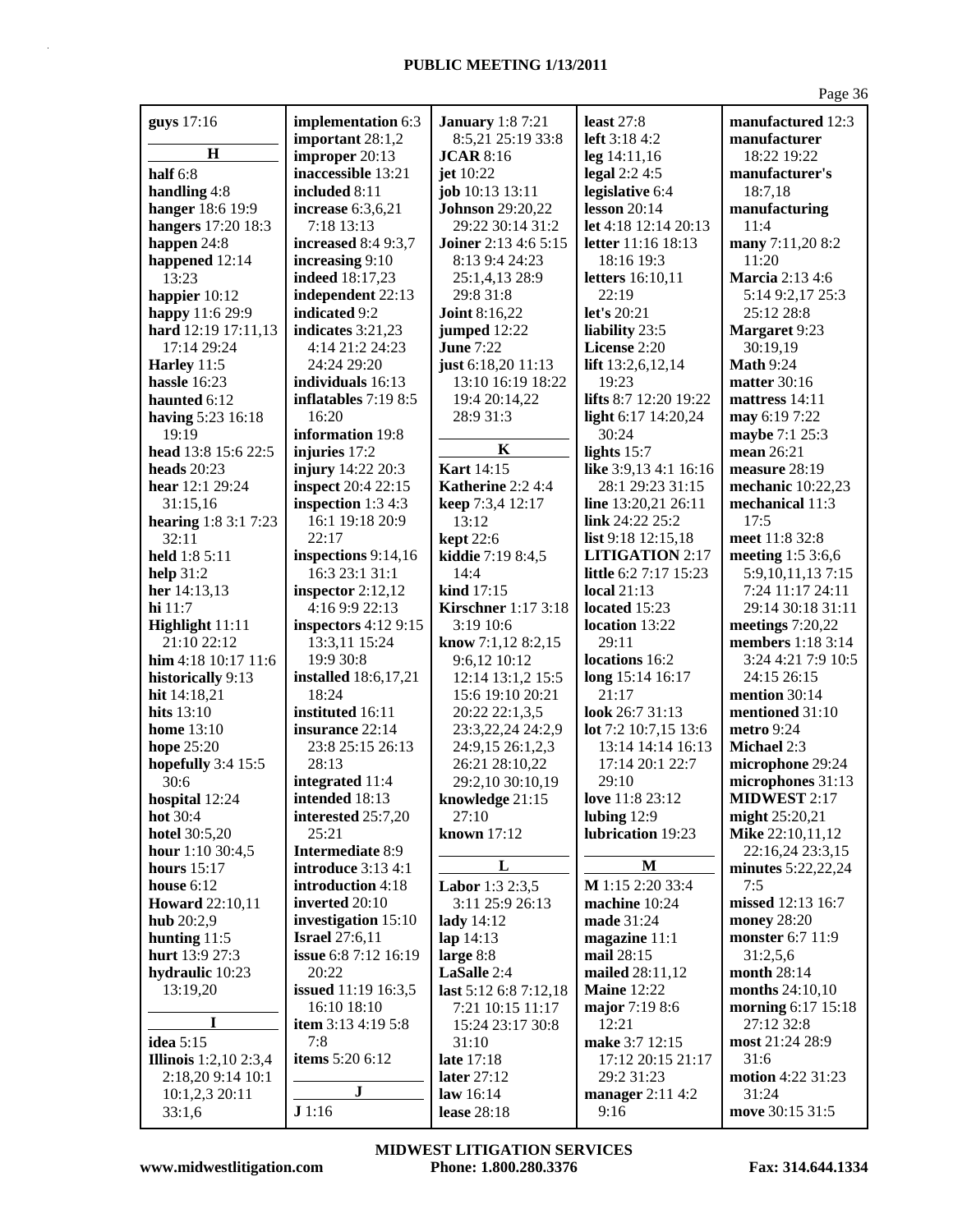| guys 17:16                   | implementation 6:3                 | <b>January</b> 1:8 7:21                 | least $27:8$                                 | manufactured 12:3            |
|------------------------------|------------------------------------|-----------------------------------------|----------------------------------------------|------------------------------|
|                              | important 28:1,2                   | 8:5,21 25:19 33:8                       | left $3:184:2$                               | manufacturer                 |
| H                            | improper 20:13                     | <b>JCAR 8:16</b>                        | $leg$ 14:11,16                               | 18:22 19:22                  |
| half $6:8$                   | inaccessible 13:21                 | jet 10:22                               | legal $2:24:5$                               | manufacturer's               |
| handling 4:8                 | included 8:11                      | job 10:13 13:11                         | legislative 6:4                              | 18:7,18                      |
| hanger 18:6 19:9             | increase 6:3,6,21                  | <b>Johnson</b> 29:20,22                 | lesson $20:14$                               | manufacturing                |
| hangers 17:20 18:3           | 7:18 13:13                         | 29:22 30:14 31:2                        | let 4:18 12:14 20:13                         | 11:4                         |
| happen 24:8                  | increased 8:4 9:3,7                | <b>Joiner</b> 2:13 4:6 5:15             | <b>letter</b> 11:16 18:13                    | many 7:11,20 8:2             |
| happened 12:14               | increasing 9:10                    | 8:13 9:4 24:23                          | 18:16 19:3                                   | 11:20                        |
| 13:23                        | <b>indeed</b> 18:17,23             | 25:1,4,13 28:9                          | letters 16:10,11                             | Marcia 2:13 4:6              |
| happier 10:12                | independent 22:13                  | 29:8 31:8                               | 22:19                                        | 5:14 9:2,17 25:3             |
| happy 11:6 29:9              | indicated 9:2                      | <b>Joint 8:16,22</b>                    | let's $20:21$                                | 25:12 28:8                   |
| hard 12:19 17:11,13          | indicates 3:21,23                  | jumped 12:22                            | liability 23:5                               | <b>Margaret 9:23</b>         |
| 17:14 29:24                  | 4:14 21:2 24:23                    | <b>June 7:22</b>                        | License 2:20                                 | 30:19,19<br><b>Math 9:24</b> |
| Harley 11:5                  | 24:24 29:20                        | just 6:18,20 11:13<br>13:10 16:19 18:22 | lift 13:2,6,12,14<br>19:23                   |                              |
| hassle $16:23$               | individuals 16:13                  |                                         |                                              | <b>matter</b> 30:16          |
| haunted 6:12                 | inflatables 7:19 8:5<br>16:20      | 19:4 20:14,22                           | lifts 8:7 12:20 19:22<br>light 6:17 14:20,24 | mattress 14:11               |
| having 5:23 16:18<br>19:19   | information 19:8                   | 28:9 31:3                               | 30:24                                        | may 6:19 7:22                |
| head 13:8 15:6 22:5          |                                    | K                                       |                                              | maybe 7:1 25:3<br>mean 26:21 |
| heads $20:23$                | injuries 17:2<br>injury 14:22 20:3 | <b>Kart</b> 14:15                       | lights $15:7$<br>like 3:9,13 4:1 16:16       | measure 28:19                |
| hear $12:129:24$             | <b>inspect</b> 20:4 22:15          | Katherine 2:2 4:4                       | 28:1 29:23 31:15                             | mechanic 10:22,23            |
| 31:15,16                     | inspection 1:3 4:3                 | keep 7:3,4 12:17                        | line 13:20,21 26:11                          | mechanical 11:3              |
| <b>hearing</b> 1:8 3:1 7:23  | 16:1 19:18 20:9                    | 13:12                                   | link 24:22 25:2                              | 17:5                         |
| 32:11                        | 22:17                              | <b>kept</b> 22:6                        | list 9:18 12:15,18                           | meet 11:8 32:8               |
| held 1:8 5:11                | inspections 9:14,16                | kiddie 7:19 8:4,5                       | <b>LITIGATION 2:17</b>                       | meeting 1:5 3:6,6            |
| help $31:2$                  | 16:3 23:1 31:1                     | 14:4                                    | little 6:2 7:17 15:23                        | 5:9, 10, 11, 13 7: 15        |
| her 14:13,13                 | inspector $2:12,12$                | kind 17:15                              | <b>local</b> 21:13                           | 7:24 11:17 24:11             |
| $hi$ 11:7                    | 4:16 9:9 22:13                     | <b>Kirschner</b> 1:17 3:18              | located 15:23                                | 29:14 30:18 31:11            |
| Highlight 11:11              | inspectors 4:12 9:15               | 3:19 10:6                               | location 13:22                               | meetings $7:20,22$           |
| 21:10 22:12                  | 13:3,11 15:24                      | know 7:1,12 8:2,15                      | 29:11                                        | members 1:18 3:14            |
| him 4:18 10:17 11:6          | 19:9 30:8                          | 9:6,12 10:12                            | locations 16:2                               | 3:24 4:21 7:9 10:5           |
| historically 9:13            | <b>installed</b> 18:6,17,21        | 12:14 13:1,2 15:5                       | long 15:14 16:17                             | 24:15 26:15                  |
| hit 14:18,21                 | 18:24                              | 15:6 19:10 20:21                        | 21:17                                        | mention 30:14                |
| hits $13:10$                 | instituted 16:11                   | 20:22 22:1,3,5                          | look 26:7 31:13                              | mentioned 31:10              |
| <b>home</b> 13:10            | insurance 22:14                    | 23:3,22,24 24:2,9                       | lot 7:2 10:7,15 13:6                         | metro 9:24                   |
| hope 25:20                   | 23:8 25:15 26:13                   | 24:9,15 26:1,2,3                        | 13:14 14:14 16:13                            | <b>Michael 2:3</b>           |
| hopefully 3:4 15:5           | 28:13                              | 26:21 28:10,22                          | 17:14 20:1 22:7                              | microphone 29:24             |
| 30:6                         | integrated 11:4                    | 29:2,10 30:10,19                        | 29:10                                        | microphones 31:13            |
| hospital 12:24               | <b>intended</b> 18:13              | knowledge 21:15                         | love $11:823:12$                             | <b>MIDWEST 2:17</b>          |
| hot 30:4                     | interested 25:7,20                 | 27:10                                   | lubing 12:9                                  | might 25:20,21               |
| hotel 30:5,20                | 25:21                              | known 17:12                             | lubrication 19:23                            | Mike 22:10,11,12             |
| hour $1:1030:4,5$            | <b>Intermediate 8:9</b>            |                                         |                                              | 22:16,24 23:3,15             |
| hours $15:17$                | <b>introduce</b> 3:13 4:1          | L                                       | M                                            | minutes 5:22,22,24           |
| house $6:12$                 | introduction 4:18                  | Labor 1:3 2:3,5                         | M 1:15 2:20 33:4                             | 7:5                          |
| <b>Howard</b> 22:10,11       | inverted 20:10                     | 3:11 25:9 26:13                         | machine 10:24                                | missed 12:13 16:7            |
| hub $20:2,9$                 | investigation 15:10                | lady $14:12$                            | made 31:24                                   | money 28:20                  |
| hunting $11:5$               | <b>Israel</b> 27:6,11              | lap $14:13$                             | magazine 11:1                                | <b>monster</b> 6:7 11:9      |
| hurt 13:9 27:3               | issue 6:8 7:12 16:19               | large 8:8                               | mail 28:15                                   | 31:2,5,6                     |
| hydraulic 10:23              | 20:22                              | LaSalle 2:4                             | mailed 28:11,12                              | month 28:14                  |
| 13:19,20                     | <b>issued</b> 11:19 16:3,5         | last 5:12 6:8 7:12,18                   | <b>Maine</b> 12:22                           | months 24:10,10              |
|                              | 16:10 18:10                        | 7:21 10:15 11:17                        | major 7:19 8:6                               | morning 6:17 15:18           |
| I                            | item 3:13 4:19 5:8                 | 15:24 23:17 30:8                        | 12:21                                        | 27:12 32:8                   |
| idea 5:15                    | 7:8                                | 31:10                                   | make 3:7 12:15                               | most 21:24 28:9              |
| <b>Illinois</b> 1:2,10 2:3,4 | items 5:20 6:12                    | late 17:18                              | 17:12 20:15 21:17                            | 31:6                         |
| 2:18,20 9:14 10:1            |                                    | later 27:12                             | 29:2 31:23                                   | motion 4:22 31:23            |
| 10:1,2,3 20:11               | ${\bf J}$                          | law $16:14$                             | manager 2:11 4:2                             | 31:24                        |
| 33:1,6                       | J1:16                              | lease 28:18                             | 9:16                                         | move 30:15 31:5              |

**www.midwestlitigation.com Phone: 1.800.280.3376 Fax: 314.644.1334 MIDWEST LITIGATION SERVICES**

Page 36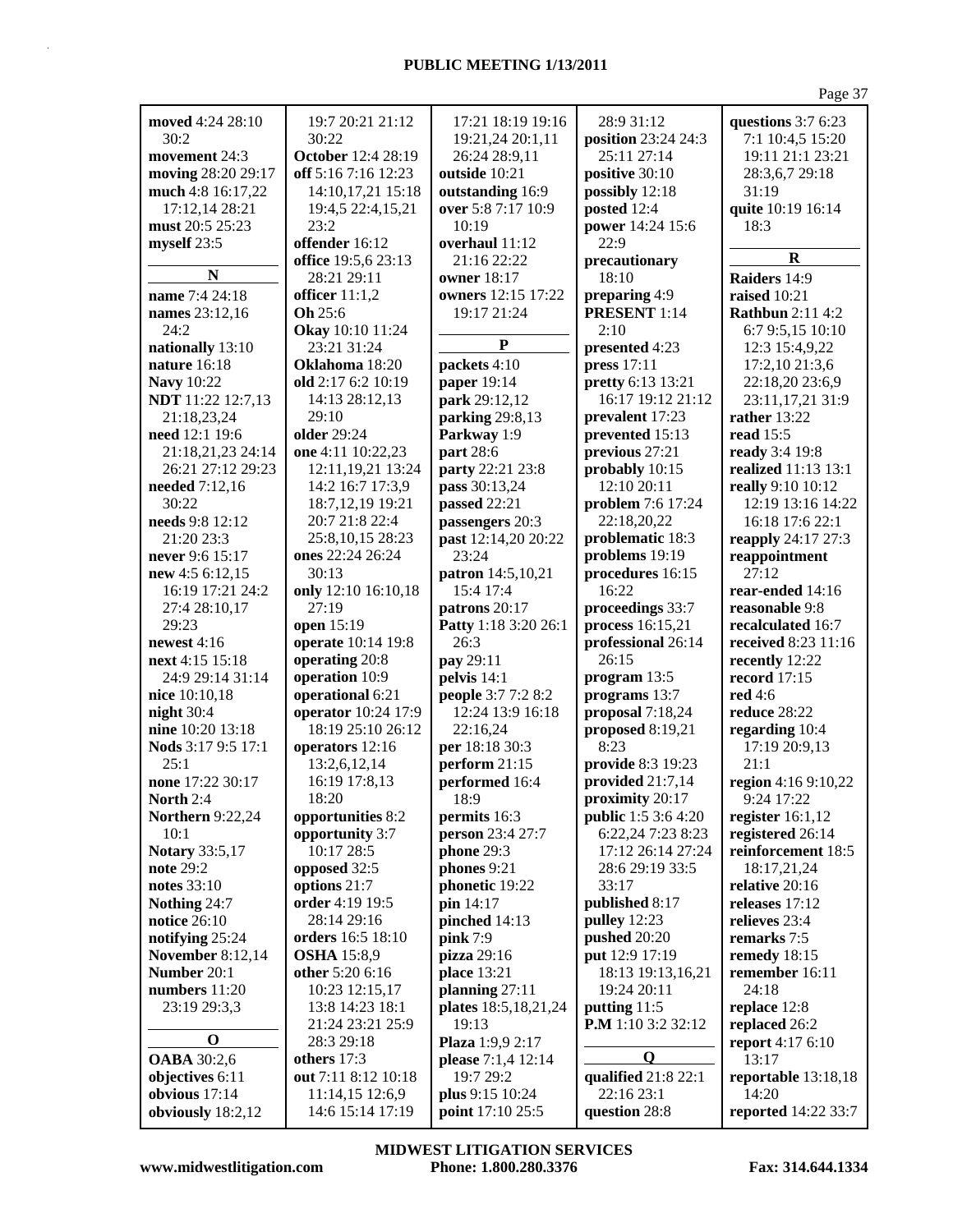| moved 4:24 28:10                       | 19:7 20:21 21:12                      | 17:21 18:19 19:16             | 28:9 31:12                          | questions 3:7 6:23                    |
|----------------------------------------|---------------------------------------|-------------------------------|-------------------------------------|---------------------------------------|
| 30:2                                   | 30:22                                 | 19:21,24 20:1,11              | position 23:24 24:3                 | 7:1 10:4,5 15:20                      |
| movement 24:3                          | <b>October</b> 12:4 28:19             | 26:24 28:9,11                 | 25:11 27:14                         | 19:11 21:1 23:21                      |
| moving 28:20 29:17                     | off 5:16 7:16 12:23                   | outside 10:21                 | positive 30:10                      | 28:3,6,7 29:18                        |
| much 4:8 16:17,22                      | 14:10,17,21 15:18                     | outstanding 16:9              | possibly 12:18                      | 31:19                                 |
| 17:12,14 28:21                         | 19:4,5 22:4,15,21                     | over 5:8 7:17 10:9            | posted 12:4                         | quite 10:19 16:14                     |
| must 20:5 25:23                        | 23:2                                  | 10:19                         | power 14:24 15:6                    | 18:3                                  |
| myself 23:5                            | offender 16:12                        | overhaul 11:12                | 22:9                                |                                       |
|                                        | office 19:5,6 23:13                   | 21:16 22:22                   | precautionary                       | $\bf R$                               |
| N                                      | 28:21 29:11                           | owner 18:17                   | 18:10                               | Raiders 14:9                          |
| name 7:4 24:18                         | officer 11:1,2                        | owners 12:15 17:22            | preparing 4:9                       | raised 10:21                          |
| names 23:12,16                         | Oh 25:6                               | 19:17 21:24                   | <b>PRESENT</b> 1:14                 | <b>Rathbun</b> 2:11 4:2               |
| 24:2                                   | Okay 10:10 11:24                      | $\mathbf{P}$                  | 2:10                                | 6:7 9:5,15 10:10                      |
| nationally 13:10                       | 23:21 31:24                           |                               | presented 4:23                      | 12:3 15:4,9,22                        |
| nature 16:18                           | Oklahoma 18:20                        | packets 4:10                  | press 17:11                         | 17:2,10 21:3,6                        |
| <b>Navy</b> 10:22                      | old 2:17 6:2 10:19                    | paper 19:14                   | pretty 6:13 13:21                   | 22:18,20 23:6,9                       |
| <b>NDT</b> 11:22 12:7,13               | 14:13 28:12,13                        | park 29:12,12                 | 16:17 19:12 21:12                   | 23:11,17,21 31:9                      |
| 21:18,23,24                            | 29:10                                 | parking 29:8,13               | prevalent 17:23                     | rather $13:22$                        |
| need 12:1 19:6                         | older 29:24<br>one 4:11 10:22,23      | Parkway 1:9                   | prevented 15:13                     | read $15:5$                           |
| 21:18,21,23 24:14<br>26:21 27:12 29:23 | 12:11,19,21 13:24                     | part 28:6<br>party 22:21 23:8 | previous 27:21<br>probably 10:15    | ready 3:4 19:8<br>realized 11:13 13:1 |
| needed 7:12,16                         | 14:2 16:7 17:3,9                      | pass 30:13,24                 | 12:10 20:11                         | really 9:10 10:12                     |
| 30:22                                  | 18:7, 12, 19 19:21                    | passed 22:21                  | problem 7:6 17:24                   | 12:19 13:16 14:22                     |
| needs 9:8 12:12                        | 20:7 21:8 22:4                        | passengers 20:3               | 22:18,20,22                         | 16:18 17:6 22:1                       |
| 21:20 23:3                             | 25:8,10,15 28:23                      | past 12:14,20 20:22           | problematic 18:3                    | reapply 24:17 27:3                    |
| never 9:6 15:17                        | ones 22:24 26:24                      | 23:24                         | problems 19:19                      | reappointment                         |
| new 4:5 6:12,15                        | 30:13                                 | patron 14:5,10,21             | procedures 16:15                    | 27:12                                 |
| 16:19 17:21 24:2                       | only 12:10 16:10,18                   | 15:4 17:4                     | 16:22                               | rear-ended 14:16                      |
| 27:4 28:10,17                          | 27:19                                 | patrons 20:17                 | proceedings 33:7                    | reasonable 9:8                        |
| 29:23                                  | open 15:19                            | Patty 1:18 3:20 26:1          | process 16:15,21                    | recalculated 16:7                     |
| newest $4:16$                          | operate 10:14 19:8                    | 26:3                          | professional 26:14                  | received 8:23 11:16                   |
| next 4:15 15:18                        | operating 20:8                        | pay 29:11                     | 26:15                               | recently 12:22                        |
| 24:9 29:14 31:14                       | operation 10:9                        | pelvis 14:1                   | program 13:5                        | record $17:15$                        |
| nice 10:10,18                          | operational 6:21                      | people 3:7 7:2 8:2            | programs 13:7                       | <b>red</b> 4:6                        |
| night $30:4$                           | operator 10:24 17:9                   | 12:24 13:9 16:18              | proposal 7:18,24                    | reduce 28:22                          |
| nine 10:20 13:18                       | 18:19 25:10 26:12                     | 22:16,24                      | proposed 8:19,21                    | regarding 10:4                        |
| Nods 3:17 9:5 17:1                     | operators 12:16                       | per 18:18 30:3                | 8:23                                | 17:19 20:9,13                         |
| 25:1                                   | 13:2,6,12,14                          | perform 21:15                 | provide 8:3 19:23                   | 21:1                                  |
| none 17:22 30:17                       | 16:19 17:8,13                         | performed 16:4                | provided 21:7,14                    | region 4:16 9:10,22                   |
| North $2:4$                            | 18:20                                 | 18:9                          | proximity 20:17                     | $9:24$ 17:22                          |
| <b>Northern</b> 9:22,24                | opportunities 8:2                     | permits 16:3                  | <b>public</b> 1:5 3:6 4:20          | register $16:1,12$                    |
| 10:1                                   | opportunity 3:7                       | person 23:4 27:7              | 6:22,24 7:23 8:23                   | registered 26:14                      |
| <b>Notary</b> 33:5,17                  | 10:17 28:5                            | phone 29:3                    | 17:12 26:14 27:24                   | reinforcement 18:5                    |
| note 29:2                              | opposed 32:5                          | phones 9:21                   | 28:6 29:19 33:5                     | 18:17,21,24                           |
| notes 33:10                            | options 21:7                          | phonetic 19:22                | 33:17                               | relative 20:16                        |
| Nothing 24:7                           | order 4:19 19:5                       | pin 14:17                     | published 8:17                      | releases 17:12                        |
| <b>notice</b> 26:10                    | 28:14 29:16                           | pinched 14:13                 | pulley $12:23$                      | relieves 23:4                         |
| notifying 25:24                        | orders 16:5 18:10                     | pink 7:9                      | <b>pushed</b> 20:20                 | remarks 7:5                           |
| <b>November 8:12,14</b><br>Number 20:1 | <b>OSHA</b> 15:8,9<br>other 5:20 6:16 | pizza 29:16                   | put 12:9 17:19<br>18:13 19:13,16,21 | remedy 18:15<br>remember 16:11        |
| numbers 11:20                          | 10:23 12:15,17                        | place 13:21<br>planning 27:11 | 19:24 20:11                         | 24:18                                 |
| 23:19 29:3,3                           | 13:8 14:23 18:1                       | plates 18:5,18,21,24          | putting 11:5                        | replace 12:8                          |
|                                        | 21:24 23:21 25:9                      | 19:13                         | P.M 1:10 3:2 32:12                  | replaced 26:2                         |
| $\bf{0}$                               | 28:3 29:18                            | Plaza 1:9,9 2:17              |                                     | <b>report</b> 4:17 6:10               |
| <b>OABA</b> 30:2,6                     | others 17:3                           | please 7:1,4 12:14            | Q                                   | 13:17                                 |
| objectives 6:11                        | out 7:11 8:12 10:18                   | 19:7 29:2                     | qualified 21:8 22:1                 | reportable 13:18,18                   |
| obvious 17:14                          | 11:14,15 12:6,9                       | plus 9:15 10:24               | 22:16 23:1                          | 14:20                                 |
| obviously 18:2,12                      | 14:6 15:14 17:19                      | point 17:10 25:5              | question 28:8                       | reported 14:22 33:7                   |
|                                        |                                       |                               |                                     |                                       |

**www.midwestlitigation.com Phone: 1.800.280.3376 Fax: 314.644.1334 MIDWEST LITIGATION SERVICES**

Page 37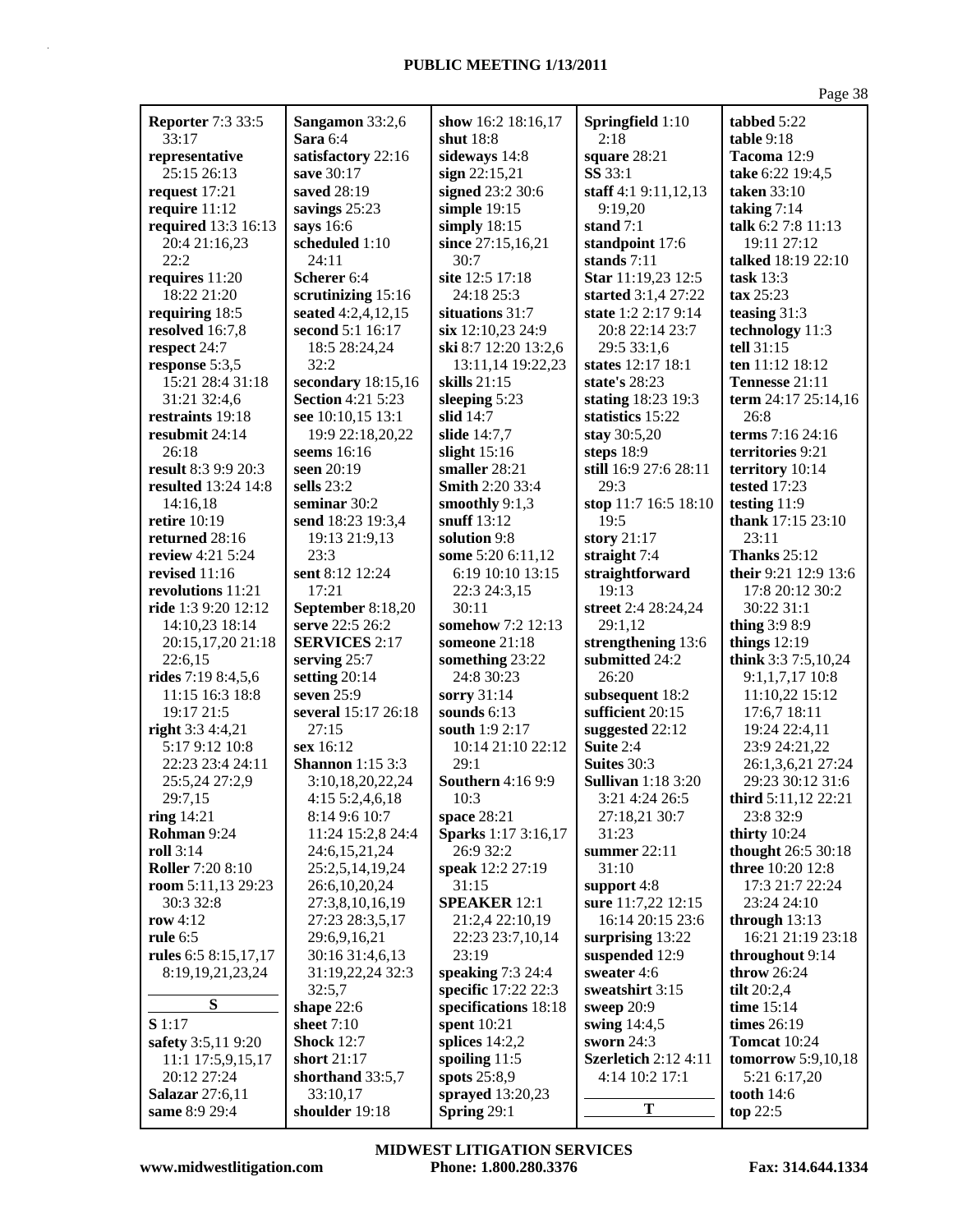|                                    |                                       |                                 |                                     | Page 38                      |
|------------------------------------|---------------------------------------|---------------------------------|-------------------------------------|------------------------------|
| <b>Reporter 7:3 33:5</b>           | Sangamon 33:2,6                       | show 16:2 18:16,17              | Springfield 1:10                    | tabbed 5:22                  |
| 33:17                              | Sara 6:4                              | shut 18:8                       | 2:18                                | table 9:18                   |
| representative                     | satisfactory 22:16                    | sideways 14:8                   | square 28:21                        | Tacoma 12:9                  |
| 25:15 26:13                        | save 30:17                            | sign 22:15,21                   | <b>SS</b> 33:1                      | take 6:22 19:4,5             |
| request 17:21                      | saved 28:19                           | signed 23:2 30:6                | staff 4:1 9:11,12,13                | <b>taken</b> 33:10           |
| require 11:12                      | savings 25:23                         | simple $19:15$                  | 9:19,20                             | taking $7:14$                |
| required 13:3 16:13                | says 16:6                             | simply 18:15                    | stand 7:1                           | talk 6:2 7:8 11:13           |
| 20:4 21:16,23                      | scheduled 1:10                        | since 27:15,16,21               | standpoint 17:6                     | 19:11 27:12                  |
| 22:2                               | 24:11                                 | 30:7                            | stands 7:11                         | talked 18:19 22:10           |
| requires 11:20                     | Scherer 6:4                           | site 12:5 17:18                 | Star 11:19,23 12:5                  | task $13:3$                  |
| 18:22 21:20                        | scrutinizing 15:16                    | 24:18 25:3                      | started 3:1,4 27:22                 | $\textbf{tax } 25:23$        |
| requiring 18:5                     | seated 4:2,4,12,15                    | situations 31:7                 | state 1:2 2:17 9:14                 | teasing $31:3$               |
| resolved 16:7,8                    | second 5:1 16:17                      | six 12:10,23 24:9               | 20:8 22:14 23:7                     | technology 11:3              |
| respect 24:7                       | 18:5 28:24,24                         | ski 8:7 12:20 13:2,6            | 29:5 33:1,6                         | tell 31:15                   |
| response 5:3,5                     | 32:2                                  | 13:11,14 19:22,23               | states 12:17 18:1                   | ten 11:12 18:12              |
| 15:21 28:4 31:18                   | secondary 18:15,16                    | skills $21:15$                  | state's 28:23                       | Tennesse 21:11               |
|                                    | <b>Section 4:21 5:23</b>              |                                 | stating 18:23 19:3                  | term 24:17 25:14,16          |
| 31:21 32:4,6                       |                                       | sleeping 5:23<br>slid $14:7$    |                                     | 26:8                         |
| restraints 19:18<br>resubmit 24:14 | see 10:10,15 13:1<br>19:9 22:18,20,22 | slide 14:7,7                    | statistics 15:22                    | terms 7:16 24:16             |
| 26:18                              |                                       |                                 | stay 30:5,20                        | territories 9:21             |
| result 8:3 9:9 20:3                | seems 16:16<br>seen 20:19             | slight $15:16$<br>smaller 28:21 | steps 18:9<br>still 16:9 27:6 28:11 | territory 10:14              |
| resulted 13:24 14:8                | sells $23:2$                          | <b>Smith 2:20 33:4</b>          | 29:3                                |                              |
| 14:16,18                           | seminar 30:2                          | smoothly $9:1,3$                | stop 11:7 16:5 18:10                | tested 17:23<br>testing 11:9 |
| <b>retire</b> 10:19                |                                       | snuff 13:12                     | 19:5                                | thank 17:15 23:10            |
| returned 28:16                     | send 18:23 19:3,4                     | solution 9:8                    | story 21:17                         | 23:11                        |
| review 4:21 5:24                   | 19:13 21:9,13<br>23:3                 | some 5:20 6:11,12               | straight 7:4                        | <b>Thanks 25:12</b>          |
| revised 11:16                      | sent 8:12 12:24                       | 6:19 10:10 13:15                | straightforward                     | their 9:21 12:9 13:6         |
| revolutions 11:21                  | 17:21                                 | 22:3 24:3,15                    | 19:13                               | 17:8 20:12 30:2              |
| ride 1:3 9:20 12:12                | September 8:18,20                     | 30:11                           | street 2:4 28:24,24                 | 30:22 31:1                   |
| 14:10,23 18:14                     | serve 22:5 26:2                       | somehow 7:2 12:13               | 29:1,12                             | thing 3:9 8:9                |
| 20:15,17,20 21:18                  | <b>SERVICES 2:17</b>                  | someone 21:18                   | strengthening 13:6                  | things $12:19$               |
| 22:6,15                            | serving 25:7                          | something 23:22                 | submitted 24:2                      | think 3:3 7:5,10,24          |
| rides 7:19 8:4,5,6                 | setting $20:14$                       | 24:8 30:23                      | 26:20                               | $9:1,1,7,17$ 10:8            |
| 11:15 16:3 18:8                    | seven $25:9$                          | sorry 31:14                     | subsequent 18:2                     | 11:10,22 15:12               |
| 19:17 21:5                         | several 15:17 26:18                   | sounds $6:13$                   | sufficient 20:15                    | 17:6,7 18:11                 |
| right 3:3 4:4,21                   | 27:15                                 | south 1:9 2:17                  | suggested 22:12                     | 19:24 22:4,11                |
| 5:17 9:12 10:8                     | sex 16:12                             | 10:14 21:10 22:12               | Suite 2:4                           | 23:9 24:21,22                |
| 22:23 23:4 24:11                   | <b>Shannon</b> 1:15 3:3               | 29:1                            | Suites 30:3                         | 26:1,3,6,21 27:24            |
| 25:5,24 27:2,9                     | 3:10,18,20,22,24                      | <b>Southern 4:16 9:9</b>        | <b>Sullivan</b> 1:18 3:20           | 29:23 30:12 31:6             |
| 29:7,15                            | 4:15 5:2,4,6,18                       | 10:3                            | 3:21 4:24 26:5                      | third 5:11,12 22:21          |
| ring $14:21$                       | 8:14 9:6 10:7                         | space 28:21                     | 27:18,21 30:7                       | 23:8 32:9                    |
| Rohman 9:24                        | 11:24 15:2,8 24:4                     | Sparks 1:17 3:16,17             | 31:23                               | thirty $10:24$               |
| <b>roll</b> 3:14                   | 24:6,15,21,24                         | 26:9 32:2                       | summer 22:11                        | thought 26:5 30:18           |
| <b>Roller 7:20 8:10</b>            | 25:2,5,14,19,24                       | speak 12:2 27:19                | 31:10                               | three 10:20 12:8             |
| room 5:11,13 29:23                 | 26:6,10,20,24                         | 31:15                           | support 4:8                         | 17:3 21:7 22:24              |
| 30:3 32:8                          | 27:3,8,10,16,19                       | <b>SPEAKER 12:1</b>             | sure 11:7,22 12:15                  | 23:24 24:10                  |
| row $4:12$                         | 27:23 28:3,5,17                       | 21:2,4 22:10,19                 | 16:14 20:15 23:6                    | through $13:13$              |
| rule $6:5$                         | 29:6,9,16,21                          | 22:23 23:7,10,14                | surprising 13:22                    | 16:21 21:19 23:18            |
| rules 6:5 8:15,17,17               | 30:16 31:4,6,13                       | 23:19                           | suspended 12:9                      | throughout 9:14              |
| 8:19,19,21,23,24                   | 31:19,22,24 32:3                      | speaking 7:3 24:4               | sweater 4:6                         | <b>throw</b> 26:24           |
|                                    | 32:5,7                                | specific 17:22 22:3             | sweatshirt 3:15                     | tilt $20:2,4$                |
| S                                  | shape 22:6                            | specifications 18:18            | sweep $20:9$                        | time $15:14$                 |
| S 1:17                             | sheet $7:10$                          | spent 10:21                     | swing 14:4,5                        | times $26:19$                |
| safety 3:5,11 9:20                 | <b>Shock</b> 12:7                     | splices $14:2,2$                | sworn $24:3$                        | <b>Tomcat</b> 10:24          |
| 11:1 17:5,9,15,17                  | short 21:17                           | spoiling $11:5$                 | <b>Szerletich 2:12 4:11</b>         | tomorrow 5:9,10,18           |
| 20:12 27:24                        | shorthand 33:5,7                      | spots $25:8,9$                  | 4:14 10:2 17:1                      | 5:21 6:17,20                 |
| <b>Salazar</b> 27:6,11             | 33:10,17                              | sprayed 13:20,23                |                                     | <b>tooth</b> 14:6            |
| same 8:9 29:4                      | shoulder 19:18                        | Spring 29:1                     | T                                   | top 22:5                     |